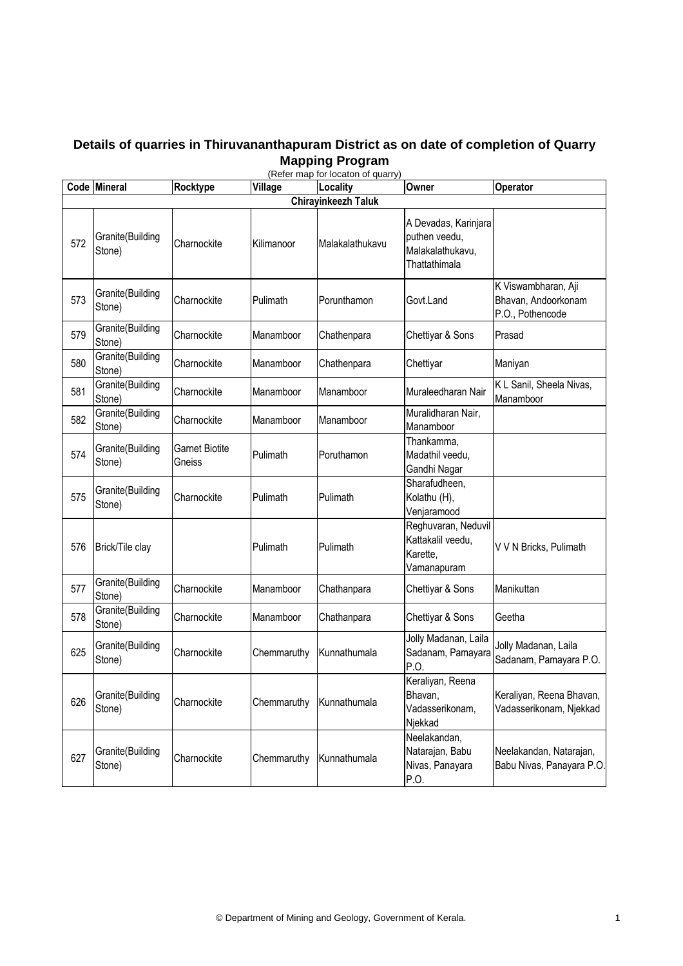## **Details of quarries in Thiruvananthapuram District as on date of completion of Quarry Mapping Program**

|     | Code Mineral               | Rocktype                        | Village     | (Refer map for locaton of quarry)<br>Locality | Owner                                                                      | Operator                                                       |  |  |  |
|-----|----------------------------|---------------------------------|-------------|-----------------------------------------------|----------------------------------------------------------------------------|----------------------------------------------------------------|--|--|--|
|     | <b>Chirayinkeezh Taluk</b> |                                 |             |                                               |                                                                            |                                                                |  |  |  |
| 572 | Granite(Building<br>Stone) | Charnockite                     | Kilimanoor  | Malakalathukavu                               | A Devadas, Karinjara<br>puthen veedu,<br>Malakalathukavu,<br>Thattathimala |                                                                |  |  |  |
| 573 | Granite(Building<br>Stone) | Charnockite                     | Pulimath    | Porunthamon                                   | Govt.Land                                                                  | K Viswambharan, Aji<br>Bhavan, Andoorkonam<br>P.O., Pothencode |  |  |  |
| 579 | Granite(Building<br>Stone) | Charnockite                     | Manamboor   | Chathenpara                                   | Chettiyar & Sons                                                           | Prasad                                                         |  |  |  |
| 580 | Granite(Building<br>Stone) | Charnockite                     | Manamboor   | Chathenpara                                   | Chettiyar                                                                  | Maniyan                                                        |  |  |  |
| 581 | Granite(Building<br>Stone) | Charnockite                     | Manamboor   | Manamboor                                     | Muraleedharan Nair                                                         | K L Sanil, Sheela Nivas,<br>Manamboor                          |  |  |  |
| 582 | Granite(Building<br>Stone) | Charnockite                     | Manamboor   | Manamboor                                     | Muralidharan Nair,<br>Manamboor                                            |                                                                |  |  |  |
| 574 | Granite(Building<br>Stone) | <b>Garnet Biotite</b><br>Gneiss | Pulimath    | Poruthamon                                    | Thankamma,<br>Madathil veedu,<br>Gandhi Nagar                              |                                                                |  |  |  |
| 575 | Granite(Building<br>Stone) | Charnockite                     | Pulimath    | Pulimath                                      | Sharafudheen,<br>Kolathu (H),<br>Venjaramood                               |                                                                |  |  |  |
| 576 | Brick/Tile clay            |                                 | Pulimath    | Pulimath                                      | Reghuvaran, Neduvil<br>Kattakalil veedu,<br>Karette,<br>Vamanapuram        | V V N Bricks, Pulimath                                         |  |  |  |
| 577 | Granite(Building<br>Stone) | Charnockite                     | Manamboor   | Chathanpara                                   | Chettiyar & Sons                                                           | Manikuttan                                                     |  |  |  |
| 578 | Granite(Building<br>Stone) | Charnockite                     | Manamboor   | Chathanpara                                   | Chettiyar & Sons                                                           | Geetha                                                         |  |  |  |
| 625 | Granite(Building<br>Stone) | Charnockite                     | Chemmaruthy | Kunnathumala                                  | Jolly Madanan, Laila<br>Sadanam, Pamayara<br>P.O.                          | Jolly Madanan, Laila<br>Sadanam, Pamayara P.O.                 |  |  |  |
| 626 | Granite(Building<br>Stone) | Charnockite                     | Chemmaruthy | Kunnathumala                                  | Keraliyan, Reena<br>Bhavan,<br>Vadasserikonam,<br>Njekkad                  | Keraliyan, Reena Bhavan,<br>Vadasserikonam, Njekkad            |  |  |  |
| 627 | Granite(Building<br>Stone) | Charnockite                     | Chemmaruthy | Kunnathumala                                  | Neelakandan,<br>Natarajan, Babu<br>Nivas, Panayara<br>P.O.                 | Neelakandan, Natarajan,<br>Babu Nivas, Panayara P.O.           |  |  |  |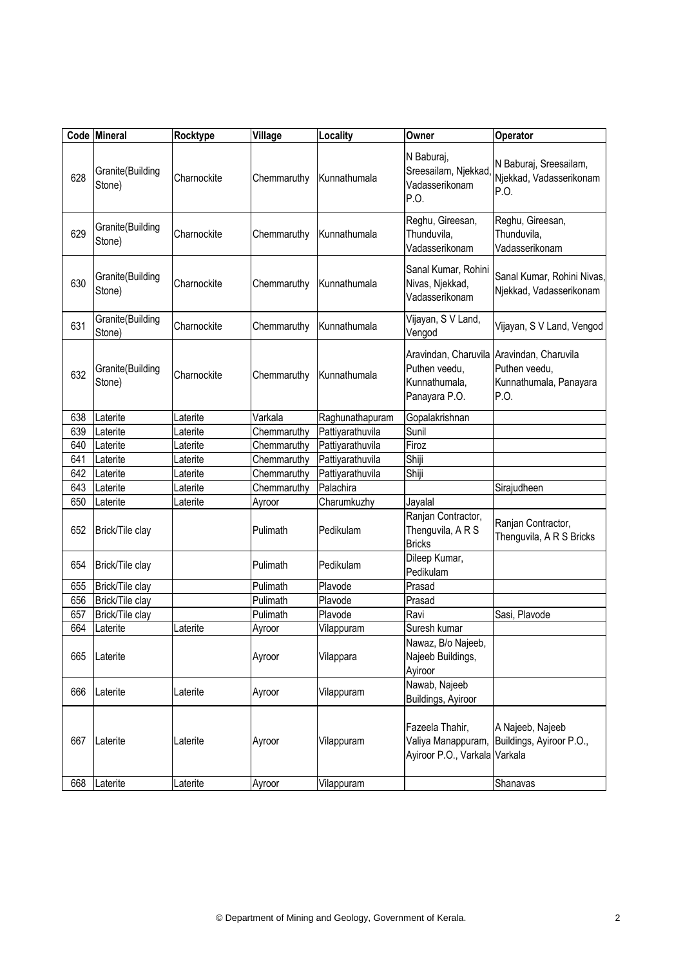|     | Code Mineral               | Rocktype    | Village     | Locality         | Owner                                                                   | Operator                                                                |
|-----|----------------------------|-------------|-------------|------------------|-------------------------------------------------------------------------|-------------------------------------------------------------------------|
| 628 | Granite(Building<br>Stone) | Charnockite | Chemmaruthy | Kunnathumala     | N Baburaj,<br>Sreesailam, Njekkad,<br>Vadasserikonam<br>P.O.            | N Baburaj, Sreesailam,<br>Njekkad, Vadasserikonam<br>P.O.               |
| 629 | Granite(Building<br>Stone) | Charnockite | Chemmaruthy | Kunnathumala     | Reghu, Gireesan,<br>Thunduvila,<br>Vadasserikonam                       | Reghu, Gireesan,<br>Thunduvila,<br>Vadasserikonam                       |
| 630 | Granite(Building<br>Stone) | Charnockite | Chemmaruthy | Kunnathumala     | Sanal Kumar, Rohini<br>Nivas, Njekkad,<br>Vadasserikonam                | Sanal Kumar, Rohini Nivas,<br>Njekkad, Vadasserikonam                   |
| 631 | Granite(Building<br>Stone) | Charnockite | Chemmaruthy | Kunnathumala     | Vijayan, S V Land,<br>Vengod                                            | Vijayan, S V Land, Vengod                                               |
| 632 | Granite(Building<br>Stone) | Charnockite | Chemmaruthy | Kunnathumala     | Aravindan, Charuvila<br>Puthen veedu,<br>Kunnathumala,<br>Panayara P.O. | Aravindan, Charuvila<br>Puthen veedu,<br>Kunnathumala, Panayara<br>P.O. |
| 638 | Laterite                   | Laterite    | Varkala     | Raghunathapuram  | Gopalakrishnan                                                          |                                                                         |
| 639 | Laterite                   | Laterite    | Chemmaruthy | Pattiyarathuvila | Sunil                                                                   |                                                                         |
| 640 | Laterite                   | Laterite    | Chemmaruthy | Pattiyarathuvila | Firoz                                                                   |                                                                         |
| 641 | Laterite                   | Laterite    | Chemmaruthy | Pattiyarathuvila | Shiji                                                                   |                                                                         |
| 642 | Laterite                   | Laterite    | Chemmaruthy | Pattiyarathuvila | Shiji                                                                   |                                                                         |
| 643 | Laterite                   | Laterite    | Chemmaruthy | Palachira        |                                                                         | Sirajudheen                                                             |
| 650 | Laterite                   | Laterite    | Ayroor      | Charumkuzhy      | Jayalal                                                                 |                                                                         |
| 652 | Brick/Tile clay            |             | Pulimath    | Pedikulam        | Ranjan Contractor,<br>Thenguvila, A R S<br><b>Bricks</b>                | Ranjan Contractor,<br>Thenguvila, A R S Bricks                          |
| 654 | Brick/Tile clay            |             | Pulimath    | Pedikulam        | Dileep Kumar,<br>Pedikulam                                              |                                                                         |
| 655 | Brick/Tile clay            |             | Pulimath    | Plavode          | Prasad                                                                  |                                                                         |
| 656 | Brick/Tile clay            |             | Pulimath    | Plavode          | Prasad                                                                  |                                                                         |
| 657 | Brick/Tile clay            |             | Pulimath    | Plavode          | Ravi                                                                    | Sasi, Plavode                                                           |
| 664 | Laterite                   | Laterite    | Ayroor      | Vilappuram       | Suresh kumar                                                            |                                                                         |
| 665 | Laterite                   |             | Ayroor      | Vilappara        | Nawaz, B/o Najeeb,<br>Najeeb Buildings,<br>Ayiroor                      |                                                                         |
| 666 | Laterite                   | Laterite    | Ayroor      | Vilappuram       | Nawab, Najeeb<br>Buildings, Ayiroor                                     |                                                                         |
| 667 | Laterite                   | Laterite    | Ayroor      | Vilappuram       | Fazeela Thahir,<br>Valiya Manappuram,<br>Ayiroor P.O., Varkala Varkala  | A Najeeb, Najeeb<br>Buildings, Ayiroor P.O.,                            |
| 668 | Laterite                   | Laterite    | Ayroor      | Vilappuram       |                                                                         | Shanavas                                                                |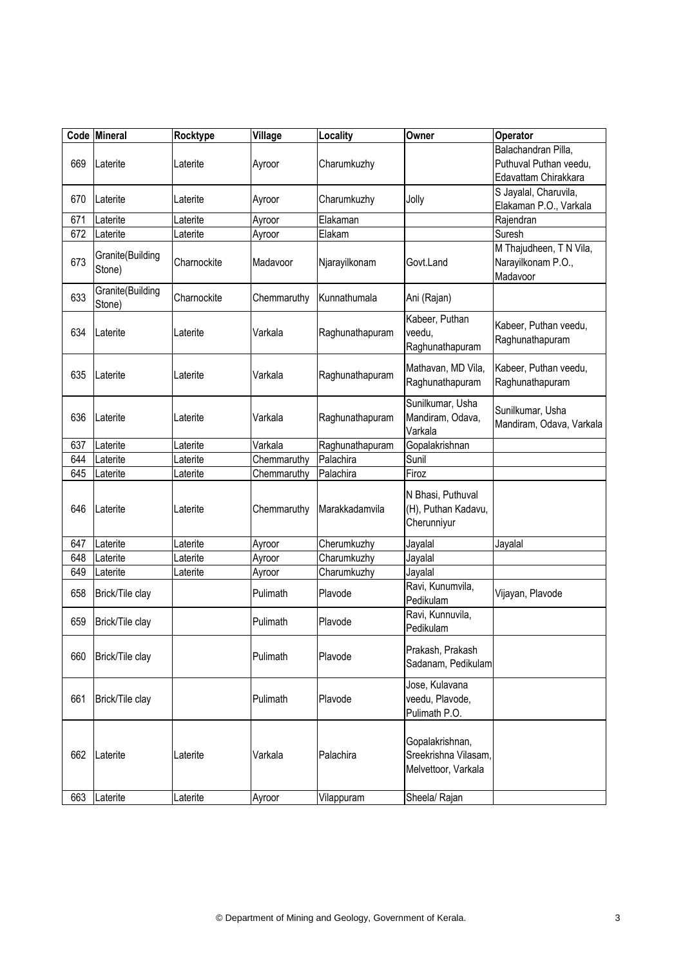|     | Code Mineral               | Rocktype    | Village     | Locality        | Owner                                                          | Operator                                                              |
|-----|----------------------------|-------------|-------------|-----------------|----------------------------------------------------------------|-----------------------------------------------------------------------|
| 669 | Laterite                   | Laterite    | Ayroor      | Charumkuzhy     |                                                                | Balachandran Pilla,<br>Puthuval Puthan veedu,<br>Edavattam Chirakkara |
| 670 | Laterite                   | Laterite    | Ayroor      | Charumkuzhy     | Jolly                                                          | S Jayalal, Charuvila,<br>Elakaman P.O., Varkala                       |
| 671 | Laterite                   | Laterite    | Ayroor      | Elakaman        |                                                                | Rajendran                                                             |
| 672 | Laterite                   | Laterite    | Ayroor      | Elakam          |                                                                | Suresh                                                                |
| 673 | Granite(Building<br>Stone) | Charnockite | Madavoor    | Njarayilkonam   | Govt.Land                                                      | M Thajudheen, T N Vila,<br>Narayilkonam P.O.,<br>Madavoor             |
| 633 | Granite(Building<br>Stone) | Charnockite | Chemmaruthy | Kunnathumala    | Ani (Rajan)                                                    |                                                                       |
| 634 | Laterite                   | Laterite    | Varkala     | Raghunathapuram | Kabeer, Puthan<br>veedu,<br>Raghunathapuram                    | Kabeer, Puthan veedu,<br>Raghunathapuram                              |
| 635 | Laterite                   | Laterite    | Varkala     | Raghunathapuram | Mathavan, MD Vila,<br>Raghunathapuram                          | Kabeer, Puthan veedu,<br>Raghunathapuram                              |
| 636 | Laterite                   | Laterite    | Varkala     | Raghunathapuram | Sunilkumar, Usha<br>Mandiram, Odava,<br>Varkala                | Sunilkumar, Usha<br>Mandiram, Odava, Varkala                          |
| 637 | Laterite                   | Laterite    | Varkala     | Raghunathapuram | Gopalakrishnan                                                 |                                                                       |
| 644 | Laterite                   | aterite     | Chemmaruthy | Palachira       | Sunil                                                          |                                                                       |
| 645 | Laterite                   | Laterite    | Chemmaruthy | Palachira       | Firoz                                                          |                                                                       |
| 646 | Laterite                   | Laterite    | Chemmaruthy | Marakkadamvila  | N Bhasi, Puthuval<br>(H), Puthan Kadavu,<br>Cherunniyur        |                                                                       |
| 647 | Laterite                   | aterite     | Ayroor      | Cherumkuzhy     | Jayalal                                                        | Jayalal                                                               |
| 648 | Laterite                   | Laterite    | Ayroor      | Charumkuzhy     | Jayalal                                                        |                                                                       |
| 649 | Laterite                   | ∟aterite    | Ayroor      | Charumkuzhy     | Jayalal                                                        |                                                                       |
| 658 | Brick/Tile clay            |             | Pulimath    | Plavode         | Ravi, Kunumvila,<br>Pedikulam                                  | Vijayan, Plavode                                                      |
| 659 | Brick/Tile clay            |             | Pulimath    | Plavode         | Ravi, Kunnuvila,<br>Pedikulam                                  |                                                                       |
| 660 | Brick/Tile clay            |             | Pulimath    | Plavode         | Prakash, Prakash<br>Sadanam, Pedikulam                         |                                                                       |
| 661 | Brick/Tile clay            |             | Pulimath    | Plavode         | Jose, Kulavana<br>veedu, Plavode,<br>Pulimath P.O.             |                                                                       |
| 662 | Laterite                   | Laterite    | Varkala     | Palachira       | Gopalakrishnan,<br>Sreekrishna Vilasam,<br>Melvettoor, Varkala |                                                                       |
| 663 | Laterite                   | Laterite    | Ayroor      | Vilappuram      | Sheela/ Rajan                                                  |                                                                       |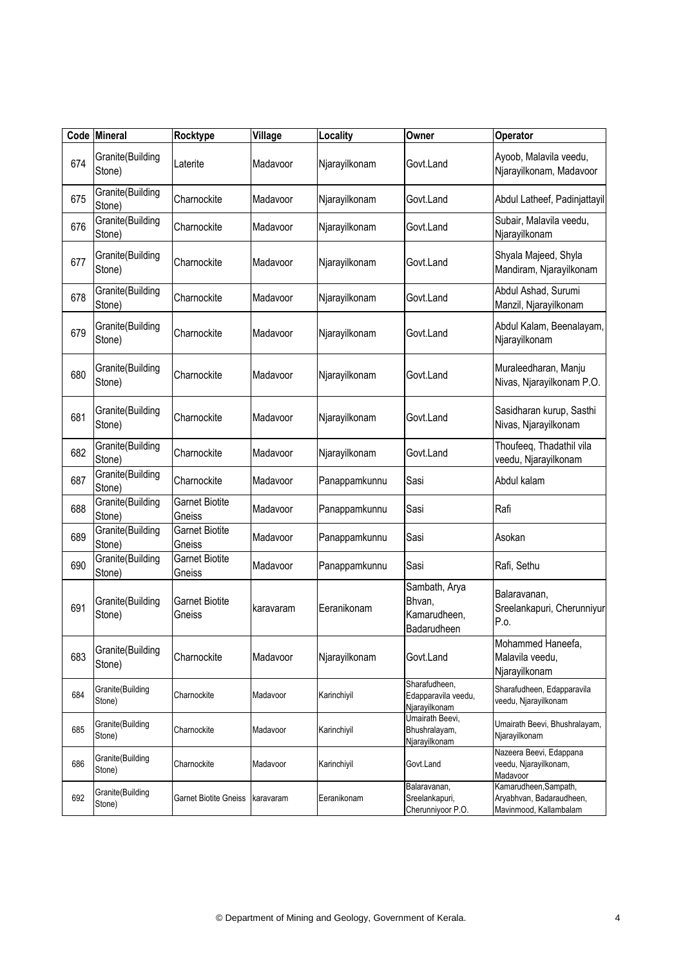|     | Code Mineral               | Rocktype                        | Village   | Locality      | Owner                                                  | Operator                                                                    |
|-----|----------------------------|---------------------------------|-----------|---------------|--------------------------------------------------------|-----------------------------------------------------------------------------|
| 674 | Granite(Building<br>Stone) | Laterite                        | Madavoor  | Njarayilkonam | Govt.Land                                              | Ayoob, Malavila veedu,<br>Njarayilkonam, Madavoor                           |
| 675 | Granite(Building<br>Stone) | Charnockite                     | Madavoor  | Njarayilkonam | Govt.Land                                              | Abdul Latheef, Padinjattayil                                                |
| 676 | Granite(Building<br>Stone) | Charnockite                     | Madavoor  | Njarayilkonam | Govt.Land                                              | Subair, Malavila veedu,<br>Njarayilkonam                                    |
| 677 | Granite(Building<br>Stone) | Charnockite                     | Madavoor  | Njarayilkonam | Govt.Land                                              | Shyala Majeed, Shyla<br>Mandiram, Njarayilkonam                             |
| 678 | Granite(Building<br>Stone) | Charnockite                     | Madavoor  | Njarayilkonam | Govt.Land                                              | Abdul Ashad, Surumi<br>Manzil, Njarayilkonam                                |
| 679 | Granite(Building<br>Stone) | Charnockite                     | Madavoor  | Njarayilkonam | Govt.Land                                              | Abdul Kalam, Beenalayam,<br>Njarayilkonam                                   |
| 680 | Granite(Building<br>Stone) | Charnockite                     | Madavoor  | Njarayilkonam | Govt.Land                                              | Muraleedharan, Manju<br>Nivas, Njarayilkonam P.O.                           |
| 681 | Granite(Building<br>Stone) | Charnockite                     | Madavoor  | Njarayilkonam | Govt.Land                                              | Sasidharan kurup, Sasthi<br>Nivas, Njarayilkonam                            |
| 682 | Granite(Building<br>Stone) | Charnockite                     | Madavoor  | Njarayilkonam | Govt.Land                                              | Thoufeeq, Thadathil vila<br>veedu, Njarayilkonam                            |
| 687 | Granite(Building<br>Stone) | Charnockite                     | Madavoor  | Panappamkunnu | Sasi                                                   | Abdul kalam                                                                 |
| 688 | Granite(Building<br>Stone) | <b>Garnet Biotite</b><br>Gneiss | Madavoor  | Panappamkunnu | Sasi                                                   | Rafi                                                                        |
| 689 | Granite(Building<br>Stone) | <b>Garnet Biotite</b><br>Gneiss | Madavoor  | Panappamkunnu | Sasi                                                   | Asokan                                                                      |
| 690 | Granite(Building<br>Stone) | <b>Garnet Biotite</b><br>Gneiss | Madavoor  | Panappamkunnu | Sasi                                                   | Rafi, Sethu                                                                 |
| 691 | Granite(Building<br>Stone) | <b>Garnet Biotite</b><br>Gneiss | karavaram | Eeranikonam   | Sambath, Arya<br>Bhvan,<br>Kamarudheen,<br>Badarudheen | Balaravanan,<br>Sreelankapuri, Cherunniyur<br>P.o.                          |
| 683 | Granite(Building<br>Stone) | Charnockite                     | Madavoor  | Njarayilkonam | Govt.Land                                              | Mohammed Haneefa,<br>Malavila veedu,<br>Njarayilkonam                       |
| 684 | Granite(Building<br>Stone) | Charnockite                     | Madavoor  | Karinchiyil   | Sharafudheen,<br>Edapparavila veedu,<br>Njarayilkonam  | Sharafudheen, Edapparavila<br>veedu, Njarayilkonam                          |
| 685 | Granite(Building<br>Stone) | Charnockite                     | Madavoor  | Karinchiyil   | Umairath Beevi,<br>Bhushralayam,<br>Njarayilkonam      | Umairath Beevi, Bhushralayam,<br>Njarayilkonam                              |
| 686 | Granite(Building<br>Stone) | Charnockite                     | Madavoor  | Karinchiyil   | Govt.Land                                              | Nazeera Beevi, Edappana<br>veedu, Njarayilkonam,<br>Madavoor                |
| 692 | Granite(Building<br>Stone) | Garnet Biotite Gneiss           | karavaram | Eeranikonam   | Balaravanan,<br>Sreelankapuri,<br>Cherunniyoor P.O.    | Kamarudheen, Sampath,<br>Aryabhvan, Badaraudheen,<br>Mavinmood, Kallambalam |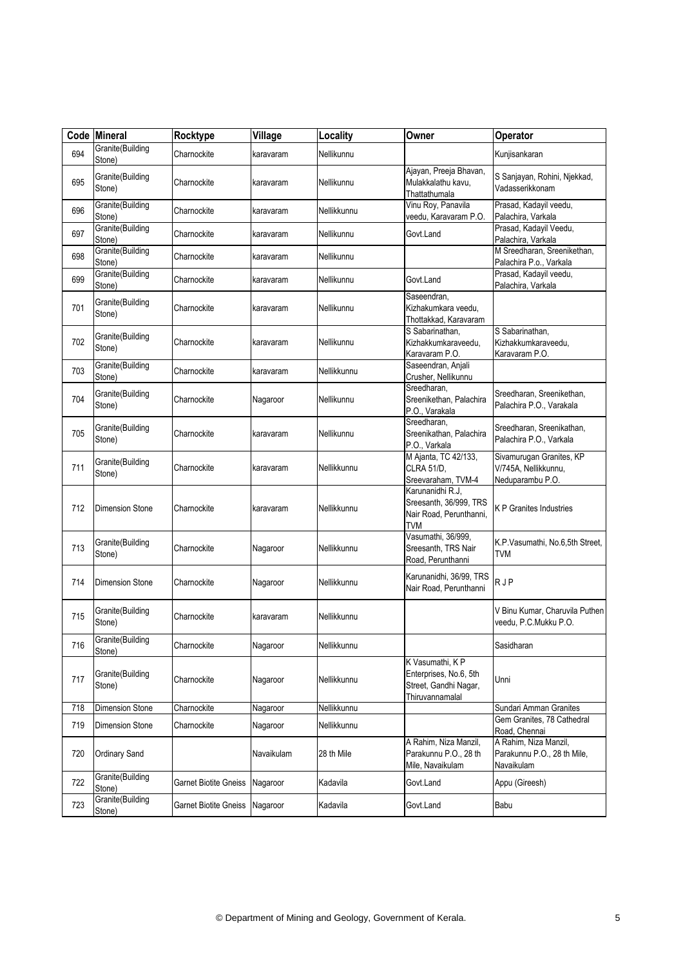|     | Code Mineral               | Rocktype                     | Village    | Locality    | Owner                                                                                  | Operator                                                             |
|-----|----------------------------|------------------------------|------------|-------------|----------------------------------------------------------------------------------------|----------------------------------------------------------------------|
| 694 | Granite(Building<br>Stone) | Charnockite                  | karavaram  | Nellikunnu  |                                                                                        | Kunjisankaran                                                        |
| 695 | Granite(Building<br>Stone) | Charnockite                  | karavaram  | Nellikunnu  | Ajayan, Preeja Bhavan,<br>Mulakkalathu kavu,<br>Thattathumala                          | S Sanjayan, Rohini, Njekkad,<br>Vadasserikkonam                      |
| 696 | Granite(Building<br>Stone) | Charnockite                  | karavaram  | Nellikkunnu | Vinu Roy, Panavila<br>veedu, Karavaram P.O.                                            | Prasad, Kadayil veedu,<br>Palachira, Varkala                         |
| 697 | Granite(Building<br>Stone) | Charnockite                  | karavaram  | Nellikunnu  | Govt.Land                                                                              | Prasad, Kadayil Veedu,<br>Palachira, Varkala                         |
| 698 | Granite(Building<br>Stone) | Charnockite                  | karavaram  | Nellikunnu  |                                                                                        | M Sreedharan, Sreenikethan,<br>Palachira P.o., Varkala               |
| 699 | Granite(Building<br>Stone) | Charnockite                  | karavaram  | Nellikunnu  | Govt.Land                                                                              | Prasad, Kadayil veedu,<br>Palachira, Varkala                         |
| 701 | Granite(Building<br>Stone) | Charnockite                  | karavaram  | Nellikunnu  | Saseendran,<br>Kizhakumkara veedu,<br>Thottakkad, Karavaram                            |                                                                      |
| 702 | Granite(Building<br>Stone) | Charnockite                  | karavaram  | Nellikunnu  | S Sabarinathan,<br>Kizhakkumkaraveedu,<br>Karavaram P.O.                               | S Sabarinathan,<br>Kizhakkumkaraveedu,<br>Karavaram P.O.             |
| 703 | Granite(Building<br>Stone) | Charnockite                  | karavaram  | Nellikkunnu | Saseendran, Anjali<br>Crusher, Nellikunnu                                              |                                                                      |
| 704 | Granite(Building<br>Stone) | Charnockite                  | Nagaroor   | Nellikunnu  | Sreedharan,<br>Sreenikethan, Palachira<br>P.O., Varakala                               | Sreedharan, Sreenikethan,<br>Palachira P.O., Varakala                |
| 705 | Granite(Building<br>Stone) | Charnockite                  | karavaram  | Nellikunnu  | Sreedharan,<br>Sreenikathan, Palachira<br>P.O., Varkala                                | Sreedharan, Sreenikathan,<br>Palachira P.O., Varkala                 |
| 711 | Granite(Building<br>Stone) | Charnockite                  | karavaram  | Nellikkunnu | M Ajanta, TC 42/133,<br>CLRA 51/D.<br>Sreevaraham, TVM-4                               | Sivamurugan Granites, KP<br>V/745A, Nellikkunnu,<br>Neduparambu P.O. |
| 712 | <b>Dimension Stone</b>     | Charnockite                  | karavaram  | Nellikkunnu | Karunanidhi R.J,<br>Sreesanth, 36/999, TRS<br>Nair Road, Perunthanni,<br><b>TVM</b>    | <b>KP</b> Granites Industries                                        |
| 713 | Granite(Building<br>Stone) | Charnockite                  | Nagaroor   | Nellikkunnu | Vasumathi, 36/999,<br>Sreesanth, TRS Nair<br>Road, Perunthanni                         | K.P.Vasumathi, No.6,5th Street,<br>TVM                               |
| 714 | <b>Dimension Stone</b>     | Charnockite                  | Nagaroor   | Nellikkunnu | Karunanidhi, 36/99, TRS<br>Nair Road, Perunthanni                                      | <b>RJP</b>                                                           |
| 715 | Granite(Building<br>Stone) | Charnockite                  | karavaram  | Nellikkunnu |                                                                                        | V Binu Kumar, Charuvila Puthen<br>veedu, P.C.Mukku P.O.              |
| 716 | Granite(Building<br>Stone) | Charnockite                  | Nagaroor   | Nellikkunnu |                                                                                        | Sasidharan                                                           |
| 717 | Granite(Building<br>Stone) | Charnockite                  | Nagaroor   | Nellikkunnu | K Vasumathi, K P<br>Enterprises, No.6, 5th<br>Street, Gandhi Nagar,<br>Thiruvannamalal | Unni                                                                 |
| 718 | <b>Dimension Stone</b>     | Charnockite                  | Nagaroor   | Nellikkunnu |                                                                                        | Sundari Amman Granites                                               |
| 719 | Dimension Stone            | Charnockite                  | Nagaroor   | Nellikkunnu |                                                                                        | Gem Granites, 78 Cathedral<br>Road, Chennai                          |
| 720 | <b>Ordinary Sand</b>       |                              | Navaikulam | 28 th Mile  | A Rahim, Niza Manzil,<br>Parakunnu P.O., 28 th<br>Mile, Navaikulam                     | A Rahim, Niza Manzil,<br>Parakunnu P.O., 28 th Mile,<br>Navaikulam   |
| 722 | Granite(Building<br>Stone) | <b>Garnet Biotite Gneiss</b> | Nagaroor   | Kadavila    | Govt.Land                                                                              | Appu (Gireesh)                                                       |
| 723 | Granite(Building<br>Stone) | <b>Garnet Biotite Gneiss</b> | Nagaroor   | Kadavila    | Govt.Land                                                                              | Babu                                                                 |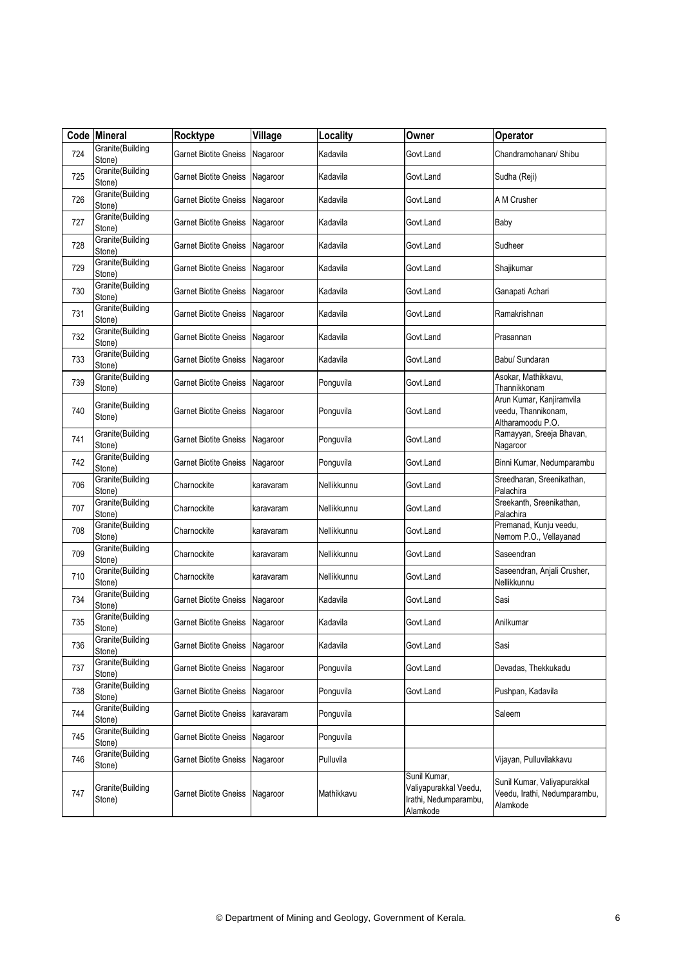|     | Code Mineral               | Rocktype                       | Village   | Locality    | Owner                                                                      | Operator                                                                |
|-----|----------------------------|--------------------------------|-----------|-------------|----------------------------------------------------------------------------|-------------------------------------------------------------------------|
| 724 | Granite(Building<br>Stone) | Garnet Biotite Gneiss          | Nagaroor  | Kadavila    | Govt.Land                                                                  | Chandramohanan/ Shibu                                                   |
| 725 | Granite(Building<br>Stone) | Garnet Biotite Gneiss          | Nagaroor  | Kadavila    | Govt.Land                                                                  | Sudha (Reji)                                                            |
| 726 | Granite(Building<br>Stone) | <b>Garnet Biotite Gneiss</b>   | Nagaroor  | Kadavila    | Govt.Land                                                                  | A M Crusher                                                             |
| 727 | Granite(Building<br>Stone) | Garnet Biotite Gneiss          | Nagaroor  | Kadavila    | Govt.Land                                                                  | Baby                                                                    |
| 728 | Granite(Building<br>Stone) | Garnet Biotite Gneiss          | Nagaroor  | Kadavila    | Govt.Land                                                                  | Sudheer                                                                 |
| 729 | Granite(Building<br>Stone) | Garnet Biotite Gneiss          | Nagaroor  | Kadavila    | Govt.Land                                                                  | Shajikumar                                                              |
| 730 | Granite(Building<br>Stone) | <b>Garnet Biotite Gneiss</b>   | Nagaroor  | Kadavila    | Govt.Land                                                                  | Ganapati Achari                                                         |
| 731 | Granite(Building<br>Stone) | Garnet Biotite Gneiss          | Nagaroor  | Kadavila    | Govt.Land                                                                  | Ramakrishnan                                                            |
| 732 | Granite(Building<br>Stone) | <b>Garnet Biotite Gneiss</b>   | Nagaroor  | Kadavila    | Govt.Land                                                                  | Prasannan                                                               |
| 733 | Granite(Building<br>Stone) | Garnet Biotite Gneiss          | Nagaroor  | Kadavila    | Govt.Land                                                                  | Babu/ Sundaran                                                          |
| 739 | Granite(Building<br>Stone) | Garnet Biotite Gneiss          | Nagaroor  | Ponguvila   | Govt.Land                                                                  | Asokar, Mathikkavu,<br>Thannikkonam                                     |
| 740 | Granite(Building<br>Stone) | Garnet Biotite Gneiss          | Nagaroor  | Ponguvila   | Govt.Land                                                                  | Arun Kumar, Kanjiramvila<br>veedu, Thannikonam,<br>Altharamoodu P.O.    |
| 741 | Granite(Building<br>Stone) | <b>Garnet Biotite Gneiss</b>   | Nagaroor  | Ponguvila   | Govt.Land                                                                  | Ramayyan, Sreeja Bhavan,<br>Nagaroor                                    |
| 742 | Granite(Building<br>Stone) | Garnet Biotite Gneiss          | Nagaroor  | Ponguvila   | Govt.Land                                                                  | Binni Kumar, Nedumparambu                                               |
| 706 | Granite(Building<br>Stone) | Charnockite                    | karavaram | Nellikkunnu | Govt.Land                                                                  | Sreedharan, Sreenikathan,<br>Palachira                                  |
| 707 | Granite(Building<br>Stone) | Charnockite                    | karavaram | Nellikkunnu | Govt.Land                                                                  | Sreekanth, Sreenikathan,<br>Palachira                                   |
| 708 | Granite(Building<br>Stone) | Charnockite                    | karavaram | Nellikkunnu | Govt.Land                                                                  | Premanad, Kunju veedu,<br>Nemom P.O., Vellayanad                        |
| 709 | Granite(Building<br>Stone) | Charnockite                    | karavaram | Nellikkunnu | Govt.Land                                                                  | Saseendran                                                              |
| 710 | Granite(Building<br>Stone) | Charnockite                    | karavaram | Nellikkunnu | Govt.Land                                                                  | Saseendran, Anjali Crusher,<br>Nellikkunnu                              |
| 734 | Granite(Building<br>Stone) | <b>Garnet Biotite Gneiss</b>   | Nagaroor  | Kadavila    | Govt.Land                                                                  | Sasi                                                                    |
| 735 | Granite(Building<br>Stone) | <b>Garnet Biotite Gneiss</b>   | Nagaroor  | Kadavila    | Govt.Land                                                                  | Anilkumar                                                               |
| 736 | Granite(Building<br>Stone) | Garnet Biotite Gneiss Nagaroor |           | Kadavila    | Govt.Land                                                                  | Sasi                                                                    |
| 737 | Granite(Building<br>Stone) | <b>Garnet Biotite Gneiss</b>   | Nagaroor  | Ponguvila   | Govt.Land                                                                  | Devadas, Thekkukadu                                                     |
| 738 | Granite(Building<br>Stone) | Garnet Biotite Gneiss          | Nagaroor  | Ponguvila   | Govt.Land                                                                  | Pushpan, Kadavila                                                       |
| 744 | Granite(Building<br>Stone) | Garnet Biotite Gneiss          | karavaram | Ponguvila   |                                                                            | Saleem                                                                  |
| 745 | Granite(Building<br>Stone) | <b>Garnet Biotite Gneiss</b>   | Nagaroor  | Ponguvila   |                                                                            |                                                                         |
| 746 | Granite(Building<br>Stone) | Garnet Biotite Gneiss          | Nagaroor  | Pulluvila   |                                                                            | Vijayan, Pulluvilakkavu                                                 |
| 747 | Granite(Building<br>Stone) | Garnet Biotite Gneiss          | Nagaroor  | Mathikkavu  | Sunil Kumar,<br>Valiyapurakkal Veedu,<br>Irathi, Nedumparambu,<br>Alamkode | Sunil Kumar, Valiyapurakkal<br>Veedu, Irathi, Nedumparambu,<br>Alamkode |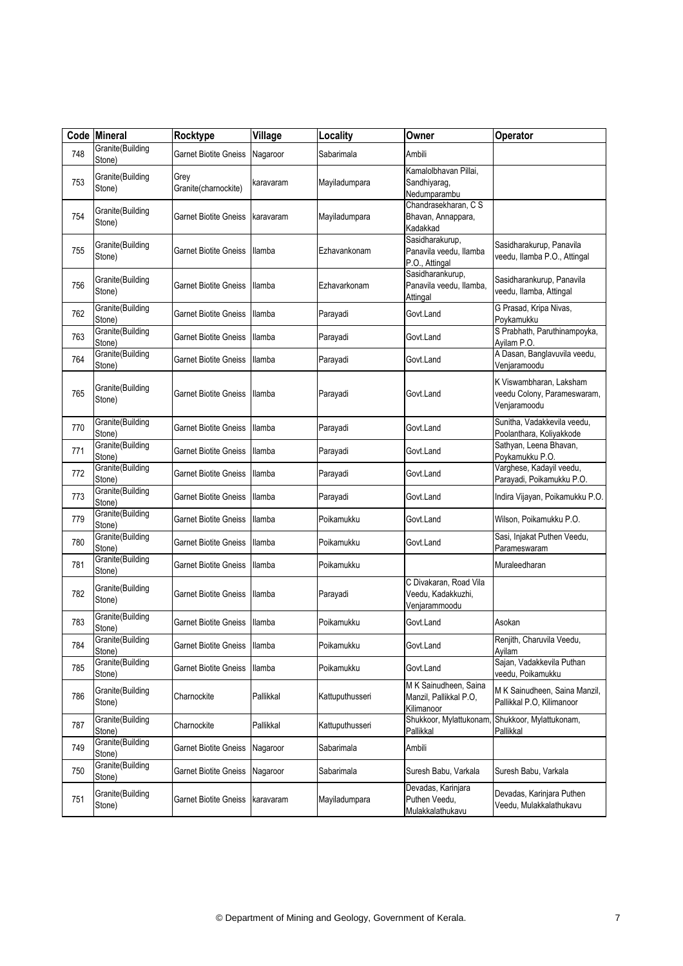|     | Code Mineral               | Rocktype                     | Village        | Locality        | Owner                                                         | Operator                                                               |
|-----|----------------------------|------------------------------|----------------|-----------------|---------------------------------------------------------------|------------------------------------------------------------------------|
| 748 | Granite(Building<br>Stone) | Garnet Biotite Gneiss        | Nagaroor       | Sabarimala      | Ambili                                                        |                                                                        |
| 753 | Granite(Building<br>Stone) | Grey<br>Granite(charnockite) | karavaram      | Mayiladumpara   | Kamalolbhavan Pillai,<br>Sandhiyarag,<br>Nedumparambu         |                                                                        |
| 754 | Granite(Building<br>Stone) | Garnet Biotite Gneiss        | karavaram      | Mayiladumpara   | Chandrasekharan, C S<br>Bhavan, Annappara,<br>Kadakkad        |                                                                        |
| 755 | Granite(Building<br>Stone) | Garnet Biotite Gneiss        | Ilamba         | Ezhavankonam    | Sasidharakurup,<br>Panavila veedu, Ilamba<br>P.O., Attingal   | Sasidharakurup, Panavila<br>veedu, Ilamba P.O., Attingal               |
| 756 | Granite(Building<br>Stone) | Garnet Biotite Gneiss        | Ilamba         | Ezhavarkonam    | Sasidharankurup,<br>Panavila veedu, Ilamba,<br>Attingal       | Sasidharankurup, Panavila<br>veedu, Ilamba, Attingal                   |
| 762 | Granite(Building<br>Stone) | Garnet Biotite Gneiss        | Ilamba         | Parayadi        | Govt.Land                                                     | G Prasad, Kripa Nivas,<br>Poykamukku                                   |
| 763 | Granite(Building<br>Stone) | Garnet Biotite Gneiss        | <b>Ilamba</b>  | Parayadi        | Govt.Land                                                     | S Prabhath, Paruthinampoyka,<br>Ayilam P.O.                            |
| 764 | Granite(Building<br>Stone) | Garnet Biotite Gneiss        | Ilamba         | Parayadi        | Govt.Land                                                     | A Dasan, Banglavuvila veedu,<br>Venjaramoodu                           |
| 765 | Granite(Building<br>Stone) | Garnet Biotite Gneiss        | Ilamba         | Parayadi        | Govt.Land                                                     | K Viswambharan, Laksham<br>veedu Colony, Parameswaram,<br>Venjaramoodu |
| 770 | Granite(Building<br>Stone) | Garnet Biotite Gneiss        | Ilamba         | Parayadi        | Govt.Land                                                     | Sunitha, Vadakkevila veedu,<br>Poolanthara, Koliyakkode                |
| 771 | Granite(Building<br>Stone) | Garnet Biotite Gneiss        | Ilamba         | Parayadi        | Govt.Land                                                     | Sathyan, Leena Bhavan,<br>Poykamukku P.O.                              |
| 772 | Granite(Building<br>Stone) | Garnet Biotite Gneiss        | <b>Ilamba</b>  | Parayadi        | Govt.Land                                                     | Varghese, Kadayil veedu,<br>Parayadi, Poikamukku P.O.                  |
| 773 | Granite(Building<br>Stone) | Garnet Biotite Gneiss        | Ilamba         | Parayadi        | Govt.Land                                                     | Indira Vijayan, Poikamukku P.O.                                        |
| 779 | Granite(Building<br>Stone) | Garnet Biotite Gneiss        | Ilamba         | Poikamukku      | Govt.Land                                                     | Wilson, Poikamukku P.O.                                                |
| 780 | Granite(Building<br>Stone) | Garnet Biotite Gneiss        | Ilamba         | Poikamukku      | Govt.Land                                                     | Sasi, Injakat Puthen Veedu,<br>Parameswaram                            |
| 781 | Granite(Building<br>Stone) | Garnet Biotite Gneiss        | Ilamba         | Poikamukku      |                                                               | Muraleedharan                                                          |
| 782 | Granite(Building<br>Stone) | Garnet Biotite Gneiss        | llamba         | Parayadi        | C Divakaran, Road Vila<br>Veedu, Kadakkuzhi,<br>Venjarammoodu |                                                                        |
| 783 | Granite(Building<br>Stone) | <b>Garnet Biotite Gneiss</b> | Ilamba         | Poikamukku      | Govt.Land                                                     | Asokan                                                                 |
| 784 | Granite(Building<br>Stone) | Garnet Biotite Gneiss        | <b>Illamba</b> | Poikamukku      | Govt.Land                                                     | Renjith, Charuvila Veedu,<br>Ayilam                                    |
| 785 | Granite(Building<br>Stone) | Garnet Biotite Gneiss        | Ilamba         | Poikamukku      | Govt.Land                                                     | Sajan, Vadakkevila Puthan<br>veedu, Poikamukku                         |
| 786 | Granite(Building<br>Stone) | Charnockite                  | Pallikkal      | Kattuputhusseri | M K Sainudheen, Saina<br>Manzil, Pallikkal P.O,<br>Kilimanoor | M K Sainudheen, Saina Manzil,<br>Pallikkal P.O, Kilimanoor             |
| 787 | Granite(Building<br>Stone) | Charnockite                  | Pallikkal      | Kattuputhusseri | Shukkoor, Mylattukonam,<br>Pallikkal                          | Shukkoor, Mylattukonam,<br>Pallikkal                                   |
| 749 | Granite(Building<br>Stone) | <b>Garnet Biotite Gneiss</b> | Nagaroor       | Sabarimala      | Ambili                                                        |                                                                        |
| 750 | Granite(Building<br>Stone) | <b>Garnet Biotite Gneiss</b> | Nagaroor       | Sabarimala      | Suresh Babu, Varkala                                          | Suresh Babu, Varkala                                                   |
| 751 | Granite(Building<br>Stone) | Garnet Biotite Gneiss        | karavaram      | Mayiladumpara   | Devadas, Karinjara<br>Puthen Veedu,<br>Mulakkalathukavu       | Devadas, Karinjara Puthen<br>Veedu, Mulakkalathukavu                   |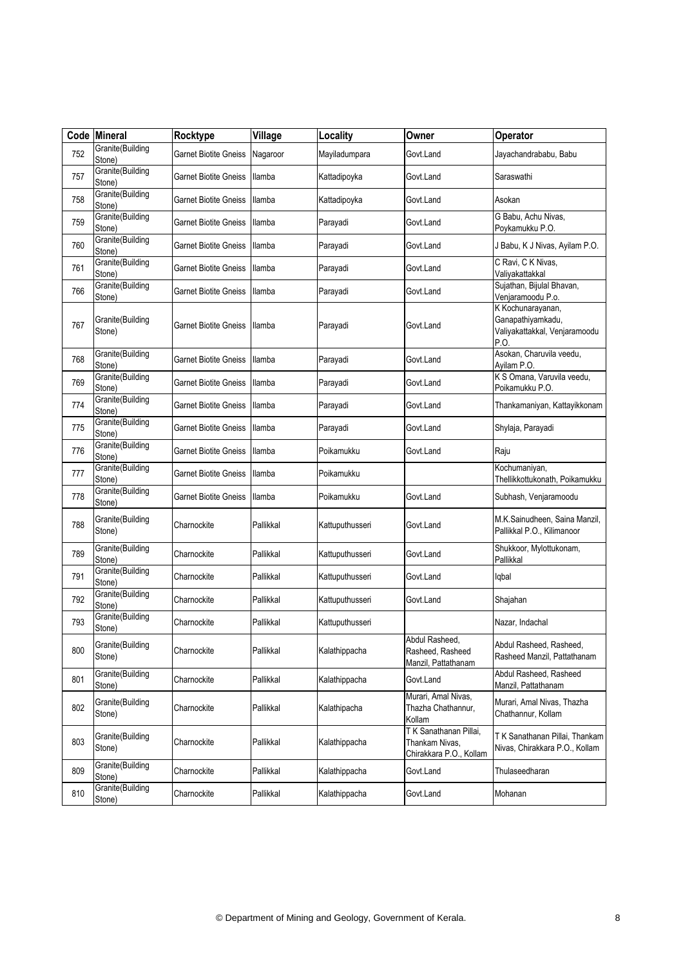|     | Code Mineral               | Rocktype                     | Village       | Locality        | Owner                                                              | Operator                                                                        |
|-----|----------------------------|------------------------------|---------------|-----------------|--------------------------------------------------------------------|---------------------------------------------------------------------------------|
| 752 | Granite(Building<br>Stone) | Garnet Biotite Gneiss        | Nagaroor      | Mayiladumpara   | Govt.Land                                                          | Jayachandrababu, Babu                                                           |
| 757 | Granite(Building<br>Stone) | Garnet Biotite Gneiss        | llamba        | Kattadipoyka    | Govt.Land                                                          | Saraswathi                                                                      |
| 758 | Granite(Building<br>Stone) | Garnet Biotite Gneiss        | Ilamba        | Kattadipoyka    | Govt.Land                                                          | Asokan                                                                          |
| 759 | Granite(Building<br>Stone) | Garnet Biotite Gneiss        | Ilamba        | Parayadi        | Govt.Land                                                          | G Babu, Achu Nivas,<br>Poykamukku P.O.                                          |
| 760 | Granite(Building<br>Stone) | Garnet Biotite Gneiss        | <b>Ilamba</b> | Parayadi        | Govt.Land                                                          | J Babu, K J Nivas, Ayilam P.O.                                                  |
| 761 | Granite(Building<br>Stone) | Garnet Biotite Gneiss        | <b>Ilamba</b> | Parayadi        | Govt.Land                                                          | C Ravi, C K Nivas,<br>Valiyakattakkal                                           |
| 766 | Granite(Building<br>Stone) | Garnet Biotite Gneiss        | llamba        | Parayadi        | Govt.Land                                                          | Sujathan, Bijulal Bhavan,<br>Venjaramoodu P.o.                                  |
| 767 | Granite(Building<br>Stone) | Garnet Biotite Gneiss        | Ilamba        | Parayadi        | Govt.Land                                                          | K Kochunarayanan,<br>Ganapathiyamkadu,<br>Valiyakattakkal, Venjaramoodu<br>P.O. |
| 768 | Granite(Building<br>Stone) | Garnet Biotite Gneiss        | <b>Ilamba</b> | Parayadi        | Govt.Land                                                          | Asokan, Charuvila veedu,<br>Ayilam P.O.                                         |
| 769 | Granite(Building<br>Stone) | <b>Garnet Biotite Gneiss</b> | llamba        | Parayadi        | Govt.Land                                                          | K S Omana, Varuvila veedu,<br>Poikamukku P.O.                                   |
| 774 | Granite(Building<br>Stone) | Garnet Biotite Gneiss        | <b>Ilamba</b> | Parayadi        | Govt.Land                                                          | Thankamaniyan, Kattayikkonam                                                    |
| 775 | Granite(Building<br>Stone) | <b>Garnet Biotite Gneiss</b> | Ilamba        | Parayadi        | Govt.Land                                                          | Shylaja, Parayadi                                                               |
| 776 | Granite(Building<br>Stone) | Garnet Biotite Gneiss        | <b>Ilamba</b> | Poikamukku      | Govt.Land                                                          | Raju                                                                            |
| 777 | Granite(Building<br>Stone) | Garnet Biotite Gneiss        | Ilamba        | Poikamukku      |                                                                    | Kochumaniyan,<br>Thellikkottukonath, Poikamukku                                 |
| 778 | Granite(Building<br>Stone) | Garnet Biotite Gneiss        | llamba        | Poikamukku      | Govt.Land                                                          | Subhash, Venjaramoodu                                                           |
| 788 | Granite(Building<br>Stone) | Charnockite                  | Pallikkal     | Kattuputhusseri | Govt.Land                                                          | M.K.Sainudheen, Saina Manzil,<br>Pallikkal P.O., Kilimanoor                     |
| 789 | Granite(Building<br>Stone) | Charnockite                  | Pallikkal     | Kattuputhusseri | Govt.Land                                                          | Shukkoor, Mylottukonam,<br>Pallikkal                                            |
| 791 | Granite(Building<br>Stone) | Charnockite                  | Pallikkal     | Kattuputhusseri | Govt.Land                                                          | lqbal                                                                           |
| 792 | Granite(Building<br>Stone) | Charnockite                  | Pallikkal     | Kattuputhusseri | Govt.Land                                                          | Shajahan                                                                        |
| 793 | Granite(Building<br>Stone) | Charnockite                  | Pallikkal     | Kattuputhusseri |                                                                    | Nazar, Indachal                                                                 |
| 800 | Granite(Building<br>Stone) | Charnockite                  | Pallikkal     | Kalathippacha   | Abdul Rasheed,<br>Rasheed, Rasheed<br>Manzil, Pattathanam          | Abdul Rasheed, Rasheed,<br>Rasheed Manzil, Pattathanam                          |
| 801 | Granite(Building<br>Stone) | Charnockite                  | Pallikkal     | Kalathippacha   | Govt.Land                                                          | Abdul Rasheed, Rasheed<br>Manzil, Pattathanam                                   |
| 802 | Granite(Building<br>Stone) | Charnockite                  | Pallikkal     | Kalathipacha    | Murari, Amal Nivas,<br>Thazha Chathannur,<br>Kollam                | Murari, Amal Nivas, Thazha<br>Chathannur, Kollam                                |
| 803 | Granite(Building<br>Stone) | Charnockite                  | Pallikkal     | Kalathippacha   | TK Sanathanan Pillai,<br>Thankam Nivas,<br>Chirakkara P.O., Kollam | TK Sanathanan Pillai, Thankam<br>Nivas, Chirakkara P.O., Kollam                 |
| 809 | Granite(Building<br>Stone) | Charnockite                  | Pallikkal     | Kalathippacha   | Govt.Land                                                          | Thulaseedharan                                                                  |
| 810 | Granite(Building<br>Stone) | Charnockite                  | Pallikkal     | Kalathippacha   | Govt.Land                                                          | Mohanan                                                                         |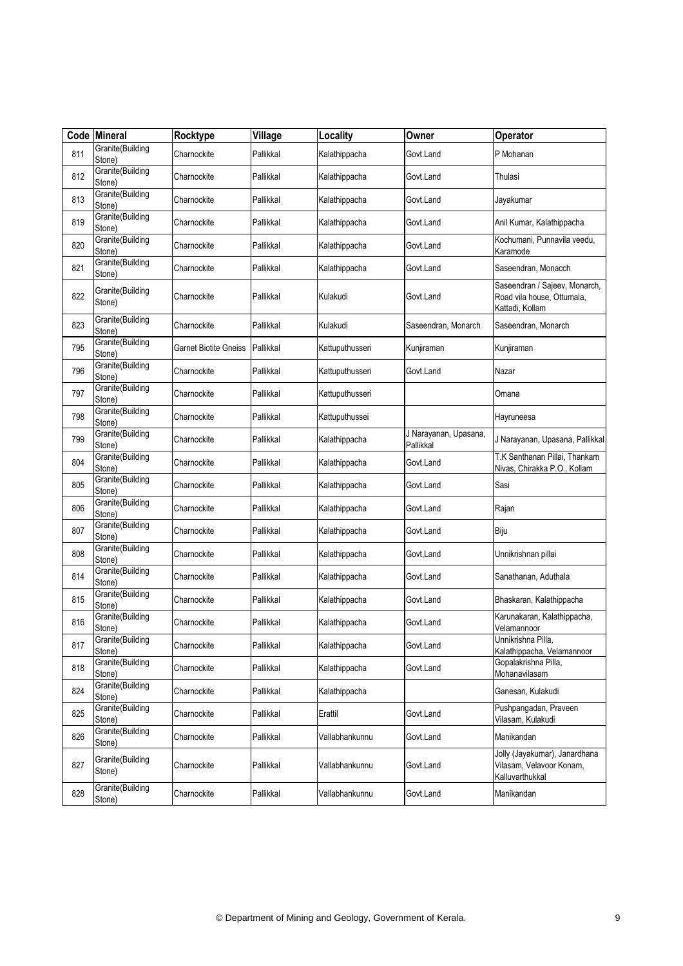| Code | <b>Mineral</b>             | Rocktype              | Village   | Locality        | Owner                              | Operator                                                                       |
|------|----------------------------|-----------------------|-----------|-----------------|------------------------------------|--------------------------------------------------------------------------------|
| 811  | Granite(Building<br>Stone) | Charnockite           | Pallikkal | Kalathippacha   | Govt.Land                          | P Mohanan                                                                      |
| 812  | Granite(Building<br>Stone) | Charnockite           | Pallikkal | Kalathippacha   | Govt.Land                          | Thulasi                                                                        |
| 813  | Granite(Building<br>Stone) | Charnockite           | Pallikkal | Kalathippacha   | Govt.Land                          | Jayakumar                                                                      |
| 819  | Granite(Building<br>Stone) | Charnockite           | Pallikkal | Kalathippacha   | Govt.Land                          | Anil Kumar, Kalathippacha                                                      |
| 820  | Granite(Building<br>Stone) | Charnockite           | Pallikkal | Kalathippacha   | Govt.Land                          | Kochumani, Punnavila veedu,<br>Karamode                                        |
| 821  | Granite(Building<br>Stone) | Charnockite           | Pallikkal | Kalathippacha   | Govt.Land                          | Saseendran, Monacch                                                            |
| 822  | Granite(Building<br>Stone) | Charnockite           | Pallikkal | Kulakudi        | Govt.Land                          | Saseendran / Sajeev, Monarch,<br>Road vila house, Ottumala,<br>Kattadi, Kollam |
| 823  | Granite(Building<br>Stone) | Charnockite           | Pallikkal | Kulakudi        | Saseendran, Monarch                | Saseendran, Monarch                                                            |
| 795  | Granite(Building<br>Stone) | Garnet Biotite Gneiss | Pallikkal | Kattuputhusseri | Kunjiraman                         | Kunjiraman                                                                     |
| 796  | Granite(Building<br>Stone) | Charnockite           | Pallikkal | Kattuputhusseri | Govt.Land                          | Nazar                                                                          |
| 797  | Granite(Building<br>Stone) | Charnockite           | Pallikkal | Kattuputhusseri |                                    | Omana                                                                          |
| 798  | Granite(Building<br>Stone) | Charnockite           | Pallikkal | Kattuputhussei  |                                    | Hayruneesa                                                                     |
| 799  | Granite(Building<br>Stone) | Charnockite           | Pallikkal | Kalathippacha   | J Narayanan, Upasana,<br>Pallikkal | J Narayanan, Upasana, Pallikkal                                                |
| 804  | Granite(Building<br>Stone) | Charnockite           | Pallikkal | Kalathippacha   | Govt.Land                          | T.K Santhanan Pillai, Thankam<br>Nivas, Chirakka P.O., Kollam                  |
| 805  | Granite(Building<br>Stone) | Charnockite           | Pallikkal | Kalathippacha   | Govt.Land                          | Sasi                                                                           |
| 806  | Granite(Building<br>Stone) | Charnockite           | Pallikkal | Kalathippacha   | Govt.Land                          | Rajan                                                                          |
| 807  | Granite(Building<br>Stone) | Charnockite           | Pallikkal | Kalathippacha   | Govt.Land                          | Biju                                                                           |
| 808  | Granite(Building<br>Stone) | Charnockite           | Pallikkal | Kalathippacha   | Govt,Land                          | Unnikrishnan pillai                                                            |
| 814  | Granite(Building<br>Stone) | Charnockite           | Pallikkal | Kalathippacha   | Govt.Land                          | Sanathanan, Aduthala                                                           |
| 815  | Granite(Building<br>Stone) | Charnockite           | Pallikkal | Kalathippacha   | Govt.Land                          | Bhaskaran, Kalathippacha                                                       |
| 816  | Granite(Building<br>Stone) | Charnockite           | Pallikkal | Kalathippacha   | Govt.Land                          | Karunakaran, Kalathippacha,<br>Velamannoor                                     |
| 817  | Granite(Building<br>Stone) | Charnockite           | Pallikkal | Kalathippacha   | Govt.Land                          | Unnikrishna Pilla,<br>Kalathippacha, Velamannoor                               |
| 818  | Granite(Building<br>Stone) | Charnockite           | Pallikkal | Kalathippacha   | Govt.Land                          | Gopalakrishna Pilla,<br>Mohanavilasam                                          |
| 824  | Granite(Building<br>Stone) | Charnockite           | Pallikkal | Kalathippacha   |                                    | Ganesan, Kulakudi                                                              |
| 825  | Granite(Building<br>Stone) | Charnockite           | Pallikkal | Erattil         | Govt.Land                          | Pushpangadan, Praveen<br>Vilasam, Kulakudi                                     |
| 826  | Granite(Building<br>Stone) | Charnockite           | Pallikkal | Vallabhankunnu  | Govt.Land                          | Manikandan                                                                     |
| 827  | Granite(Building<br>Stone) | Charnockite           | Pallikkal | Vallabhankunnu  | Govt.Land                          | Jolly (Jayakumar), Janardhana<br>Vilasam, Velavoor Konam,<br>Kalluvarthukkal   |
| 828  | Granite(Building<br>Stone) | Charnockite           | Pallikkal | Vallabhankunnu  | Govt.Land                          | Manikandan                                                                     |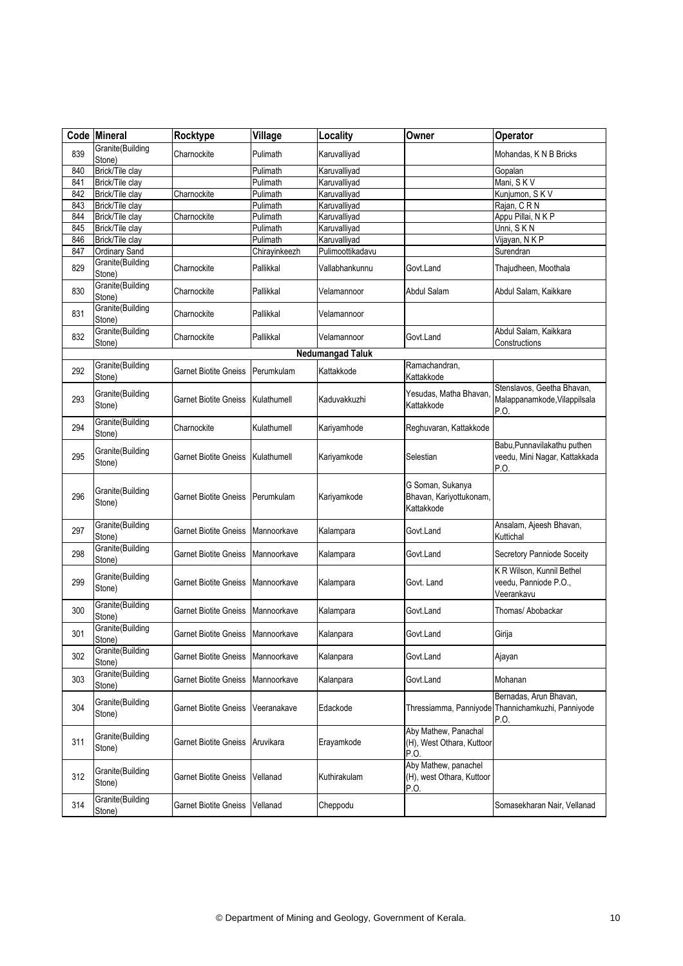| Code | Mineral                    | Rocktype                            | Village       | Locality                | Owner                                                     | Operator                                                                            |
|------|----------------------------|-------------------------------------|---------------|-------------------------|-----------------------------------------------------------|-------------------------------------------------------------------------------------|
| 839  | Granite(Building<br>Stone) | Charnockite                         | Pulimath      | Karuvalliyad            |                                                           | Mohandas, K N B Bricks                                                              |
| 840  | Brick/Tile clay            |                                     | Pulimath      | Karuvalliyad            |                                                           | Gopalan                                                                             |
| 841  | Brick/Tile clay            |                                     | Pulimath      | Karuvalliyad            |                                                           | Mani, SKV                                                                           |
| 842  | Brick/Tile clay            | Charnockite                         | Pulimath      | Karuvalliyad            |                                                           | Kunjumon, SKV                                                                       |
| 843  | Brick/Tile clay            |                                     | Pulimath      | Karuvalliyad            |                                                           | Rajan, CRN                                                                          |
| 844  | Brick/Tile clay            | Charnockite                         | Pulimath      | Karuvalliyad            |                                                           | Appu Pillai, N K P                                                                  |
| 845  | Brick/Tile clay            |                                     | Pulimath      | Karuvalliyad            |                                                           | Unni, SKN                                                                           |
| 846  | Brick/Tile clay            |                                     | Pulimath      | Karuvalliyad            |                                                           | Vijayan, NKP                                                                        |
| 847  | Ordinary Sand              |                                     | Chirayinkeezh | Pulimoottikadavu        |                                                           | Surendran                                                                           |
| 829  | Granite(Building<br>Stone) | Charnockite                         | Pallikkal     | Vallabhankunnu          | Govt.Land                                                 | Thajudheen, Moothala                                                                |
| 830  | Granite(Building<br>Stone) | Charnockite                         | Pallikkal     | Velamannoor             | Abdul Salam                                               | Abdul Salam, Kaikkare                                                               |
| 831  | Granite(Building<br>Stone) | Charnockite                         | Pallikkal     | Velamannoor             |                                                           |                                                                                     |
| 832  | Granite(Building<br>Stone) | Charnockite                         | Pallikkal     | Velamannoor             | Govt.Land                                                 | Abdul Salam, Kaikkara<br>Constructions                                              |
|      |                            |                                     |               | <b>Nedumangad Taluk</b> |                                                           |                                                                                     |
| 292  | Granite(Building<br>Stone) | Garnet Biotite Gneiss               | Perumkulam    | Kattakkode              | Ramachandran,<br>Kattakkode                               |                                                                                     |
| 293  | Granite(Building<br>Stone) | Garnet Biotite Gneiss               | Kulathumell   | Kaduvakkuzhi            | Yesudas, Matha Bhavan,<br>Kattakkode                      | Stenslavos, Geetha Bhavan,<br>Malappanamkode, Vilappilsala<br>P.O.                  |
| 294  | Granite(Building<br>Stone) | Charnockite                         | Kulathumell   | Kariyamhode             | Reghuvaran, Kattakkode                                    |                                                                                     |
| 295  | Granite(Building<br>Stone) | Garnet Biotite Gneiss               | Kulathumell   | Kariyamkode             | Selestian                                                 | Babu, Punnavilakathu puthen<br>veedu, Mini Nagar, Kattakkada<br>P.O.                |
| 296  | Granite(Building<br>Stone) | Garnet Biotite Gneiss               | Perumkulam    | Kariyamkode             | G Soman, Sukanya<br>Bhavan, Kariyottukonam,<br>Kattakkode |                                                                                     |
| 297  | Granite(Building<br>Stone) | Garnet Biotite Gneiss               | Mannoorkave   | Kalampara               | Govt.Land                                                 | Ansalam, Ajeesh Bhavan,<br>Kuttichal                                                |
| 298  | Granite(Building<br>Stone) | Garnet Biotite Gneiss               | Mannoorkave   | Kalampara               | Govt.Land                                                 | Secretory Panniode Soceity                                                          |
| 299  | Granite(Building<br>Stone) | <b>Garnet Biotite Gneiss</b>        | Mannoorkave   | Kalampara               | Govt. Land                                                | K R Wilson, Kunnil Bethel<br>veedu, Panniode P.O.,<br>Veerankavu                    |
| 300  | Granite(Building<br>Stone) | Garnet Biotite Gneiss               | Mannoorkave   | Kalampara               | Govt.Land                                                 | Thomas/ Abobackar                                                                   |
| 301  | Granite(Building<br>Stone) | Garnet Biotite Gneiss   Mannoorkave |               | Kalanpara               | Govt.Land                                                 | Girija                                                                              |
| 302  | Granite(Building<br>Stone) | Garnet Biotite Gneiss               | Mannoorkave   | Kalanpara               | Govt.Land                                                 | Ajayan                                                                              |
| 303  | Granite(Building<br>Stone) | <b>Garnet Biotite Gneiss</b>        | Mannoorkave   | Kalanpara               | Govt.Land                                                 | Mohanan                                                                             |
| 304  | Granite(Building<br>Stone) | <b>Garnet Biotite Gneiss</b>        | Veeranakave   | Edackode                |                                                           | Bernadas, Arun Bhavan,<br>Thressiamma, Panniyode Thannichamkuzhi, Panniyode<br>P.O. |
| 311  | Granite(Building<br>Stone) | <b>Garnet Biotite Gneiss</b>        | Aruvikara     | Erayamkode              | Aby Mathew, Panachal<br>(H), West Othara, Kuttoor<br>P.O. |                                                                                     |
| 312  | Granite(Building<br>Stone) | Garnet Biotite Gneiss               | Vellanad      | Kuthirakulam            | Aby Mathew, panachel<br>(H), west Othara, Kuttoor<br>P.O. |                                                                                     |
| 314  | Granite(Building<br>Stone) | Garnet Biotite Gneiss               | Vellanad      | Cheppodu                |                                                           | Somasekharan Nair, Vellanad                                                         |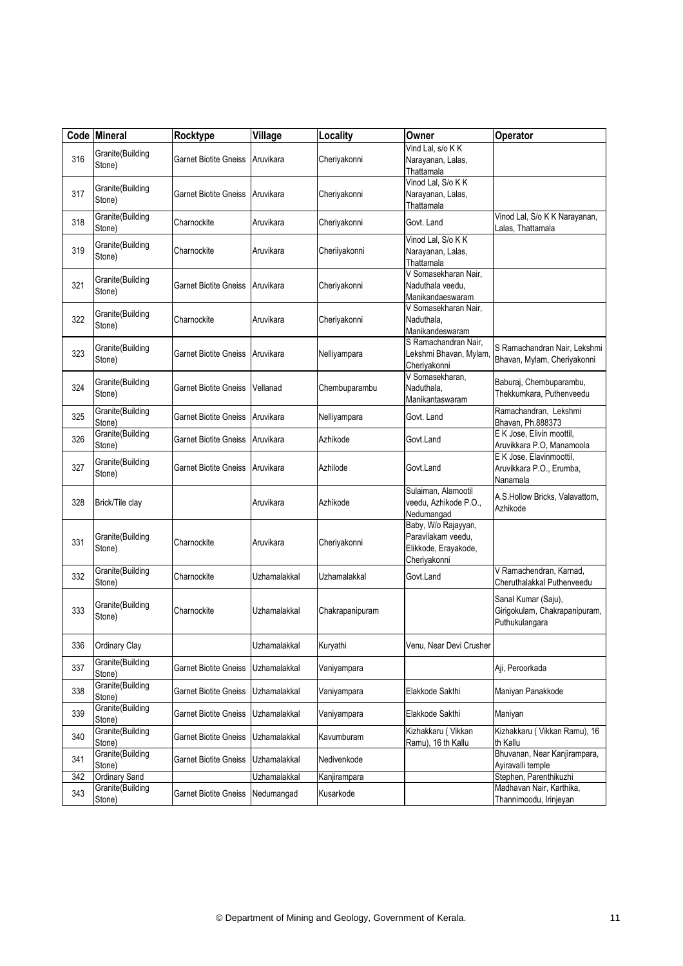|     | Code Mineral               | Rocktype                     | Village      | Locality        | Owner                                                                             | Operator                                                               |
|-----|----------------------------|------------------------------|--------------|-----------------|-----------------------------------------------------------------------------------|------------------------------------------------------------------------|
| 316 | Granite(Building<br>Stone) | Garnet Biotite Gneiss        | Aruvikara    | Cheriyakonni    | Vind Lal, s/o K K<br>Narayanan, Lalas,<br>Thattamala                              |                                                                        |
| 317 | Granite(Building<br>Stone) | Garnet Biotite Gneiss        | Aruvikara    | Cheriyakonni    | Vinod Lal, S/o K K<br>Narayanan, Lalas,<br>Thattamala                             |                                                                        |
| 318 | Granite(Building<br>Stone) | Charnockite                  | Aruvikara    | Cheriyakonni    | Govt. Land                                                                        | Vinod Lal, S/o K K Narayanan,<br>Lalas, Thattamala                     |
| 319 | Granite(Building<br>Stone) | Charnockite                  | Aruvikara    | Cheriiyakonni   | Vinod Lal, S/o K K<br>Narayanan, Lalas,<br>Thattamala                             |                                                                        |
| 321 | Granite(Building<br>Stone) | <b>Garnet Biotite Gneiss</b> | Aruvikara    | Cheriyakonni    | V Somasekharan Nair.<br>Naduthala veedu,<br>Manikandaeswaram                      |                                                                        |
| 322 | Granite(Building<br>Stone) | Charnockite                  | Aruvikara    | Cheriyakonni    | V Somasekharan Nair,<br>Naduthala,<br>Manikandeswaram                             |                                                                        |
| 323 | Granite(Building<br>Stone) | Garnet Biotite Gneiss        | Aruvikara    | Nelliyampara    | S Ramachandran Nair,<br>Lekshmi Bhavan, Mylam,<br>Cheriyakonni                    | S Ramachandran Nair, Lekshmi<br>Bhavan, Mylam, Cheriyakonni            |
| 324 | Granite(Building<br>Stone) | Garnet Biotite Gneiss        | Vellanad     | Chembuparambu   | V Somasekharan,<br>Naduthala,<br>Manikantaswaram                                  | Baburaj, Chembuparambu,<br>Thekkumkara, Puthenveedu                    |
| 325 | Granite(Building<br>Stone) | Garnet Biotite Gneiss        | Aruvikara    | Nelliyampara    | Govt. Land                                                                        | Ramachandran, Lekshmi<br>Bhavan, Ph.888373                             |
| 326 | Granite(Building<br>Stone) | Garnet Biotite Gneiss        | Aruvikara    | Azhikode        | Govt.Land                                                                         | E K Jose, Elivin moottil,<br>Aruvikkara P.O, Manamoola                 |
| 327 | Granite(Building<br>Stone) | Garnet Biotite Gneiss        | Aruvikara    | Azhilode        | Govt.Land                                                                         | E K Jose, Elavinmoottil,<br>Aruvikkara P.O., Erumba,<br>Nanamala       |
| 328 | Brick/Tile clay            |                              | Aruvikara    | Azhikode        | Sulaiman, Alamootil<br>veedu, Azhikode P.O.,<br>Nedumangad                        | A.S.Hollow Bricks, Valavattom,<br>Azhikode                             |
| 331 | Granite(Building<br>Stone) | Charnockite                  | Aruvikara    | Cheriyakonni    | Baby, W/o Rajayyan,<br>Paravilakam veedu.<br>Elikkode, Erayakode,<br>Cheriyakonni |                                                                        |
| 332 | Granite(Building<br>Stone) | Charnockite                  | Uzhamalakkal | Uzhamalakkal    | Govt.Land                                                                         | V Ramachendran, Karnad,<br>Cheruthalakkal Puthenveedu                  |
| 333 | Granite(Building<br>Stone) | Charnockite                  | Uzhamalakkal | Chakrapanipuram |                                                                                   | Sanal Kumar (Saju),<br>Girigokulam, Chakrapanipuram,<br>Puthukulangara |
| 336 | Ordinary Clay              |                              | Uzhamalakkal | Kuryathi        | Venu, Near Devi Crusher                                                           |                                                                        |
| 337 | Granite(Building<br>Stone) | Garnet Biotite Gneiss        | Uzhamalakkal | Vaniyampara     |                                                                                   | Aji, Peroorkada                                                        |
| 338 | Granite(Building<br>Stone) | <b>Garnet Biotite Gneiss</b> | Uzhamalakkal | Vaniyampara     | Elakkode Sakthi                                                                   | Maniyan Panakkode                                                      |
| 339 | Granite(Building<br>Stone) | Garnet Biotite Gneiss        | Uzhamalakkal | Vaniyampara     | Elakkode Sakthi                                                                   | Maniyan                                                                |
| 340 | Granite(Building<br>Stone) | <b>Garnet Biotite Gneiss</b> | Uzhamalakkal | Kavumburam      | Kizhakkaru (Vikkan<br>Ramu), 16 th Kallu                                          | Kizhakkaru (Vikkan Ramu), 16<br>th Kallu                               |
| 341 | Granite(Building<br>Stone) | <b>Garnet Biotite Gneiss</b> | Uzhamalakkal | Nedivenkode     |                                                                                   | Bhuvanan, Near Kanjirampara,<br>Ayiravalli temple                      |
| 342 | <b>Ordinary Sand</b>       |                              | Uzhamalakkal | Kanjirampara    |                                                                                   | Stephen, Parenthikuzhi                                                 |
| 343 | Granite(Building<br>Stone) | Garnet Biotite Gneiss        | Nedumangad   | Kusarkode       |                                                                                   | Madhavan Nair, Karthika,<br>Thannimoodu, Irinjeyan                     |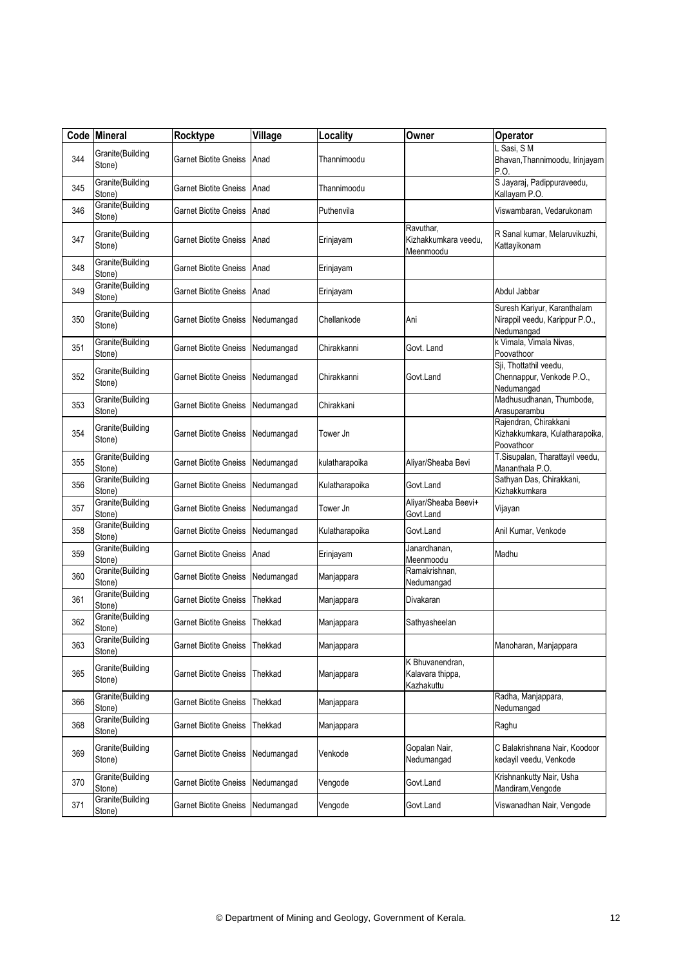|     | Code Mineral               | Rocktype                     | Village    | Locality       | Owner                                             | Operator                                                                    |
|-----|----------------------------|------------------------------|------------|----------------|---------------------------------------------------|-----------------------------------------------------------------------------|
| 344 | Granite(Building<br>Stone) | Garnet Biotite Gneiss        | Anad       | Thannimoodu    |                                                   | L Sasi, SM<br>Bhavan, Thannimoodu, Irinjayam<br>P.O.                        |
| 345 | Granite(Building<br>Stone) | Garnet Biotite Gneiss        | Anad       | Thannimoodu    |                                                   | S Jayaraj, Padippuraveedu,<br>Kallayam P.O.                                 |
| 346 | Granite(Building<br>Stone) | Garnet Biotite Gneiss        | Anad       | Puthenvila     |                                                   | Viswambaran, Vedarukonam                                                    |
| 347 | Granite(Building<br>Stone) | Garnet Biotite Gneiss        | Anad       | Erinjayam      | Ravuthar,<br>Kizhakkumkara veedu,<br>Meenmoodu    | R Sanal kumar, Melaruvikuzhi,<br>Kattayikonam                               |
| 348 | Granite(Building<br>Stone) | Garnet Biotite Gneiss        | Anad       | Erinjayam      |                                                   |                                                                             |
| 349 | Granite(Building<br>Stone) | Garnet Biotite Gneiss        | Anad       | Erinjayam      |                                                   | Abdul Jabbar                                                                |
| 350 | Granite(Building<br>Stone) | Garnet Biotite Gneiss        | Nedumangad | Chellankode    | Ani                                               | Suresh Kariyur, Karanthalam<br>Nirappil veedu, Karippur P.O.,<br>Nedumangad |
| 351 | Granite(Building<br>Stone) | Garnet Biotite Gneiss        | Nedumangad | Chirakkanni    | Govt. Land                                        | k Vimala, Vimala Nivas,<br>Poovathoor                                       |
| 352 | Granite(Building<br>Stone) | Garnet Biotite Gneiss        | Nedumangad | Chirakkanni    | Govt.Land                                         | Sji, Thottathil veedu,<br>Chennappur, Venkode P.O.,<br>Nedumangad           |
| 353 | Granite(Building<br>Stone) | Garnet Biotite Gneiss        | Nedumangad | Chirakkani     |                                                   | Madhusudhanan, Thumbode,<br>Arasuparambu                                    |
| 354 | Granite(Building<br>Stone) | <b>Garnet Biotite Gneiss</b> | Nedumangad | Tower Jn       |                                                   | Rajendran, Chirakkani<br>Kizhakkumkara, Kulatharapoika,<br>Poovathoor       |
| 355 | Granite(Building<br>Stone) | <b>Garnet Biotite Gneiss</b> | Nedumangad | kulatharapoika | Aliyar/Sheaba Bevi                                | T.Sisupalan, Tharattayil veedu,<br>Mananthala P.O.                          |
| 356 | Granite(Building<br>Stone) | <b>Garnet Biotite Gneiss</b> | Nedumangad | Kulatharapoika | Govt.Land                                         | Sathyan Das, Chirakkani,<br>Kizhakkumkara                                   |
| 357 | Granite(Building<br>Stone) | Garnet Biotite Gneiss        | Nedumangad | Tower Jn       | Aliyar/Sheaba Beevi+<br>Govt.Land                 | Vijayan                                                                     |
| 358 | Granite(Building<br>Stone) | Garnet Biotite Gneiss        | Nedumangad | Kulatharapoika | Govt.Land                                         | Anil Kumar, Venkode                                                         |
| 359 | Granite(Building<br>Stone) | Garnet Biotite Gneiss        | Anad       | Erinjayam      | Janardhanan,<br>Meenmoodu                         | Madhu                                                                       |
| 360 | Granite(Building<br>Stone) | Garnet Biotite Gneiss        | Nedumangad | Manjappara     | Ramakrishnan,<br>Nedumangad                       |                                                                             |
| 361 | Granite(Building<br>Stone) | <b>Garnet Biotite Gneiss</b> | Thekkad    | Manjappara     | Divakaran                                         |                                                                             |
| 362 | Granite(Building<br>Stone) | Garnet Biotite Gneiss        | Thekkad    | Manjappara     | Sathyasheelan                                     |                                                                             |
| 363 | Granite(Building<br>Stone) | Garnet Biotite Gneiss        | Thekkad    | Manjappara     |                                                   | Manoharan, Manjappara                                                       |
| 365 | Granite(Building<br>Stone) | Garnet Biotite Gneiss        | Thekkad    | Manjappara     | K Bhuvanendran,<br>Kalavara thippa,<br>Kazhakuttu |                                                                             |
| 366 | Granite(Building<br>Stone) | <b>Garnet Biotite Gneiss</b> | Thekkad    | Manjappara     |                                                   | Radha, Manjappara,<br>Nedumangad                                            |
| 368 | Granite(Building<br>Stone) | Garnet Biotite Gneiss        | Thekkad    | Manjappara     |                                                   | Raghu                                                                       |
| 369 | Granite(Building<br>Stone) | <b>Garnet Biotite Gneiss</b> | Nedumangad | Venkode        | Gopalan Nair,<br>Nedumangad                       | C Balakrishnana Nair, Koodoor<br>kedayil veedu, Venkode                     |
| 370 | Granite(Building<br>Stone) | <b>Garnet Biotite Gneiss</b> | Nedumangad | Vengode        | Govt.Land                                         | Krishnankutty Nair, Usha<br>Mandiram, Vengode                               |
| 371 | Granite(Building<br>Stone) | <b>Garnet Biotite Gneiss</b> | Nedumangad | Vengode        | Govt.Land                                         | Viswanadhan Nair, Vengode                                                   |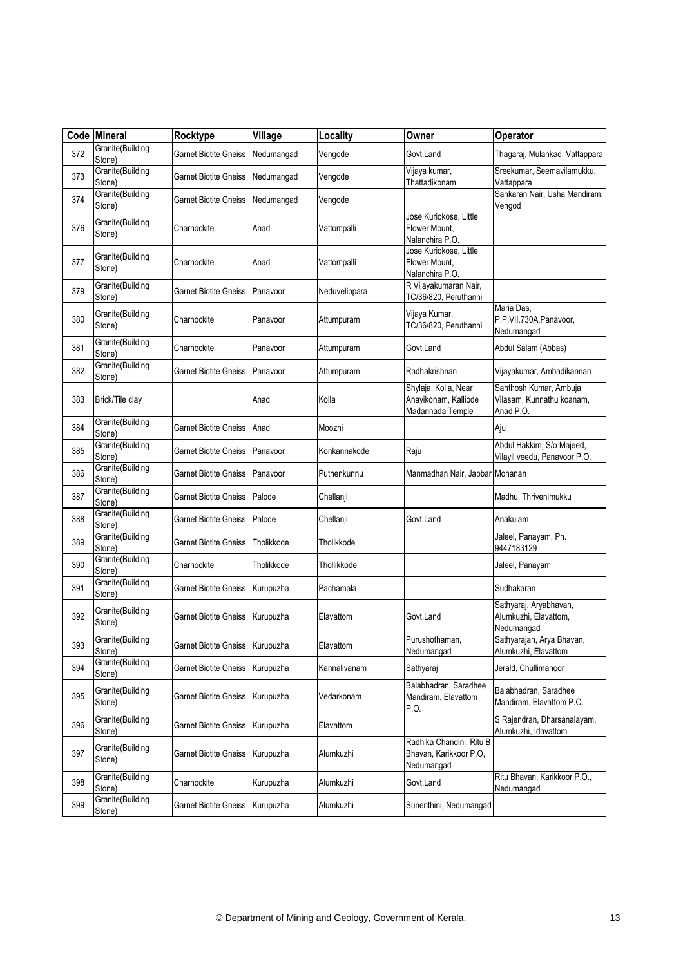|     | Code Mineral               | Rocktype                        | Village    | Locality      | Owner                                                            | Operator                                                         |
|-----|----------------------------|---------------------------------|------------|---------------|------------------------------------------------------------------|------------------------------------------------------------------|
| 372 | Granite(Building<br>Stone) | Garnet Biotite Gneiss           | Nedumangad | Vengode       | Govt.Land                                                        | Thagaraj, Mulankad, Vattappara                                   |
| 373 | Granite(Building<br>Stone) | <b>Garnet Biotite Gneiss</b>    | Nedumangad | Vengode       | Vijaya kumar,<br>Thattadikonam                                   | Sreekumar, Seemavilamukku,<br>Vattappara                         |
| 374 | Granite(Building<br>Stone) | Garnet Biotite Gneiss           | Nedumangad | Vengode       |                                                                  | Sankaran Nair, Usha Mandiram,<br>Vengod                          |
| 376 | Granite(Building<br>Stone) | Charnockite                     | Anad       | Vattompalli   | Jose Kuriokose, Little<br>Flower Mount,<br>Nalanchira P.O.       |                                                                  |
| 377 | Granite(Building<br>Stone) | Charnockite                     | Anad       | Vattompalli   | Jose Kuriokose, Little<br>Flower Mount,<br>Nalanchira P.O.       |                                                                  |
| 379 | Granite(Building<br>Stone) | Garnet Biotite Gneiss           | Panavoor   | Neduvelippara | R Vijayakumaran Nair,<br>TC/36/820, Peruthanni                   |                                                                  |
| 380 | Granite(Building<br>Stone) | Charnockite                     | Panavoor   | Attumpuram    | Vijaya Kumar,<br>TC/36/820, Peruthanni                           | Maria Das,<br>P.P.VII.730A,Panavoor,<br>Nedumangad               |
| 381 | Granite(Building<br>Stone) | Charnockite                     | Panavoor   | Attumpuram    | Govt.Land                                                        | Abdul Salam (Abbas)                                              |
| 382 | Granite(Building<br>Stone) | Garnet Biotite Gneiss           | Panavoor   | Attumpuram    | Radhakrishnan                                                    | Vijayakumar, Ambadikannan                                        |
| 383 | Brick/Tile clay            |                                 | Anad       | Kolla         | Shylaja, Kolla, Near<br>Anayikonam, Kalliode<br>Madannada Temple | Santhosh Kumar, Ambuja<br>Vilasam, Kunnathu koanam,<br>Anad P.O. |
| 384 | Granite(Building<br>Stone) | <b>Garnet Biotite Gneiss</b>    | Anad       | Moozhi        |                                                                  | Aju                                                              |
| 385 | Granite(Building<br>Stone) | Garnet Biotite Gneiss           | Panavoor   | Konkannakode  | Raju                                                             | Abdul Hakkim, S/o Majeed,<br>Vilayil veedu, Panavoor P.O.        |
| 386 | Granite(Building<br>Stone) | Garnet Biotite Gneiss           | Panavoor   | Puthenkunnu   | Manmadhan Nair, Jabbar Mohanan                                   |                                                                  |
| 387 | Granite(Building<br>Stone) | Garnet Biotite Gneiss           | Palode     | Chellanji     |                                                                  | Madhu, Thrivenimukku                                             |
| 388 | Granite(Building<br>Stone) | Garnet Biotite Gneiss           | Palode     | Chellanji     | Govt.Land                                                        | Anakulam                                                         |
| 389 | Granite(Building<br>Stone) | Garnet Biotite Gneiss           | Tholikkode | Tholikkode    |                                                                  | Jaleel, Panayam, Ph.<br>9447183129                               |
| 390 | Granite(Building<br>Stone) | Charnockite                     | Tholikkode | Thollikkode   |                                                                  | Jaleel, Panayam                                                  |
| 391 | Granite(Building<br>Stone) | Garnet Biotite Gneiss           | Kurupuzha  | Pachamala     |                                                                  | Sudhakaran                                                       |
| 392 | Granite(Building<br>Stone) | Garnet Biotite Gneiss           | Kurupuzha  | Elavattom     | Govt.Land                                                        | Sathyaraj, Aryabhavan,<br>Alumkuzhi, Elavattom,<br>Nedumangad    |
| 393 | Granite(Building<br>Stone) | Garnet Biotite Gneiss Kurupuzha |            | Elavattom     | Purushothaman,<br>Nedumangad                                     | Sathyarajan, Arya Bhavan,<br>Alumkuzhi, Elavattom                |
| 394 | Granite(Building<br>Stone) | Garnet Biotite Gneiss Kurupuzha |            | Kannalivanam  | Sathyaraj                                                        | Jerald, Chullimanoor                                             |
| 395 | Granite(Building<br>Stone) | Garnet Biotite Gneiss Kurupuzha |            | Vedarkonam    | Balabhadran, Saradhee<br>Mandiram, Elavattom<br>P.O.             | Balabhadran, Saradhee<br>Mandiram, Elavattom P.O.                |
| 396 | Granite(Building<br>Stone) | Garnet Biotite Gneiss Kurupuzha |            | Elavattom     |                                                                  | S Rajendran, Dharsanalayam,<br>Alumkuzhi, Idavattom              |
| 397 | Granite(Building<br>Stone) | <b>Garnet Biotite Gneiss</b>    | Kurupuzha  | Alumkuzhi     | Radhika Chandini, Ritu B<br>Bhavan, Karikkoor P.O.<br>Nedumangad |                                                                  |
| 398 | Granite(Building<br>Stone) | Charnockite                     | Kurupuzha  | Alumkuzhi     | Govt.Land                                                        | Ritu Bhavan, Karikkoor P.O.,<br>Nedumangad                       |
| 399 | Granite(Building<br>Stone) | <b>Garnet Biotite Gneiss</b>    | Kurupuzha  | Alumkuzhi     | Sunenthini, Nedumangad                                           |                                                                  |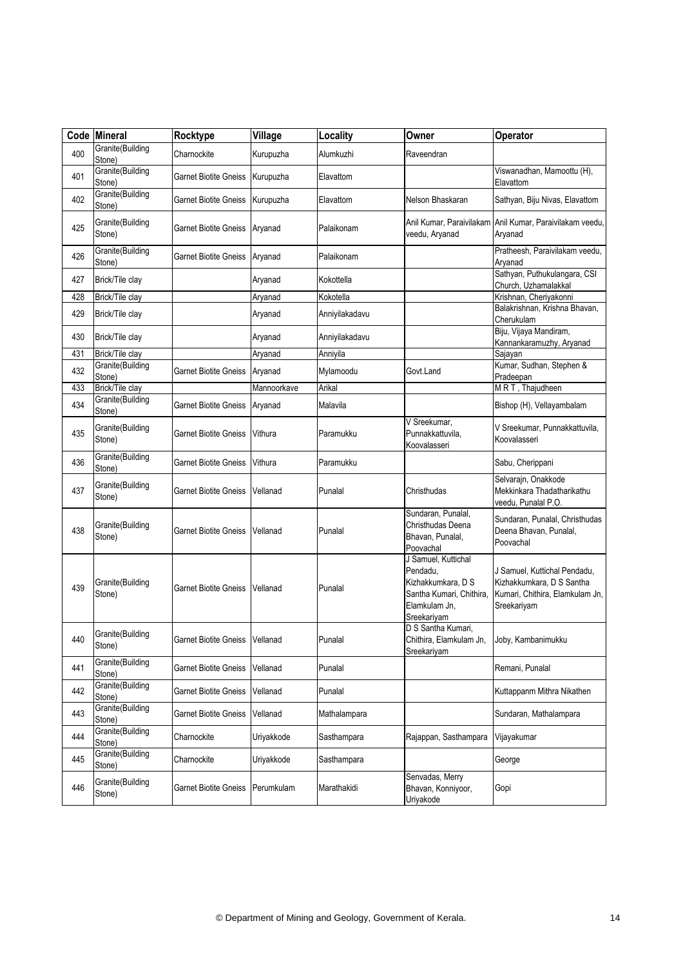| Code | <b>Mineral</b>             | Rocktype                       | Village     | Locality       | Owner                                                                                                             | Operator                                                                                                    |
|------|----------------------------|--------------------------------|-------------|----------------|-------------------------------------------------------------------------------------------------------------------|-------------------------------------------------------------------------------------------------------------|
| 400  | Granite(Building<br>Stone) | Charnockite                    | Kurupuzha   | Alumkuzhi      | Raveendran                                                                                                        |                                                                                                             |
| 401  | Granite(Building<br>Stone) | Garnet Biotite Gneiss          | Kurupuzha   | Elavattom      |                                                                                                                   | Viswanadhan, Mamoottu (H),<br>Elavattom                                                                     |
| 402  | Granite(Building<br>Stone) | Garnet Biotite Gneiss          | Kurupuzha   | Elavattom      | Nelson Bhaskaran                                                                                                  | Sathyan, Biju Nivas, Elavattom                                                                              |
| 425  | Granite(Building<br>Stone) | Garnet Biotite Gneiss Aryanad  |             | Palaikonam     | veedu, Aryanad                                                                                                    | Anil Kumar, Paraivilakam Anil Kumar, Paraivilakam veedu,<br>Aryanad                                         |
| 426  | Granite(Building<br>Stone) | Garnet Biotite Gneiss Aryanad  |             | Palaikonam     |                                                                                                                   | Pratheesh, Paraivilakam veedu,<br>Aryanad                                                                   |
| 427  | Brick/Tile clay            |                                | Aryanad     | Kokottella     |                                                                                                                   | Sathyan, Puthukulangara, CSI<br>Church, Uzhamalakkal                                                        |
| 428  | Brick/Tile clay            |                                | Aryanad     | Kokotella      |                                                                                                                   | Krishnan, Cheriyakonni                                                                                      |
| 429  | Brick/Tile clay            |                                | Aryanad     | Anniyilakadavu |                                                                                                                   | Balakrishnan, Krishna Bhavan,<br>Cherukulam                                                                 |
| 430  | Brick/Tile clay            |                                | Aryanad     | Anniyilakadavu |                                                                                                                   | Biju, Vijaya Mandiram,<br>Kannankaramuzhy, Aryanad                                                          |
| 431  | Brick/Tile clay            |                                | Aryanad     | Anniyila       |                                                                                                                   | Sajayan                                                                                                     |
| 432  | Granite(Building<br>Stone) | <b>Garnet Biotite Gneiss</b>   | Aryanad     | Mylamoodu      | Govt.Land                                                                                                         | Kumar, Sudhan, Stephen &<br>Pradeepan                                                                       |
| 433  | Brick/Tile clay            |                                | Mannoorkave | Arikal         |                                                                                                                   | MRT, Thajudheen                                                                                             |
| 434  | Granite(Building<br>Stone) | <b>Garnet Biotite Gneiss</b>   | Aryanad     | Malavila       |                                                                                                                   | Bishop (H), Vellayambalam                                                                                   |
| 435  | Granite(Building<br>Stone) | Garnet Biotite Gneiss          | Vithura     | Paramukku      | V Sreekumar,<br>Punnakkattuvila,<br>Koovalasseri                                                                  | V Sreekumar, Punnakkattuvila,<br>Koovalasseri                                                               |
| 436  | Granite(Building<br>Stone) | Garnet Biotite Gneiss          | Vithura     | Paramukku      |                                                                                                                   | Sabu, Cherippani                                                                                            |
| 437  | Granite(Building<br>Stone) | Garnet Biotite Gneiss          | Vellanad    | Punalal        | Christhudas                                                                                                       | Selvarajn, Onakkode<br>Mekkinkara Thadatharikathu<br>veedu, Punalal P.O.                                    |
| 438  | Granite(Building<br>Stone) | Garnet Biotite Gneiss          | Vellanad    | Punalal        | Sundaran, Punalal,<br>Christhudas Deena<br>Bhavan, Punalal,<br>Poovachal                                          | Sundaran, Punalal, Christhudas<br>Deena Bhavan, Punalal,<br>Poovachal                                       |
| 439  | Granite(Building<br>Stone) | Garnet Biotite Gneiss          | Vellanad    | Punalal        | J Samuel, Kuttichal<br>Pendadu.<br>Kizhakkumkara, D S<br>Santha Kumari, Chithira,<br>Elamkulam Jn,<br>Sreekariyam | J Samuel, Kuttichal Pendadu,<br>Kizhakkumkara, D S Santha<br>Kumari, Chithira, Elamkulam Jn,<br>Sreekariyam |
| 440  | Granite(Building<br>Stone) | Garnet Biotite Gneiss Vellanad |             | Punalal        | D S Santha Kumari,<br>Chithira, Elamkulam Jn,<br>Sreekariyam                                                      | Joby, Kambanimukku                                                                                          |
| 441  | Granite(Building<br>Stone) | <b>Garnet Biotite Gneiss</b>   | Vellanad    | Punalal        |                                                                                                                   | Remani, Punalal                                                                                             |
| 442  | Granite(Building<br>Stone) | <b>Garnet Biotite Gneiss</b>   | Vellanad    | Punalal        |                                                                                                                   | Kuttappanm Mithra Nikathen                                                                                  |
| 443  | Granite(Building<br>Stone) | Garnet Biotite Gneiss          | Vellanad    | Mathalampara   |                                                                                                                   | Sundaran, Mathalampara                                                                                      |
| 444  | Granite(Building<br>Stone) | Charnockite                    | Uriyakkode  | Sasthampara    | Rajappan, Sasthampara                                                                                             | Vijayakumar                                                                                                 |
| 445  | Granite(Building<br>Stone) | Charnockite                    | Uriyakkode  | Sasthampara    |                                                                                                                   | George                                                                                                      |
| 446  | Granite(Building<br>Stone) | <b>Garnet Biotite Gneiss</b>   | Perumkulam  | Marathakidi    | Senvadas, Merry<br>Bhavan, Konniyoor,<br>Uriyakode                                                                | Gopi                                                                                                        |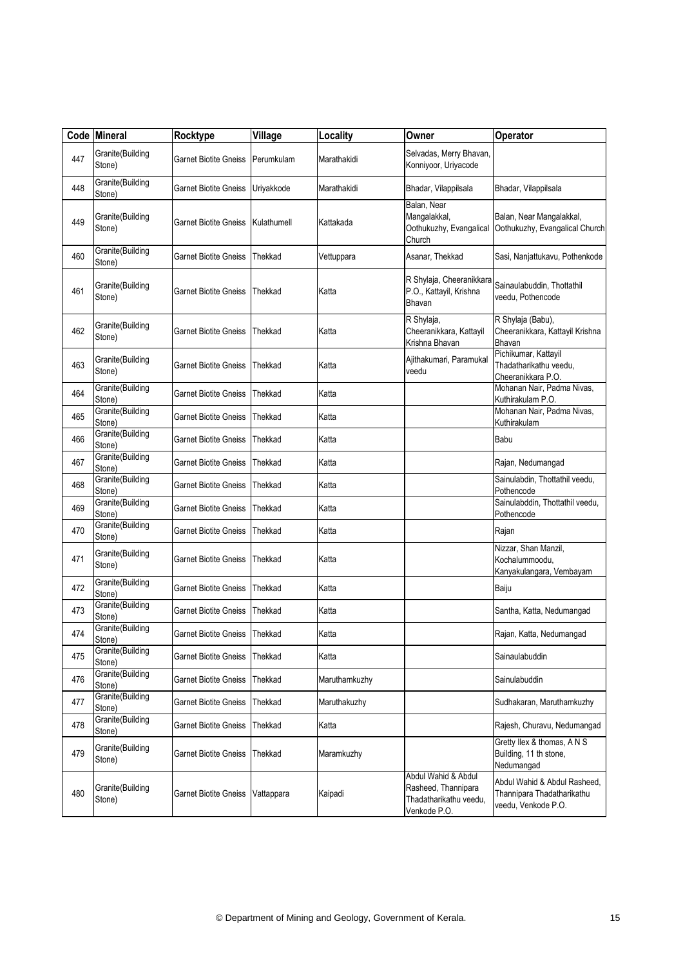|     | Code Mineral               | Rocktype                      | Village     | Locality      | Owner                                                                                | Operator                                                                          |
|-----|----------------------------|-------------------------------|-------------|---------------|--------------------------------------------------------------------------------------|-----------------------------------------------------------------------------------|
| 447 | Granite(Building<br>Stone) | Garnet Biotite Gneiss         | Perumkulam  | Marathakidi   | Selvadas, Merry Bhavan,<br>Konniyoor, Uriyacode                                      |                                                                                   |
| 448 | Granite(Building<br>Stone) | Garnet Biotite Gneiss         | Uriyakkode  | Marathakidi   | Bhadar, Vilappilsala                                                                 | Bhadar, Vilappilsala                                                              |
| 449 | Granite(Building<br>Stone) | Garnet Biotite Gneiss         | Kulathumell | Kattakada     | Balan, Near<br>Mangalakkal,<br>Oothukuzhy, Evangalical<br>Church                     | Balan, Near Mangalakkal,<br>Oothukuzhy, Evangalical Church                        |
| 460 | Granite(Building<br>Stone) | Garnet Biotite Gneiss         | Thekkad     | Vettuppara    | Asanar, Thekkad                                                                      | Sasi, Nanjattukavu, Pothenkode                                                    |
| 461 | Granite(Building<br>Stone) | Garnet Biotite Gneiss         | Thekkad     | Katta         | R Shylaja, Cheeranikkara<br>P.O., Kattayil, Krishna<br>Bhavan                        | Sainaulabuddin, Thottathil<br>veedu, Pothencode                                   |
| 462 | Granite(Building<br>Stone) | Garnet Biotite Gneiss         | Thekkad     | Katta         | R Shylaja,<br>Cheeranikkara, Kattayil<br>Krishna Bhavan                              | R Shylaja (Babu),<br>Cheeranikkara, Kattayil Krishna<br>Bhavan                    |
| 463 | Granite(Building<br>Stone) | Garnet Biotite Gneiss         | Thekkad     | Katta         | Ajithakumari, Paramukal<br>veedu                                                     | Pichikumar, Kattayil<br>Thadatharikathu veedu,<br>Cheeranikkara P.O.              |
| 464 | Granite(Building<br>Stone) | Garnet Biotite Gneiss         | Thekkad     | Katta         |                                                                                      | Mohanan Nair, Padma Nivas,<br>Kuthirakulam P.O                                    |
| 465 | Granite(Building<br>Stone) | Garnet Biotite Gneiss         | Thekkad     | Katta         |                                                                                      | Mohanan Nair, Padma Nivas,<br>Kuthirakulam                                        |
| 466 | Granite(Building<br>Stone) | Garnet Biotite Gneiss         | Thekkad     | Katta         |                                                                                      | Babu                                                                              |
| 467 | Granite(Building<br>Stone) | Garnet Biotite Gneiss         | Thekkad     | Katta         |                                                                                      | Rajan, Nedumangad                                                                 |
| 468 | Granite(Building<br>Stone) | Garnet Biotite Gneiss         | Thekkad     | Katta         |                                                                                      | Sainulabdin, Thottathil veedu,<br>Pothencode                                      |
| 469 | Granite(Building<br>Stone) | Garnet Biotite Gneiss         | Thekkad     | Katta         |                                                                                      | Sainulabddin, Thottathil veedu,<br>Pothencode                                     |
| 470 | Granite(Building<br>Stone) | Garnet Biotite Gneiss         | Thekkad     | Katta         |                                                                                      | Rajan                                                                             |
| 471 | Granite(Building<br>Stone) | Garnet Biotite Gneiss         | Thekkad     | Katta         |                                                                                      | Nizzar, Shan Manzil,<br>Kochalummoodu,<br>Kanyakulangara, Vembayam                |
| 472 | Granite(Building<br>Stone) | Garnet Biotite Gneiss         | Thekkad     | Katta         |                                                                                      | Baiju                                                                             |
| 473 | Granite(Building<br>Stone) | <b>Garnet Biotite Gneiss</b>  | Thekkad     | Katta         |                                                                                      | Santha, Katta, Nedumangad                                                         |
| 474 | Granite(Building<br>Stone) | Garnet Biotite Gneiss Thekkad |             | Katta         |                                                                                      | Rajan, Katta, Nedumangad                                                          |
| 475 | Granite(Building<br>Stone) | Garnet Biotite Gneiss         | Thekkad     | Katta         |                                                                                      | Sainaulabuddin                                                                    |
| 476 | Granite(Building<br>Stone) | <b>Garnet Biotite Gneiss</b>  | Thekkad     | Maruthamkuzhy |                                                                                      | Sainulabuddin                                                                     |
| 477 | Granite(Building<br>Stone) | Garnet Biotite Gneiss         | Thekkad     | Maruthakuzhy  |                                                                                      | Sudhakaran, Maruthamkuzhy                                                         |
| 478 | Granite(Building<br>Stone) | Garnet Biotite Gneiss         | Thekkad     | Katta         |                                                                                      | Rajesh, Churavu, Nedumangad                                                       |
| 479 | Granite(Building<br>Stone) | Garnet Biotite Gneiss         | Thekkad     | Maramkuzhy    |                                                                                      | Gretty Ilex & thomas, A N S<br>Building, 11 th stone,<br>Nedumangad               |
| 480 | Granite(Building<br>Stone) | <b>Garnet Biotite Gneiss</b>  | Vattappara  | Kaipadi       | Abdul Wahid & Abdul<br>Rasheed, Thannipara<br>Thadatharikathu veedu,<br>Venkode P.O. | Abdul Wahid & Abdul Rasheed,<br>Thannipara Thadatharikathu<br>veedu, Venkode P.O. |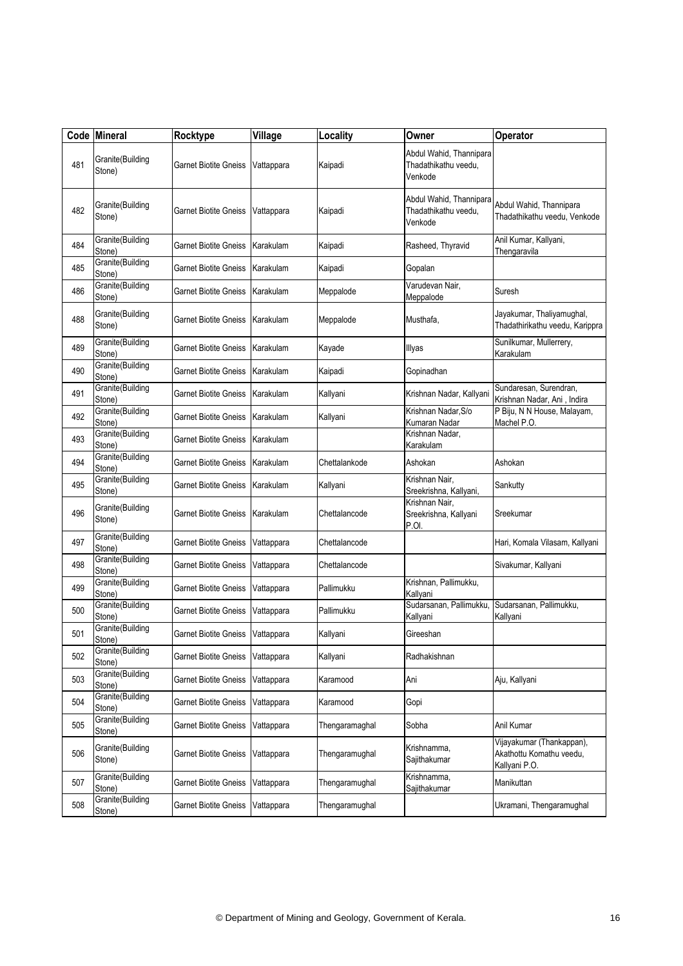|     | Code Mineral               | Rocktype                     | Village    | Locality       | Owner                                                      | Operator                                                               |
|-----|----------------------------|------------------------------|------------|----------------|------------------------------------------------------------|------------------------------------------------------------------------|
| 481 | Granite(Building<br>Stone) | Garnet Biotite Gneiss        | Vattappara | Kaipadi        | Abdul Wahid, Thannipara<br>Thadathikathu veedu,<br>Venkode |                                                                        |
| 482 | Granite(Building<br>Stone) | Garnet Biotite Gneiss        | Vattappara | Kaipadi        | Abdul Wahid, Thannipara<br>Thadathikathu veedu.<br>Venkode | Abdul Wahid, Thannipara<br>Thadathikathu veedu, Venkode                |
| 484 | Granite(Building<br>Stone) | <b>Garnet Biotite Gneiss</b> | Karakulam  | Kaipadi        | Rasheed, Thyravid                                          | Anil Kumar, Kallyani,<br>Thengaravila                                  |
| 485 | Granite(Building<br>Stone) | <b>Garnet Biotite Gneiss</b> | Karakulam  | Kaipadi        | Gopalan                                                    |                                                                        |
| 486 | Granite(Building<br>Stone) | Garnet Biotite Gneiss        | Karakulam  | Meppalode      | Varudevan Nair,<br>Meppalode                               | Suresh                                                                 |
| 488 | Granite(Building<br>Stone) | Garnet Biotite Gneiss        | Karakulam  | Meppalode      | Musthafa,                                                  | Jayakumar, Thaliyamughal,<br>Thadathirikathu veedu, Karippra           |
| 489 | Granite(Building<br>Stone) | Garnet Biotite Gneiss        | Karakulam  | Kayade         | Illyas                                                     | Sunilkumar, Mullerrery,<br>Karakulam                                   |
| 490 | Granite(Building<br>Stone) | <b>Garnet Biotite Gneiss</b> | Karakulam  | Kaipadi        | Gopinadhan                                                 |                                                                        |
| 491 | Granite(Building<br>Stone) | <b>Garnet Biotite Gneiss</b> | Karakulam  | Kallyani       | Krishnan Nadar, Kallyani                                   | Sundaresan, Surendran,<br>Krishnan Nadar, Ani, Indira                  |
| 492 | Granite(Building<br>Stone) | Garnet Biotite Gneiss        | Karakulam  | Kallyani       | Krishnan Nadar.S/o<br>Kumaran Nadar                        | P Biju, N N House, Malayam,<br>Machel P.O.                             |
| 493 | Granite(Building<br>Stone) | Garnet Biotite Gneiss        | Karakulam  |                | Krishnan Nadar,<br>Karakulam                               |                                                                        |
| 494 | Granite(Building<br>Stone) | Garnet Biotite Gneiss        | Karakulam  | Chettalankode  | Ashokan                                                    | Ashokan                                                                |
| 495 | Granite(Building<br>Stone) | Garnet Biotite Gneiss        | Karakulam  | Kallyani       | Krishnan Nair,<br>Sreekrishna, Kallyani,                   | Sankutty                                                               |
| 496 | Granite(Building<br>Stone) | Garnet Biotite Gneiss        | Karakulam  | Chettalancode  | Krishnan Nair,<br>Sreekrishna, Kallyani<br>P.OI.           | Sreekumar                                                              |
| 497 | Granite(Building<br>Stone) | Garnet Biotite Gneiss        | Vattappara | Chettalancode  |                                                            | Hari, Komala Vilasam, Kallyani                                         |
| 498 | Granite(Building<br>Stone) | Garnet Biotite Gneiss        | Vattappara | Chettalancode  |                                                            | Sivakumar, Kallyani                                                    |
| 499 | Granite(Building<br>Stone) | <b>Garnet Biotite Gneiss</b> | Vattappara | Pallimukku     | Krishnan, Pallimukku,<br>Kallyani                          |                                                                        |
| 500 | Granite(Building<br>Stone) | Garnet Biotite Gneiss        | Vattappara | Pallimukku     | Sudarsanan, Pallimukku,<br>Kallyani                        | Sudarsanan, Pallimukku,<br>Kallyani                                    |
| 501 | Granite(Building<br>Stone) | Garnet Biotite Gneiss        | Vattappara | Kallyani       | Gireeshan                                                  |                                                                        |
| 502 | Granite(Building<br>Stone) | <b>Garnet Biotite Gneiss</b> | Vattappara | Kallyani       | Radhakishnan                                               |                                                                        |
| 503 | Granite(Building<br>Stone) | <b>Garnet Biotite Gneiss</b> | Vattappara | Karamood       | Ani                                                        | Aju, Kallyani                                                          |
| 504 | Granite(Building<br>Stone) | <b>Garnet Biotite Gneiss</b> | Vattappara | Karamood       | Gopi                                                       |                                                                        |
| 505 | Granite(Building<br>Stone) | <b>Garnet Biotite Gneiss</b> | Vattappara | Thengaramaghal | Sobha                                                      | Anil Kumar                                                             |
| 506 | Granite(Building<br>Stone) | <b>Garnet Biotite Gneiss</b> | Vattappara | Thengaramughal | Krishnamma,<br>Sajithakumar                                | Vijayakumar (Thankappan),<br>Akathottu Komathu veedu,<br>Kallyani P.O. |
| 507 | Granite(Building<br>Stone) | <b>Garnet Biotite Gneiss</b> | Vattappara | Thengaramughal | Krishnamma,<br>Sajithakumar                                | Manikuttan                                                             |
| 508 | Granite(Building<br>Stone) | <b>Garnet Biotite Gneiss</b> | Vattappara | Thengaramughal |                                                            | Ukramani, Thengaramughal                                               |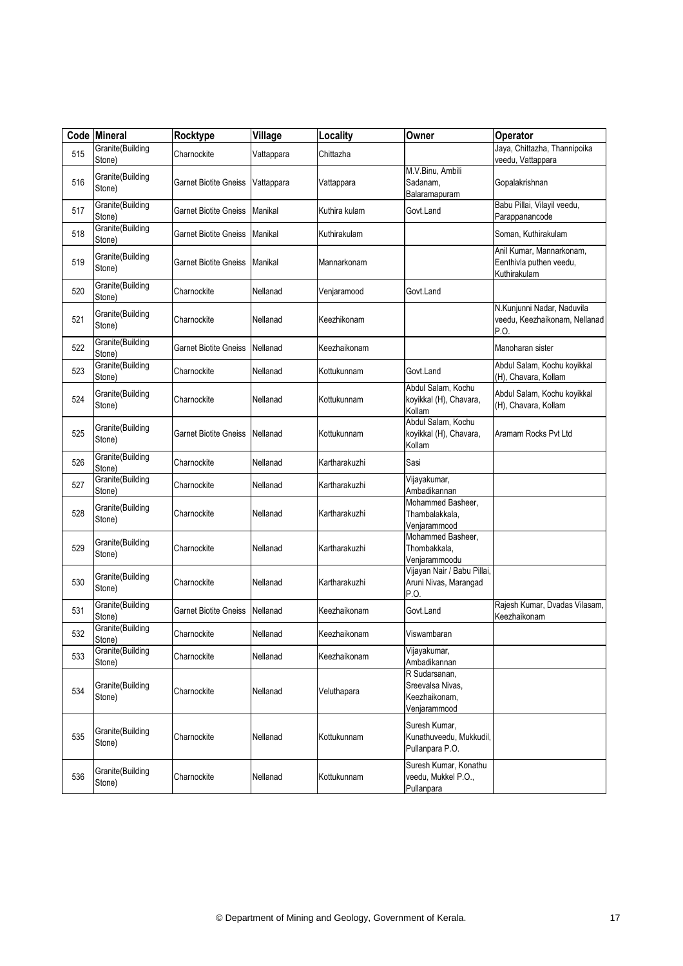|     | Code Mineral               | Rocktype                     | Village    | Locality      | Owner                                                              | <b>Operator</b>                                                     |
|-----|----------------------------|------------------------------|------------|---------------|--------------------------------------------------------------------|---------------------------------------------------------------------|
| 515 | Granite(Building<br>Stone) | Charnockite                  | Vattappara | Chittazha     |                                                                    | Jaya, Chittazha, Thannipoika<br>veedu, Vattappara                   |
| 516 | Granite(Building<br>Stone) | Garnet Biotite Gneiss        | Vattappara | Vattappara    | M.V.Binu, Ambili<br>Sadanam,<br>Balaramapuram                      | Gopalakrishnan                                                      |
| 517 | Granite(Building<br>Stone) | Garnet Biotite Gneiss        | Manikal    | Kuthira kulam | Govt.Land                                                          | Babu Pillai, Vilayil veedu,<br>Parappanancode                       |
| 518 | Granite(Building<br>Stone) | Garnet Biotite Gneiss        | Manikal    | Kuthirakulam  |                                                                    | Soman, Kuthirakulam                                                 |
| 519 | Granite(Building<br>Stone) | Garnet Biotite Gneiss        | Manikal    | Mannarkonam   |                                                                    | Anil Kumar, Mannarkonam,<br>Eenthivla puthen veedu,<br>Kuthirakulam |
| 520 | Granite(Building<br>Stone) | Charnockite                  | Nellanad   | Venjaramood   | Govt.Land                                                          |                                                                     |
| 521 | Granite(Building<br>Stone) | Charnockite                  | Nellanad   | Keezhikonam   |                                                                    | N.Kunjunni Nadar, Naduvila<br>veedu, Keezhaikonam, Nellanad<br>P.O. |
| 522 | Granite(Building<br>Stone) | Garnet Biotite Gneiss        | Nellanad   | Keezhaikonam  |                                                                    | Manoharan sister                                                    |
| 523 | Granite(Building<br>Stone) | Charnockite                  | Nellanad   | Kottukunnam   | Govt.Land                                                          | Abdul Salam, Kochu koyikkal<br>(H), Chavara, Kollam                 |
| 524 | Granite(Building<br>Stone) | Charnockite                  | Nellanad   | Kottukunnam   | Abdul Salam, Kochu<br>koyikkal (H), Chavara,<br>Kollam             | Abdul Salam, Kochu koyikkal<br>(H), Chavara, Kollam                 |
| 525 | Granite(Building<br>Stone) | Garnet Biotite Gneiss        | Nellanad   | Kottukunnam   | Abdul Salam, Kochu<br>koyikkal (H), Chavara,<br>Kollam             | Aramam Rocks Pvt Ltd                                                |
| 526 | Granite(Building<br>Stone) | Charnockite                  | Nellanad   | Kartharakuzhi | Sasi                                                               |                                                                     |
| 527 | Granite(Building<br>Stone) | Charnockite                  | Nellanad   | Kartharakuzhi | Vijayakumar,<br>Ambadikannan                                       |                                                                     |
| 528 | Granite(Building<br>Stone) | Charnockite                  | Nellanad   | Kartharakuzhi | Mohammed Basheer,<br>Thambalakkala,<br>Venjarammood                |                                                                     |
| 529 | Granite(Building<br>Stone) | Charnockite                  | Nellanad   | Kartharakuzhi | Mohammed Basheer,<br>Thombakkala,<br>Venjarammoodu                 |                                                                     |
| 530 | Granite(Building<br>Stone) | Charnockite                  | Nellanad   | Kartharakuzhi | Vijayan Nair / Babu Pillai,<br>Aruni Nivas, Marangad<br>P.O.       |                                                                     |
| 531 | Granite(Building<br>Stone) | <b>Garnet Biotite Gneiss</b> | Nellanad   | Keezhaikonam  | Govt.Land                                                          | Rajesh Kumar, Dvadas Vilasam,<br>Keezhaikonam                       |
| 532 | Granite(Building<br>Stone) | Charnockite                  | Nellanad   | Keezhaikonam  | Viswambaran                                                        |                                                                     |
| 533 | Granite(Building<br>Stone) | Charnockite                  | Nellanad   | Keezhaikonam  | Vijayakumar,<br>Ambadikannan                                       |                                                                     |
| 534 | Granite(Building<br>Stone) | Charnockite                  | Nellanad   | Veluthapara   | R Sudarsanan,<br>Sreevalsa Nivas,<br>Keezhaikonam,<br>Venjarammood |                                                                     |
| 535 | Granite(Building<br>Stone) | Charnockite                  | Nellanad   | Kottukunnam   | Suresh Kumar.<br>Kunathuveedu, Mukkudil,<br>Pullanpara P.O.        |                                                                     |
| 536 | Granite(Building<br>Stone) | Charnockite                  | Nellanad   | Kottukunnam   | Suresh Kumar, Konathu<br>veedu, Mukkel P.O.,<br>Pullanpara         |                                                                     |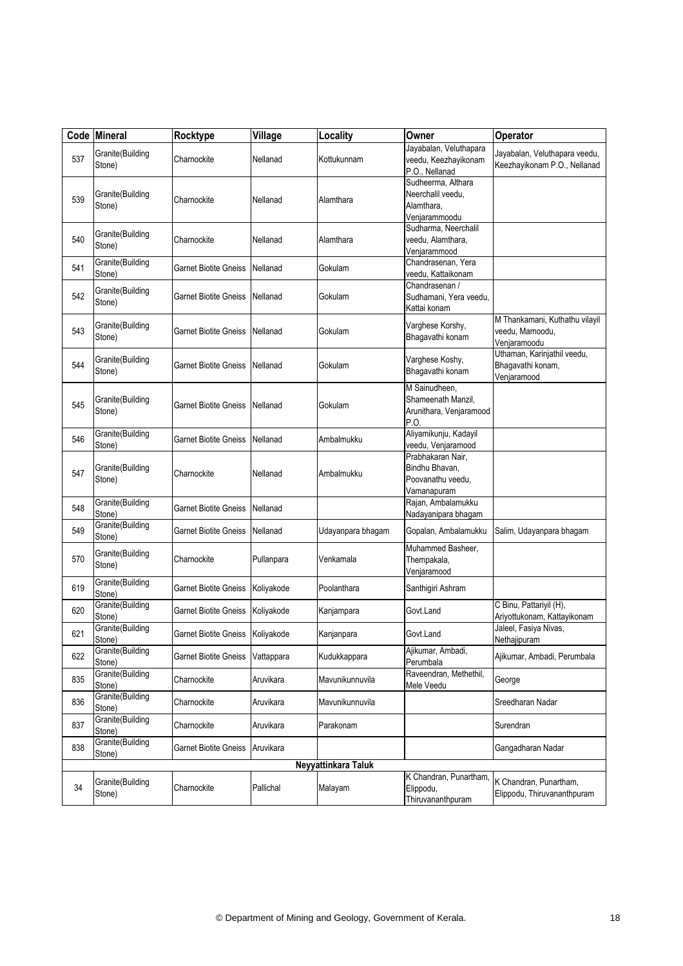| Code | <b>Mineral</b>             | Rocktype                         | Village    | Locality            | Owner                                                                   | Operator                                                          |
|------|----------------------------|----------------------------------|------------|---------------------|-------------------------------------------------------------------------|-------------------------------------------------------------------|
| 537  | Granite(Building<br>Stone) | Charnockite                      | Nellanad   | Kottukunnam         | Jayabalan, Veluthapara<br>veedu, Keezhayikonam<br>P.O., Nellanad        | Jayabalan, Veluthapara veedu,<br>Keezhayikonam P.O., Nellanad     |
| 539  | Granite(Building<br>Stone) | Charnockite                      | Nellanad   | Alamthara           | Sudheerma, Althara<br>Neerchalil veedu,<br>Alamthara,<br>Venjarammoodu  |                                                                   |
| 540  | Granite(Building<br>Stone) | Charnockite                      | Nellanad   | Alamthara           | Sudharma, Neerchalil<br>veedu, Alamthara,<br>Venjarammood               |                                                                   |
| 541  | Granite(Building<br>Stone) | Garnet Biotite Gneiss            | Nellanad   | Gokulam             | Chandrasenan, Yera<br>veedu, Kattaikonam                                |                                                                   |
| 542  | Granite(Building<br>Stone) | Garnet Biotite Gneiss            | Nellanad   | Gokulam             | Chandrasenan /<br>Sudhamani, Yera veedu,<br>Kattai konam                |                                                                   |
| 543  | Granite(Building<br>Stone) | Garnet Biotite Gneiss            | Nellanad   | Gokulam             | Varghese Korshy,<br>Bhagavathi konam                                    | M Thankamani, Kuthathu vilayil<br>veedu, Mamoodu,<br>Venjaramoodu |
| 544  | Granite(Building<br>Stone) | Garnet Biotite Gneiss            | Nellanad   | Gokulam             | Varghese Koshy,<br>Bhagavathi konam                                     | Uthaman, Karinjathil veedu,<br>Bhagavathi konam,<br>Venjaramood   |
| 545  | Granite(Building<br>Stone) | Garnet Biotite Gneiss            | Nellanad   | Gokulam             | M Sainudheen,<br>Shameenath Manzil,<br>Arunithara, Venjaramood<br>P.O.  |                                                                   |
| 546  | Granite(Building<br>Stone) | Garnet Biotite Gneiss            | Nellanad   | Ambalmukku          | Aliyamikunju, Kadayil<br>veedu, Venjaramood                             |                                                                   |
| 547  | Granite(Building<br>Stone) | Charnockite                      | Nellanad   | Ambalmukku          | Prabhakaran Nair.<br>Bindhu Bhavan,<br>Poovanathu veedu,<br>Vamanapuram |                                                                   |
| 548  | Granite(Building<br>Stone) | <b>Garnet Biotite Gneiss</b>     | Nellanad   |                     | Rajan, Ambalamukku<br>Nadayanipara bhagam                               |                                                                   |
| 549  | Granite(Building<br>Stone) | <b>Garnet Biotite Gneiss</b>     | Nellanad   | Udayanpara bhagam   | Gopalan, Ambalamukku                                                    | Salim, Udayanpara bhagam                                          |
| 570  | Granite(Building<br>Stone) | Charnockite                      | Pullanpara | Venkamala           | Muhammed Basheer,<br>Thempakala,<br>Venjaramood                         |                                                                   |
| 619  | Granite(Building<br>Stone) | <b>Garnet Biotite Gneiss</b>     | Koliyakode | Poolanthara         | Santhigiri Ashram                                                       |                                                                   |
| 620  | Granite(Building<br>Stone) | <b>Garnet Biotite Gneiss</b>     | Koliyakode | Kanjampara          | Govt.Land                                                               | C Binu, Pattariyil (H),<br>Ariyottukonam, Kattayikonam            |
| 621  | Granite(Building<br>Stone) | Garnet Biotite Gneiss Koliyakode |            | Kanjanpara          | Govt.Land                                                               | Jaleel, Fasiya Nivas,<br>Nethajipuram                             |
| 622  | Granite(Building<br>Stone) | <b>Garnet Biotite Gneiss</b>     | Vattappara | Kudukkappara        | Ajikumar, Ambadi,<br>Perumbala                                          | Ajikumar, Ambadi, Perumbala                                       |
| 835  | Granite(Building<br>Stone) | Charnockite                      | Aruvikara  | Mavunikunnuvila     | Raveendran, Methethil,<br>Mele Veedu                                    | George                                                            |
| 836  | Granite(Building<br>Stone) | Charnockite                      | Aruvikara  | Mavunikunnuvila     |                                                                         | Sreedharan Nadar                                                  |
| 837  | Granite(Building<br>Stone) | Charnockite                      | Aruvikara  | Parakonam           |                                                                         | Surendran                                                         |
| 838  | Granite(Building<br>Stone) | Garnet Biotite Gneiss            | Aruvikara  |                     |                                                                         | Gangadharan Nadar                                                 |
|      |                            |                                  |            | Neyyattinkara Taluk |                                                                         |                                                                   |
| 34   | Granite(Building<br>Stone) | Charnockite                      | Pallichal  | Malayam             | K Chandran, Punartham,<br>Elippodu,<br>Thiruvananthpuram                | K Chandran, Punartham,<br>Elippodu, Thiruvananthpuram             |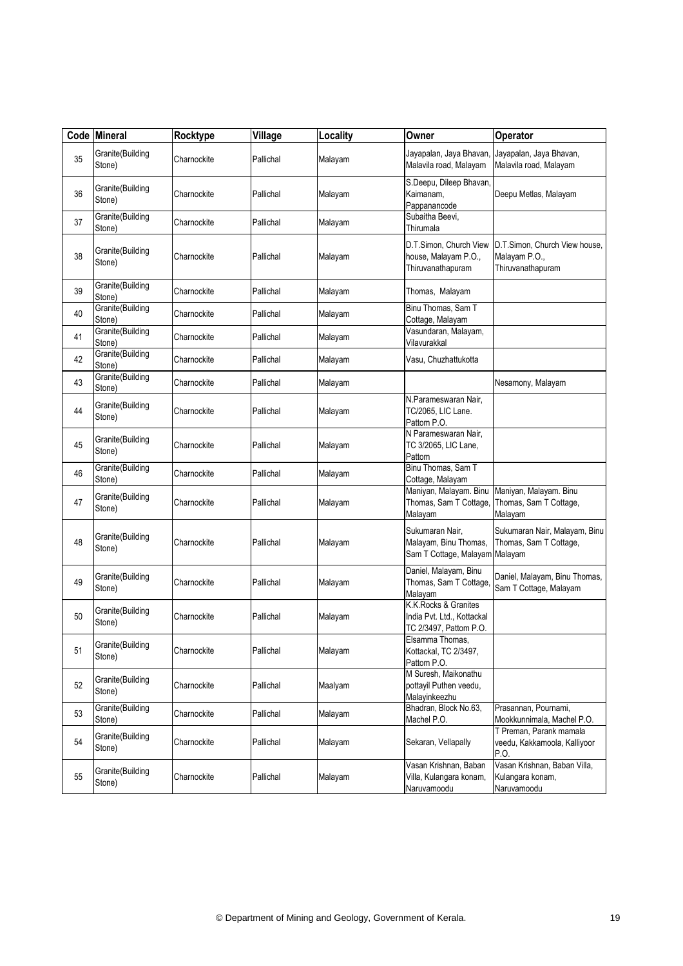| Code | <b>Mineral</b>             | Rocktype    | Village   | Locality | Owner                                                                        | Operator                                                            |
|------|----------------------------|-------------|-----------|----------|------------------------------------------------------------------------------|---------------------------------------------------------------------|
| 35   | Granite(Building<br>Stone) | Charnockite | Pallichal | Malayam  | Jayapalan, Jaya Bhavan,<br>Malavila road, Malayam                            | Jayapalan, Jaya Bhavan,<br>Malavila road, Malayam                   |
| 36   | Granite(Building<br>Stone) | Charnockite | Pallichal | Malayam  | S.Deepu, Dileep Bhavan,<br>Kaimanam,<br>Pappanancode                         | Deepu Metlas, Malayam                                               |
| 37   | Granite(Building<br>Stone) | Charnockite | Pallichal | Malayam  | Subaitha Beevi,<br>Thirumala                                                 |                                                                     |
| 38   | Granite(Building<br>Stone) | Charnockite | Pallichal | Malayam  | D.T.Simon, Church View<br>house, Malayam P.O.,<br>Thiruvanathapuram          | D.T.Simon, Church View house,<br>Malayam P.O.,<br>Thiruvanathapuram |
| 39   | Granite(Building<br>Stone) | Charnockite | Pallichal | Malayam  | Thomas, Malayam                                                              |                                                                     |
| 40   | Granite(Building<br>Stone) | Charnockite | Pallichal | Malayam  | Binu Thomas, Sam T<br>Cottage, Malayam                                       |                                                                     |
| 41   | Granite(Building<br>Stone) | Charnockite | Pallichal | Malayam  | Vasundaran, Malayam,<br>Vilavurakkal                                         |                                                                     |
| 42   | Granite(Building<br>Stone) | Charnockite | Pallichal | Malayam  | Vasu, Chuzhattukotta                                                         |                                                                     |
| 43   | Granite(Building<br>Stone) | Charnockite | Pallichal | Malayam  |                                                                              | Nesamony, Malayam                                                   |
| 44   | Granite(Building<br>Stone) | Charnockite | Pallichal | Malayam  | N.Parameswaran Nair,<br>TC/2065, LIC Lane.<br>Pattom P.O.                    |                                                                     |
| 45   | Granite(Building<br>Stone) | Charnockite | Pallichal | Malayam  | N Parameswaran Nair,<br>TC 3/2065, LIC Lane,<br>Pattom                       |                                                                     |
| 46   | Granite(Building<br>Stone) | Charnockite | Pallichal | Malayam  | Binu Thomas, Sam T<br>Cottage, Malayam                                       |                                                                     |
| 47   | Granite(Building<br>Stone) | Charnockite | Pallichal | Malayam  | Maniyan, Malayam. Binu<br>Thomas, Sam T Cottage,<br>Malayam                  | Maniyan, Malayam. Binu<br>Thomas, Sam T Cottage,<br>Malayam         |
| 48   | Granite(Building<br>Stone) | Charnockite | Pallichal | Malayam  | Sukumaran Nair,<br>Malayam, Binu Thomas,<br>Sam T Cottage, Malayam Malayam   | Sukumaran Nair, Malayam, Binu<br>Thomas, Sam T Cottage,             |
| 49   | Granite(Building<br>Stone) | Charnockite | Pallichal | Malayam  | Daniel, Malayam, Binu<br>Thomas, Sam T Cottage,<br>Malayam                   | Daniel, Malayam, Binu Thomas,<br>Sam T Cottage, Malayam             |
| 50   | Granite(Building<br>Stone) | Charnockite | Pallichal | Malayam  | K.K.Rocks & Granites<br>India Pvt. Ltd., Kottackal<br>TC 2/3497, Pattom P.O. |                                                                     |
| 51   | Granite(Building<br>Stone) | Charnockite | Pallichal | Malayam  | Elsamma Thomas,<br>Kottackal, TC 2/3497,<br>Pattom P.O.                      |                                                                     |
| 52   | Granite(Building<br>Stone) | Charnockite | Pallichal | Maalyam  | M Suresh, Maikonathu<br>pottayil Puthen veedu,<br>Malayinkeezhu              |                                                                     |
| 53   | Granite(Building<br>Stone) | Charnockite | Pallichal | Malayam  | Bhadran, Block No.63,<br>Machel P.O.                                         | Prasannan, Pournami,<br>Mookkunnimala, Machel P.O.                  |
| 54   | Granite(Building<br>Stone) | Charnockite | Pallichal | Malayam  | Sekaran, Vellapally                                                          | T Preman, Parank mamala<br>veedu, Kakkamoola, Kalliyoor<br>P.O.     |
| 55   | Granite(Building<br>Stone) | Charnockite | Pallichal | Malayam  | Vasan Krishnan, Baban<br>Villa, Kulangara konam,<br>Naruvamoodu              | Vasan Krishnan, Baban Villa,<br>Kulangara konam,<br>Naruvamoodu     |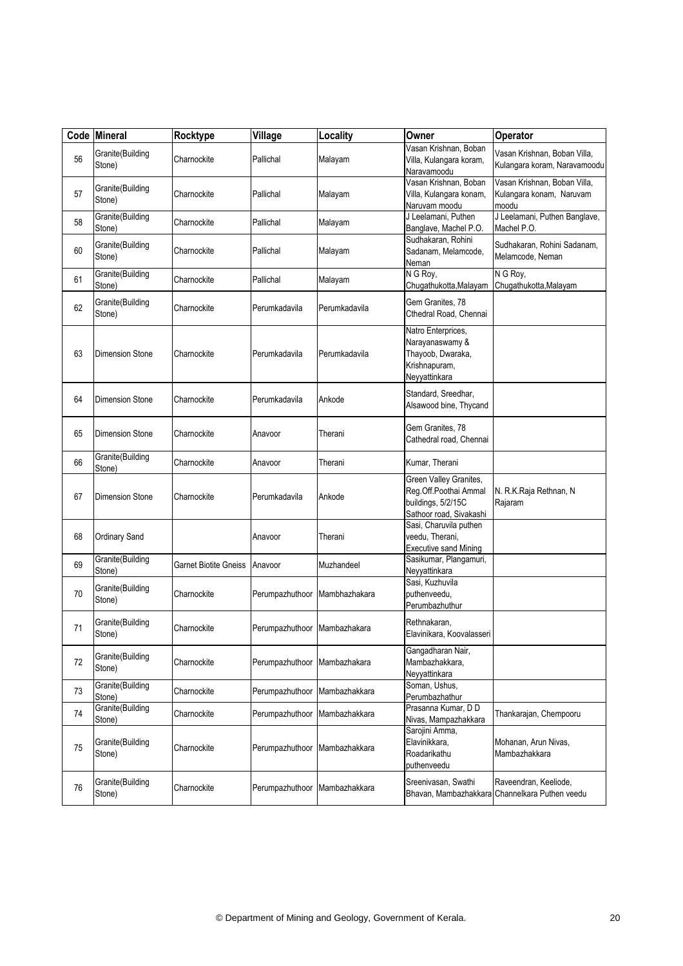|    | Code Mineral               | Rocktype              | Village                      | Locality      | Owner                                                                                            | Operator                                                          |
|----|----------------------------|-----------------------|------------------------------|---------------|--------------------------------------------------------------------------------------------------|-------------------------------------------------------------------|
| 56 | Granite(Building<br>Stone) | Charnockite           | Pallichal                    | Malayam       | Vasan Krishnan, Boban<br>Villa, Kulangara koram,<br>Naravamoodu                                  | Vasan Krishnan, Boban Villa,<br>Kulangara koram, Naravamoodu      |
| 57 | Granite(Building<br>Stone) | Charnockite           | Pallichal                    | Malayam       | Vasan Krishnan, Boban<br>Villa, Kulangara konam,<br>Naruvam moodu                                | Vasan Krishnan, Boban Villa,<br>Kulangara konam, Naruvam<br>moodu |
| 58 | Granite(Building<br>Stone) | Charnockite           | Pallichal                    | Malayam       | J Leelamani, Puthen<br>Banglave, Machel P.O.                                                     | J Leelamani, Puthen Banglave,<br>Machel P.O.                      |
| 60 | Granite(Building<br>Stone) | Charnockite           | Pallichal                    | Malayam       | Sudhakaran, Rohini<br>Sadanam, Melamcode,<br>Neman                                               | Sudhakaran, Rohini Sadanam,<br>Melamcode, Neman                   |
| 61 | Granite(Building<br>Stone) | Charnockite           | Pallichal                    | Malayam       | N G Roy,<br>Chugathukotta, Malayam                                                               | N G Roy,<br>Chugathukotta, Malayam                                |
| 62 | Granite(Building<br>Stone) | Charnockite           | Perumkadavila                | Perumkadavila | Gem Granites, 78<br>Cthedral Road, Chennai                                                       |                                                                   |
| 63 | Dimension Stone            | Charnockite           | Perumkadavila                | Perumkadavila | Natro Enterprices,<br>Narayanaswamy &<br>Thayoob, Dwaraka,<br>Krishnapuram,<br>Neyyattinkara     |                                                                   |
| 64 | <b>Dimension Stone</b>     | Charnockite           | Perumkadavila                | Ankode        | Standard, Sreedhar,<br>Alsawood bine, Thycand                                                    |                                                                   |
| 65 | <b>Dimension Stone</b>     | Charnockite           | Anavoor                      | Therani       | Gem Granites, 78<br>Cathedral road, Chennai                                                      |                                                                   |
| 66 | Granite(Building<br>Stone) | Charnockite           | Anavoor                      | Therani       | Kumar, Therani                                                                                   |                                                                   |
| 67 | <b>Dimension Stone</b>     | Charnockite           | Perumkadavila                | Ankode        | Green Valley Granites,<br>Reg.Off.Poothai Ammal<br>buildings, 5/2/15C<br>Sathoor road, Sivakashi | N. R.K.Raja Rethnan, N<br>Rajaram                                 |
| 68 | <b>Ordinary Sand</b>       |                       | Anavoor                      | Therani       | Sasi, Charuvila puthen<br>veedu, Therani,<br><b>Executive sand Mining</b>                        |                                                                   |
| 69 | Granite(Building<br>Stone) | Garnet Biotite Gneiss | Anavoor                      | Muzhandeel    | Sasikumar, Plangamuri,<br>Neyyattinkara                                                          |                                                                   |
| 70 | Granite(Building<br>Stone) | Charnockite           | Perumpazhuthoor              | Mambhazhakara | Sasi, Kuzhuvila<br>puthenveedu,<br>Perumbazhuthur                                                |                                                                   |
| 71 | Granite(Building<br>Stone) | Charnockite           | Perumpazhuthoor Mambazhakara |               | Rethnakaran,<br>Elavinikara, Koovalasseri                                                        |                                                                   |
| 72 | Granite(Building<br>Stone) | Charnockite           | Perumpazhuthoor              | Mambazhakara  | Gangadharan Nair,<br>Mambazhakkara,<br>Neyyattinkara                                             |                                                                   |
| 73 | Granite(Building<br>Stone) | Charnockite           | Perumpazhuthoor              | Mambazhakkara | Soman, Ushus,<br>Perumbazhathur                                                                  |                                                                   |
| 74 | Granite(Building<br>Stone) | Charnockite           | Perumpazhuthoor              | Mambazhakkara | Prasanna Kumar, DD<br>Nivas, Mampazhakkara                                                       | Thankarajan, Chempooru                                            |
| 75 | Granite(Building<br>Stone) | Charnockite           | Perumpazhuthoor              | Mambazhakkara | Sarojini Amma,<br>Elavinikkara.<br>Roadarikathu<br>puthenveedu                                   | Mohanan, Arun Nivas,<br>Mambazhakkara                             |
| 76 | Granite(Building<br>Stone) | Charnockite           | Perumpazhuthoor              | Mambazhakkara | Sreenivasan, Swathi<br>Bhavan, Mambazhakkara                                                     | Raveendran, Keeliode,<br>Channelkara Puthen veedu                 |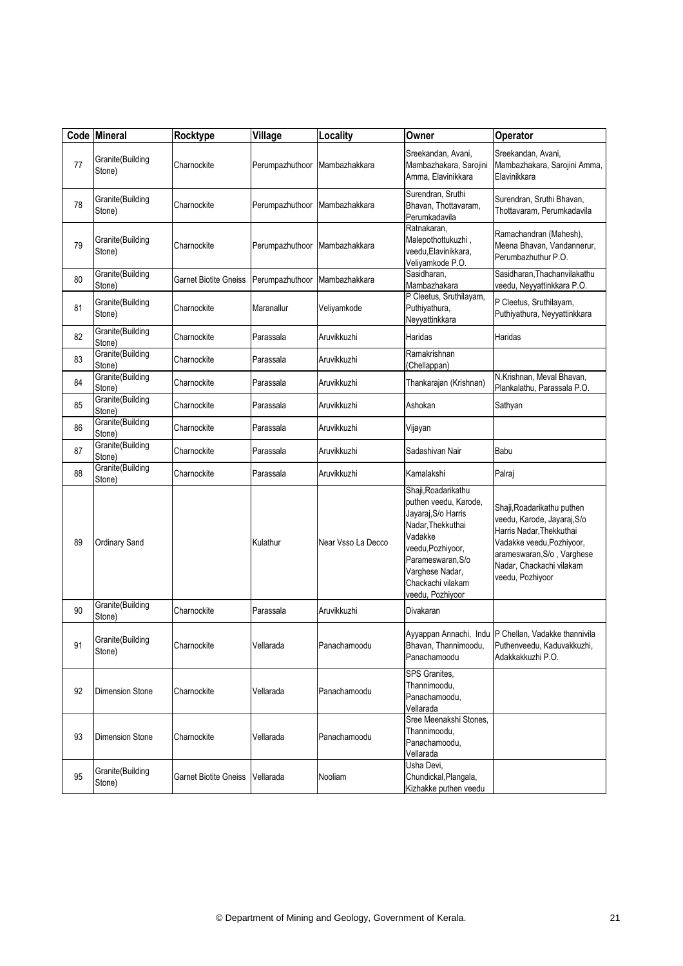|    | Code Mineral               | Rocktype              | Village         | Locality           | Owner                                                                                                                                                                                                     | <b>Operator</b>                                                                                                                                                                                  |
|----|----------------------------|-----------------------|-----------------|--------------------|-----------------------------------------------------------------------------------------------------------------------------------------------------------------------------------------------------------|--------------------------------------------------------------------------------------------------------------------------------------------------------------------------------------------------|
| 77 | Granite(Building<br>Stone) | Charnockite           | Perumpazhuthoor | Mambazhakkara      | Sreekandan, Avani,<br>Mambazhakara, Sarojini<br>Amma, Elavinikkara                                                                                                                                        | Sreekandan, Avani,<br>Mambazhakara, Sarojini Amma,<br>Elavinikkara                                                                                                                               |
| 78 | Granite(Building<br>Stone) | Charnockite           | Perumpazhuthoor | Mambazhakkara      | Surendran, Sruthi<br>Bhavan, Thottavaram,<br>Perumkadavila                                                                                                                                                | Surendran, Sruthi Bhavan,<br>Thottavaram, Perumkadavila                                                                                                                                          |
| 79 | Granite(Building<br>Stone) | Charnockite           | Perumpazhuthoor | Mambazhakkara      | Ratnakaran,<br>Malepothottukuzhi,<br>veedu.Elavinikkara.<br>Veliyamkode P.O.                                                                                                                              | Ramachandran (Mahesh),<br>Meena Bhavan, Vandannerur,<br>Perumbazhuthur P.O.                                                                                                                      |
| 80 | Granite(Building<br>Stone) | Garnet Biotite Gneiss | Perumpazhuthoor | Mambazhakkara      | Sasidharan.<br>Mambazhakara                                                                                                                                                                               | Sasidharan, Thachanvilakathu<br>veedu, Neyyattinkkara P.O.                                                                                                                                       |
| 81 | Granite(Building<br>Stone) | Charnockite           | Maranallur      | Veliyamkode        | P Cleetus, Sruthilayam,<br>Puthiyathura,<br>Neyyattinkkara                                                                                                                                                | P Cleetus, Sruthilayam,<br>Puthiyathura, Neyyattinkkara                                                                                                                                          |
| 82 | Granite(Building<br>Stone) | Charnockite           | Parassala       | Aruvikkuzhi        | Haridas                                                                                                                                                                                                   | Haridas                                                                                                                                                                                          |
| 83 | Granite(Building<br>Stone) | Charnockite           | Parassala       | Aruvikkuzhi        | Ramakrishnan<br>(Chellappan)                                                                                                                                                                              |                                                                                                                                                                                                  |
| 84 | Granite(Building<br>Stone) | Charnockite           | Parassala       | Aruvikkuzhi        | Thankarajan (Krishnan)                                                                                                                                                                                    | N.Krishnan, Meval Bhavan,<br>Plankalathu. Parassala P.O.                                                                                                                                         |
| 85 | Granite(Building<br>Stone) | Charnockite           | Parassala       | Aruvikkuzhi        | Ashokan                                                                                                                                                                                                   | Sathyan                                                                                                                                                                                          |
| 86 | Granite(Building<br>Stone) | Charnockite           | Parassala       | Aruvikkuzhi        | Vijayan                                                                                                                                                                                                   |                                                                                                                                                                                                  |
| 87 | Granite(Building<br>Stone) | Charnockite           | Parassala       | Aruvikkuzhi        | Sadashivan Nair                                                                                                                                                                                           | Babu                                                                                                                                                                                             |
| 88 | Granite(Building<br>Stone) | Charnockite           | Parassala       | Aruvikkuzhi        | Kamalakshi                                                                                                                                                                                                | Palraj                                                                                                                                                                                           |
| 89 | Ordinary Sand              |                       | Kulathur        | Near Vsso La Decco | Shaji, Roadarikathu<br>puthen veedu, Karode,<br>Jayaraj, S/o Harris<br>Nadar, Thekkuthai<br>Vadakke<br>veedu, Pozhiyoor,<br>Parameswaran, S/o<br>Varghese Nadar.<br>Chackachi vilakam<br>veedu, Pozhiyoor | Shaji, Roadarikathu puthen<br>veedu, Karode, Jayaraj, S/o<br>Harris Nadar, Thekkuthai<br>Vadakke veedu, Pozhiyoor,<br>arameswaran, S/o, Varghese<br>Nadar, Chackachi vilakam<br>veedu, Pozhiyoor |
| 90 | Granite(Building<br>Stone) | Charnockite           | Parassala       | Aruvikkuzhi        | Divakaran                                                                                                                                                                                                 |                                                                                                                                                                                                  |
| 91 | Granite(Building<br>Stone) | Charnockite           | Vellarada       | Panachamoodu       | Bhavan, Thannimoodu,<br>Panachamoodu                                                                                                                                                                      | Ayyappan Annachi, Indu P Chellan, Vadakke thannivila<br>Puthenveedu, Kaduvakkuzhi,<br>Adakkakkuzhi P.O.                                                                                          |
| 92 | <b>Dimension Stone</b>     | Charnockite           | Vellarada       | Panachamoodu       | SPS Granites,<br>Thannimoodu.<br>Panachamoodu,<br>Vellarada                                                                                                                                               |                                                                                                                                                                                                  |
| 93 | <b>Dimension Stone</b>     | Charnockite           | Vellarada       | Panachamoodu       | Sree Meenakshi Stones,<br>Thannimoodu,<br>Panachamoodu,<br>Vellarada                                                                                                                                      |                                                                                                                                                                                                  |
| 95 | Granite(Building<br>Stone) | Garnet Biotite Gneiss | Vellarada       | Nooliam            | Usha Devi,<br>Chundickal, Plangala,<br>Kizhakke puthen veedu                                                                                                                                              |                                                                                                                                                                                                  |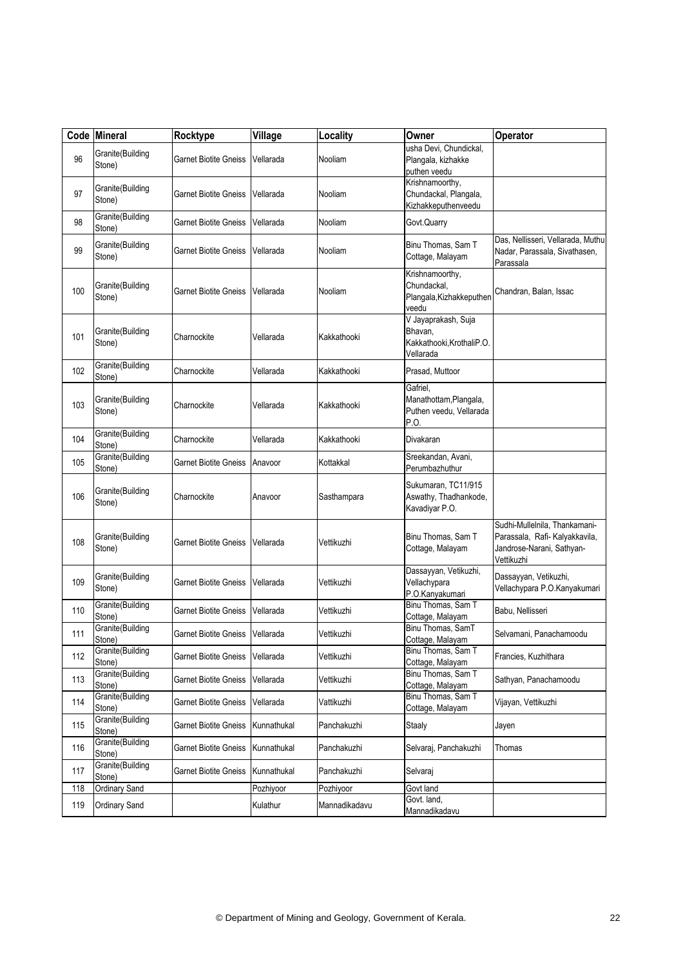|     | Code Mineral                | Rocktype                          | Village     | Locality      | Owner                                                                    | Operator                                                                                                   |
|-----|-----------------------------|-----------------------------------|-------------|---------------|--------------------------------------------------------------------------|------------------------------------------------------------------------------------------------------------|
| 96  | Granite(Building<br>Stone)  | Garnet Biotite Gneiss             | Vellarada   | Nooliam       | usha Devi, Chundickal,<br>Plangala, kizhakke<br>puthen veedu             |                                                                                                            |
| 97  | Granite(Building<br>Stone)  | Garnet Biotite Gneiss             | Vellarada   | Nooliam       | Krishnamoorthy,<br>Chundackal, Plangala,<br>Kizhakkeputhenveedu          |                                                                                                            |
| 98  | Granite(Building<br>Stone)  | Garnet Biotite Gneiss             | Vellarada   | Nooliam       | Govt.Quarry                                                              |                                                                                                            |
| 99  | Granite(Building<br>Stone)  | Garnet Biotite Gneiss             | Vellarada   | Nooliam       | Binu Thomas, Sam T<br>Cottage, Malayam                                   | Das, Nellisseri, Vellarada, Muthu<br>Nadar, Parassala, Sivathasen,<br>Parassala                            |
| 100 | Granite(Building<br>Stone)  | Garnet Biotite Gneiss             | Vellarada   | Nooliam       | Krishnamoorthy,<br>Chundackal,<br>Plangala, Kizhakkeputhen<br>veedu      | Chandran, Balan, Issac                                                                                     |
| 101 | Granite(Building<br>Stone)  | Charnockite                       | Vellarada   | Kakkathooki   | V Jayaprakash, Suja<br>Bhavan,<br>Kakkathooki, KrothaliP.O.<br>Vellarada |                                                                                                            |
| 102 | Granite(Building<br>Stone)  | Charnockite                       | Vellarada   | Kakkathooki   | Prasad, Muttoor                                                          |                                                                                                            |
| 103 | Granite(Building<br>Stone)  | Charnockite                       | Vellarada   | Kakkathooki   | Gafriel,<br>Manathottam, Plangala,<br>Puthen veedu, Vellarada<br>P.O.    |                                                                                                            |
| 104 | Granite(Building<br>Stone)  | Charnockite                       | Vellarada   | Kakkathooki   | Divakaran                                                                |                                                                                                            |
| 105 | Granite(Building<br>Stone)  | Garnet Biotite Gneiss             | Anavoor     | Kottakkal     | Sreekandan, Avani,<br>Perumbazhuthur                                     |                                                                                                            |
| 106 | Granite(Building<br>Stone)  | Charnockite                       | Anavoor     | Sasthampara   | Sukumaran, TC11/915<br>Aswathy, Thadhankode,<br>Kavadiyar P.O.           |                                                                                                            |
| 108 | Granite(Building<br>Stone)  | <b>Garnet Biotite Gneiss</b>      | Vellarada   | Vettikuzhi    | Binu Thomas, Sam T<br>Cottage, Malayam                                   | Sudhi-Mullelnila, Thankamani-<br>Parassala, Rafi- Kalyakkavila,<br>Jandrose-Narani, Sathyan-<br>Vettikuzhi |
| 109 | Granite(Building<br>Stone)  | Garnet Biotite Gneiss             | Vellarada   | Vettikuzhi    | Dassayyan, Vetikuzhi,<br>Vellachypara<br>P.O.Kanyakumari                 | Dassayyan, Vetikuzhi,<br>Vellachypara P.O.Kanyakumari                                                      |
| 110 | Granite(Building<br>Stone)  | Garnet Biotite Gneiss             | Vellarada   | Vettikuzhi    | Binu Thomas, Sam T<br>Cottage, Malayam                                   | Babu, Nellisseri                                                                                           |
| 111 | Granite(Building<br>Stone)  | Garnet Biotite Gneiss   Vellarada |             | Vettikuzhi    | Binu Thomas, SamT<br>Cottage, Malayam                                    | Selvamani, Panachamoodu                                                                                    |
| 112 | Granite (Building<br>Stone) | <b>Garnet Biotite Gneiss</b>      | Vellarada   | Vettikuzhi    | Binu Thomas, Sam T<br>Cottage, Malayam                                   | Francies, Kuzhithara                                                                                       |
| 113 | Granite(Building<br>Stone)  | <b>Garnet Biotite Gneiss</b>      | Vellarada   | Vettikuzhi    | Binu Thomas, Sam T<br>Cottage, Malayam                                   | Sathyan, Panachamoodu                                                                                      |
| 114 | Granite(Building<br>Stone)  | Garnet Biotite Gneiss             | Vellarada   | Vattikuzhi    | Binu Thomas, Sam T<br>Cottage, Malayam                                   | Vijayan, Vettikuzhi                                                                                        |
| 115 | Granite(Building<br>Stone)  | Garnet Biotite Gneiss             | Kunnathukal | Panchakuzhi   | Staaly                                                                   | Jayen                                                                                                      |
| 116 | Granite(Building<br>Stone)  | Garnet Biotite Gneiss             | Kunnathukal | Panchakuzhi   | Selvaraj, Panchakuzhi                                                    | Thomas                                                                                                     |
| 117 | Granite(Building<br>Stone)  | Garnet Biotite Gneiss             | Kunnathukal | Panchakuzhi   | Selvaraj                                                                 |                                                                                                            |
| 118 | Ordinary Sand               |                                   | Pozhiyoor   | Pozhiyoor     | Govt land                                                                |                                                                                                            |
| 119 | Ordinary Sand               |                                   | Kulathur    | Mannadikadavu | Govt. land,<br>Mannadikadavu                                             |                                                                                                            |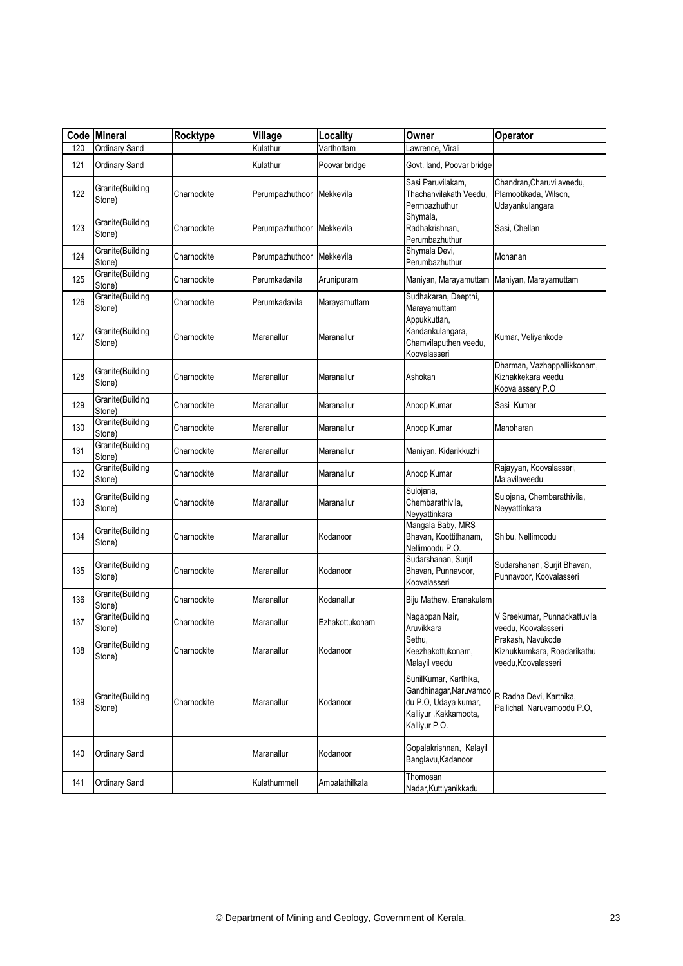| Code | <b>Mineral</b>             | Rocktype    | Village         | Locality       | Owner                                                                                                              | <b>Operator</b>                                                        |
|------|----------------------------|-------------|-----------------|----------------|--------------------------------------------------------------------------------------------------------------------|------------------------------------------------------------------------|
| 120  | Ordinary Sand              |             | Kulathur        | Varthottam     | Lawrence, Virali                                                                                                   |                                                                        |
| 121  | Ordinary Sand              |             | Kulathur        | Poovar bridge  | Govt. land, Poovar bridge                                                                                          |                                                                        |
| 122  | Granite(Building<br>Stone) | Charnockite | Perumpazhuthoor | Mekkevila      | Sasi Paruvilakam,<br>Thachanvilakath Veedu.<br>Permbazhuthur                                                       | Chandran, Charuvilaveedu,<br>Plamootikada, Wilson,<br>Udayankulangara  |
| 123  | Granite(Building<br>Stone) | Charnockite | Perumpazhuthoor | Mekkevila      | Shymala,<br>Radhakrishnan,<br>Perumbazhuthur                                                                       | Sasi, Chellan                                                          |
| 124  | Granite(Building<br>Stone) | Charnockite | Perumpazhuthoor | Mekkevila      | Shymala Devi,<br>Perumbazhuthur                                                                                    | Mohanan                                                                |
| 125  | Granite(Building<br>Stone) | Charnockite | Perumkadavila   | Arunipuram     | Maniyan, Marayamuttam                                                                                              | Maniyan, Marayamuttam                                                  |
| 126  | Granite(Building<br>Stone) | Charnockite | Perumkadavila   | Marayamuttam   | Sudhakaran, Deepthi,<br>Marayamuttam                                                                               |                                                                        |
| 127  | Granite(Building<br>Stone) | Charnockite | Maranallur      | Maranallur     | Appukkuttan,<br>Kandankulangara,<br>Chamvilaputhen veedu,<br>Koovalasseri                                          | Kumar, Veliyankode                                                     |
| 128  | Granite(Building<br>Stone) | Charnockite | Maranallur      | Maranallur     | Ashokan                                                                                                            | Dharman, Vazhappallikkonam,<br>Kizhakkekara veedu,<br>Koovalassery P.O |
| 129  | Granite(Building<br>Stone) | Charnockite | Maranallur      | Maranallur     | Anoop Kumar                                                                                                        | Sasi Kumar                                                             |
| 130  | Granite(Building<br>Stone) | Charnockite | Maranallur      | Maranallur     | Anoop Kumar                                                                                                        | Manoharan                                                              |
| 131  | Granite(Building<br>Stone) | Charnockite | Maranallur      | Maranallur     | Maniyan, Kidarikkuzhi                                                                                              |                                                                        |
| 132  | Granite(Building<br>Stone) | Charnockite | Maranallur      | Maranallur     | Anoop Kumar                                                                                                        | Rajayyan, Koovalasseri,<br>Malavilaveedu                               |
| 133  | Granite(Building<br>Stone) | Charnockite | Maranallur      | Maranallur     | Sulojana,<br>Chembarathivila,<br>Neyyattinkara                                                                     | Sulojana, Chembarathivila,<br>Neyyattinkara                            |
| 134  | Granite(Building<br>Stone) | Charnockite | Maranallur      | Kodanoor       | Mangala Baby, MRS<br>Bhavan, Koottithanam,<br>Nellimoodu P.O.                                                      | Shibu, Nellimoodu                                                      |
| 135  | Granite(Building<br>Stone) | Charnockite | Maranallur      | Kodanoor       | Sudarshanan, Surjit<br>Bhavan, Punnavoor,<br>Koovalasseri                                                          | Sudarshanan, Surjit Bhavan,<br>Punnavoor, Koovalasseri                 |
| 136  | Granite(Building<br>Stone) | Charnockite | Maranallur      | Kodanallur     | Biju Mathew, Eranakulam                                                                                            |                                                                        |
| 137  | Granite(Building<br>Stone) | Charnockite | Maranallur      | Ezhakottukonam | Nagappan Nair,<br>Aruvikkara                                                                                       | V Sreekumar, Punnackattuvila<br>veedu, Koovalasseri                    |
| 138  | Granite(Building<br>Stone) | Charnockite | Maranallur      | Kodanoor       | Sethu,<br>Keezhakottukonam,<br>Malayil veedu                                                                       | Prakash, Navukode<br>Kizhukkumkara, Roadarikathu<br>veedu.Koovalasseri |
| 139  | Granite(Building<br>Stone) | Charnockite | Maranallur      | Kodanoor       | SunilKumar, Karthika,<br>Gandhinagar, Naruvamoo<br>du P.O, Udaya kumar,<br>Kalliyur , Kakkamoota,<br>Kalliyur P.O. | R Radha Devi, Karthika,<br>Pallichal, Naruvamoodu P.O,                 |
| 140  | Ordinary Sand              |             | Maranallur      | Kodanoor       | Gopalakrishnan, Kalayil<br>Banglavu, Kadanoor                                                                      |                                                                        |
| 141  | <b>Ordinary Sand</b>       |             | Kulathummell    | Ambalathilkala | Thomosan<br>Nadar, Kuttiyanikkadu                                                                                  |                                                                        |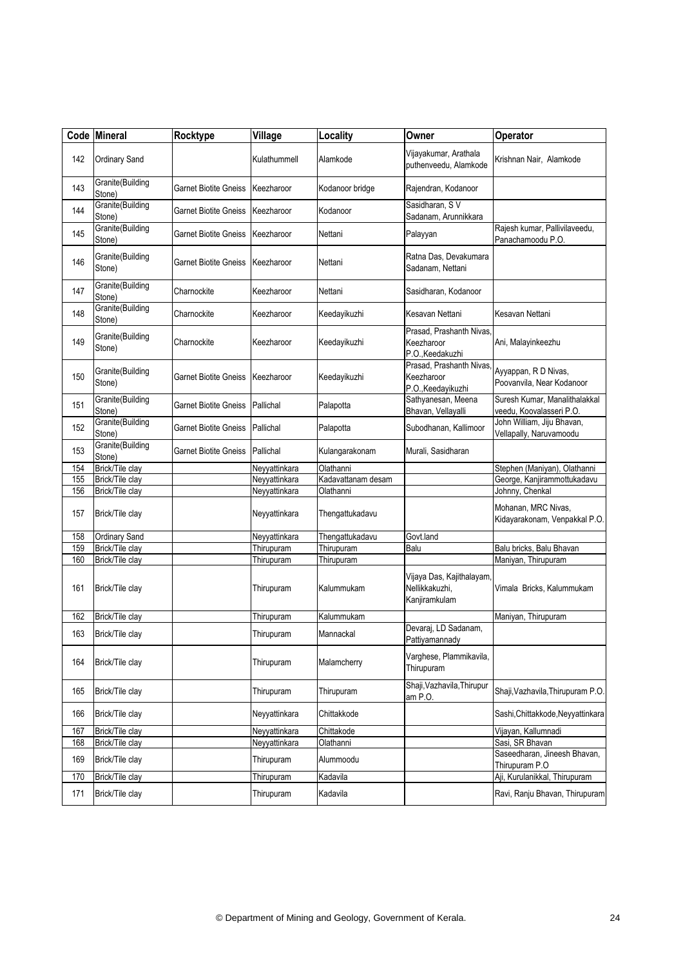|     | Code Mineral               | Rocktype                     | Village       | Locality           | Owner                                                        | Operator                                                  |
|-----|----------------------------|------------------------------|---------------|--------------------|--------------------------------------------------------------|-----------------------------------------------------------|
| 142 | Ordinary Sand              |                              | Kulathummell  | Alamkode           | Vijayakumar, Arathala<br>puthenveedu, Alamkode               | Krishnan Nair, Alamkode                                   |
| 143 | Granite(Building<br>Stone) | Garnet Biotite Gneiss        | Keezharoor    | Kodanoor bridge    | Rajendran, Kodanoor                                          |                                                           |
| 144 | Granite(Building<br>Stone) | Garnet Biotite Gneiss        | Keezharoor    | Kodanoor           | Sasidharan, SV<br>Sadanam, Arunnikkara                       |                                                           |
| 145 | Granite(Building<br>Stone) | Garnet Biotite Gneiss        | Keezharoor    | Nettani            | Palayyan                                                     | Rajesh kumar, Pallivilaveedu,<br>Panachamoodu P.O.        |
| 146 | Granite(Building<br>Stone) | Garnet Biotite Gneiss        | Keezharoor    | Nettani            | Ratna Das, Devakumara<br>Sadanam, Nettani                    |                                                           |
| 147 | Granite(Building<br>Stone) | Charnockite                  | Keezharoor    | Nettani            | Sasidharan, Kodanoor                                         |                                                           |
| 148 | Granite(Building<br>Stone) | Charnockite                  | Keezharoor    | Keedayikuzhi       | Kesavan Nettani                                              | Kesavan Nettani                                           |
| 149 | Granite(Building<br>Stone) | Charnockite                  | Keezharoor    | Keedayikuzhi       | Prasad, Prashanth Nivas,<br>Keezharoor<br>P.O., Keedakuzhi   | Ani, Malayinkeezhu                                        |
| 150 | Granite(Building<br>Stone) | Garnet Biotite Gneiss        | Keezharoor    | Keedayikuzhi       | Prasad, Prashanth Nivas,<br>Keezharoor<br>P.O., Keedayikuzhi | Ayyappan, R D Nivas,<br>Poovanvila, Near Kodanoor         |
| 151 | Granite(Building<br>Stone) | <b>Garnet Biotite Gneiss</b> | Pallichal     | Palapotta          | Sathyanesan, Meena<br>Bhavan, Vellayalli                     | Suresh Kumar, Manalithalakkal<br>veedu, Koovalasseri P.O. |
| 152 | Granite(Building<br>Stone) | Garnet Biotite Gneiss        | Pallichal     | Palapotta          | Subodhanan, Kallimoor                                        | John William, Jiju Bhavan,<br>Vellapally, Naruvamoodu     |
| 153 | Granite(Building<br>Stone) | <b>Garnet Biotite Gneiss</b> | Pallichal     | Kulangarakonam     | Murali, Sasidharan                                           |                                                           |
| 154 | Brick/Tile clay            |                              | Neyyattinkara | Olathanni          |                                                              | Stephen (Maniyan), Olathanni                              |
| 155 | Brick/Tile clay            |                              | Neyyattinkara | Kadavattanam desam |                                                              | George, Kanjirammottukadavu                               |
| 156 | Brick/Tile clay            |                              | Neyyattinkara | Olathanni          |                                                              | Johnny, Chenkal                                           |
| 157 | Brick/Tile clay            |                              | Neyyattinkara | Thengattukadavu    |                                                              | Mohanan, MRC Nivas,<br>Kidayarakonam, Venpakkal P.O.      |
| 158 | <b>Ordinary Sand</b>       |                              | Neyyattinkara | Thengattukadavu    | Govt.land                                                    |                                                           |
| 159 | Brick/Tile clay            |                              | Thirupuram    | Thirupuram         | Balu                                                         | Balu bricks, Balu Bhavan                                  |
| 160 | Brick/Tile clay            |                              | Thirupuram    | Thirupuram         |                                                              | Maniyan, Thirupuram                                       |
| 161 | Brick/Tile clay            |                              | Thirupuram    | Kalummukam         | Vijaya Das, Kajithalayam,<br>Nellikkakuzhi.<br>Kanjiramkulam | Vimala Bricks, Kalummukam                                 |
| 162 | Brick/Tile clay            |                              | Thirupuram    | Kalummukam         |                                                              | Maniyan, Thirupuram                                       |
| 163 | Brick/Tile clay            |                              | Thirupuram    | Mannackal          | Devaraj, LD Sadanam,<br>Pattiyamannady                       |                                                           |
| 164 | Brick/Tile clay            |                              | Thirupuram    | Malamcherry        | Varghese, Plammikavila,<br>Thirupuram                        |                                                           |
| 165 | Brick/Tile clay            |                              | Thirupuram    | Thirupuram         | Shaji, Vazhavila, Thirupur<br>am P.O.                        | Shaji, Vazhavila, Thirupuram P.O.                         |
| 166 | Brick/Tile clay            |                              | Neyyattinkara | Chittakkode        |                                                              | Sashi, Chittakkode, Neyyattinkara                         |
| 167 | Brick/Tile clay            |                              | Neyyattinkara | Chittakode         |                                                              | Vijayan, Kallumnadi                                       |
| 168 | Brick/Tile clay            |                              | Neyyattinkara | Olathanni          |                                                              | Sasi, SR Bhavan                                           |
| 169 | Brick/Tile clay            |                              | Thirupuram    | Alummoodu          |                                                              | Saseedharan, Jineesh Bhavan,<br>Thirupuram P.O            |
| 170 | Brick/Tile clay            |                              | Thirupuram    | Kadavila           |                                                              | Aji, Kurulanikkal, Thirupuram                             |
| 171 | Brick/Tile clay            |                              | Thirupuram    | Kadavila           |                                                              | Ravi, Ranju Bhavan, Thirupuram                            |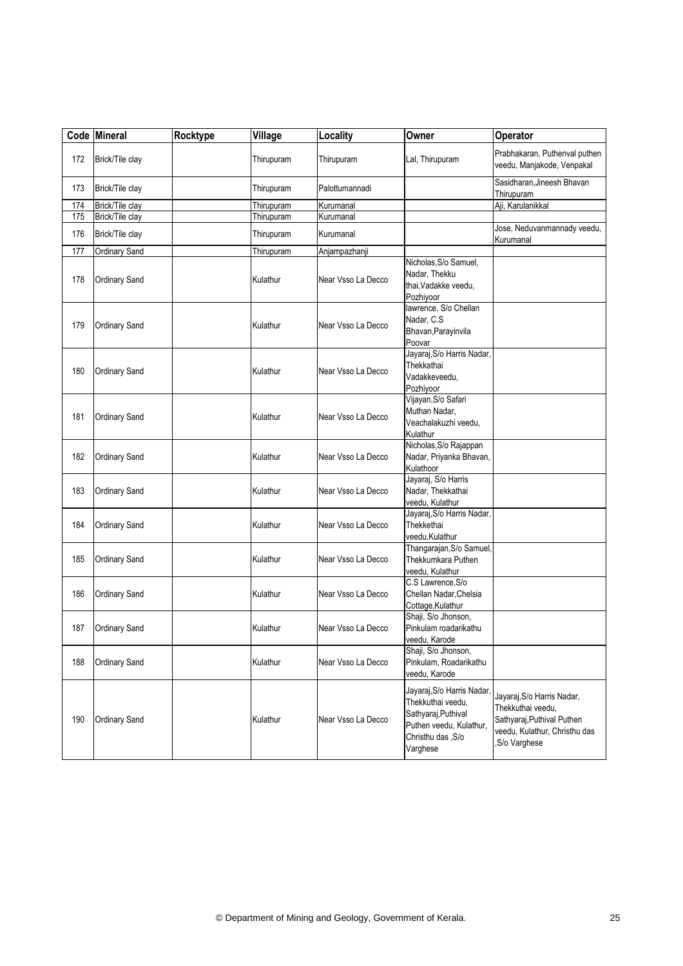|     | Code Mineral         | Rocktype | Village    | Locality           | Owner                                                                                                                               | Operator                                                                                                                        |
|-----|----------------------|----------|------------|--------------------|-------------------------------------------------------------------------------------------------------------------------------------|---------------------------------------------------------------------------------------------------------------------------------|
| 172 | Brick/Tile clay      |          | Thirupuram | Thirupuram         | Lal, Thirupuram                                                                                                                     | Prabhakaran, Puthenval puthen<br>veedu, Manjakode, Venpakal                                                                     |
| 173 | Brick/Tile clay      |          | Thirupuram | Palottumannadi     |                                                                                                                                     | Sasidharan, Jineesh Bhavan<br>Thirupuram                                                                                        |
| 174 | Brick/Tile clay      |          | Thirupuram | Kurumanal          |                                                                                                                                     | Aji, Karulanikkal                                                                                                               |
| 175 | Brick/Tile clay      |          | Thirupuram | Kurumanal          |                                                                                                                                     |                                                                                                                                 |
| 176 | Brick/Tile clay      |          | Thirupuram | Kurumanal          |                                                                                                                                     | Jose, Neduvanmannady veedu,<br>Kurumanal                                                                                        |
| 177 | Ordinary Sand        |          | Thirupuram | Anjampazhanji      |                                                                                                                                     |                                                                                                                                 |
| 178 | Ordinary Sand        |          | Kulathur   | Near Vsso La Decco | Nicholas, S/o Samuel,<br>Nadar, Thekku<br>thai, Vadakke veedu,<br>Pozhiyoor                                                         |                                                                                                                                 |
| 179 | Ordinary Sand        |          | Kulathur   | Near Vsso La Decco | lawrence, S/o Chellan<br>Nadar, C.S.<br>Bhavan, Parayinvila<br>Poovar                                                               |                                                                                                                                 |
| 180 | Ordinary Sand        |          | Kulathur   | Near Vsso La Decco | Jayaraj, S/o Harris Nadar,<br>Thekkathai<br>Vadakkeveedu,<br>Pozhiyoor                                                              |                                                                                                                                 |
| 181 | Ordinary Sand        |          | Kulathur   | Near Vsso La Decco | Vijayan, S/o Safari<br>Muthan Nadar.<br>Veachalakuzhi veedu,<br>Kulathur                                                            |                                                                                                                                 |
| 182 | Ordinary Sand        |          | Kulathur   | Near Vsso La Decco | Nicholas, S/o Rajappan<br>Nadar, Priyanka Bhavan,<br>Kulathoor                                                                      |                                                                                                                                 |
| 183 | <b>Ordinary Sand</b> |          | Kulathur   | Near Vsso La Decco | Jayaraj, S/o Harris<br>Nadar, Thekkathai<br>veedu, Kulathur                                                                         |                                                                                                                                 |
| 184 | <b>Ordinary Sand</b> |          | Kulathur   | Near Vsso La Decco | Jayaraj, S/o Harris Nadar,<br>Thekkethai<br>veedu, Kulathur                                                                         |                                                                                                                                 |
| 185 | Ordinary Sand        |          | Kulathur   | Near Vsso La Decco | Thangarajan, S/o Samuel,<br>Thekkumkara Puthen<br>veedu, Kulathur                                                                   |                                                                                                                                 |
| 186 | Ordinary Sand        |          | Kulathur   | Near Vsso La Decco | C.S Lawrence, S/o<br>Chellan Nadar, Chelsia<br>Cottage, Kulathur                                                                    |                                                                                                                                 |
| 187 | Ordinary Sand        |          | Kulathur   | Near Vsso La Decco | Shaji, S/o Jhonson,<br>Pinkulam roadarikathu<br>veedu, Karode                                                                       |                                                                                                                                 |
| 188 | <b>Ordinary Sand</b> |          | Kulathur   | Near Vsso La Decco | Shaji, S/o Jhonson,<br>Pinkulam, Roadarikathu<br>veedu, Karode                                                                      |                                                                                                                                 |
| 190 | Ordinary Sand        |          | Kulathur   | Near Vsso La Decco | Jayaraj, S/o Harris Nadar,<br>Thekkuthai veedu,<br>Sathyaraj, Puthival<br>Puthen veedu, Kulathur,<br>Christhu das , S/o<br>Varghese | Jayaraj, S/o Harris Nadar,<br>Thekkuthai veedu,<br>Sathyaraj, Puthival Puthen<br>veedu, Kulathur, Christhu das<br>,S/o Varghese |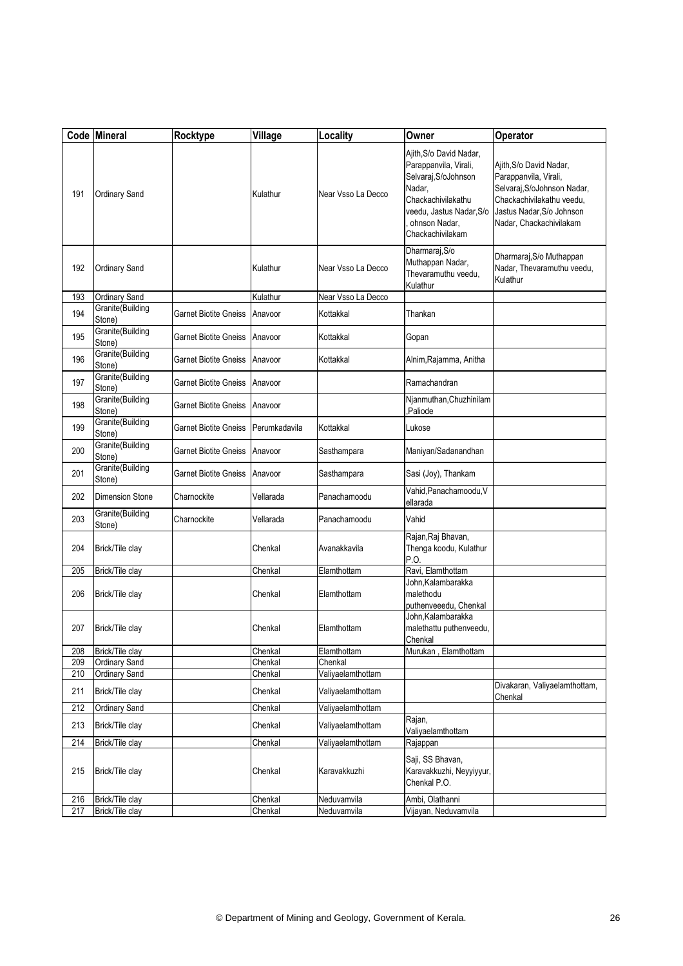|     | Code Mineral               | Rocktype              | Village       | Locality           | Owner                                                                                                                                                                     | Operator                                                                                                                                                             |
|-----|----------------------------|-----------------------|---------------|--------------------|---------------------------------------------------------------------------------------------------------------------------------------------------------------------------|----------------------------------------------------------------------------------------------------------------------------------------------------------------------|
| 191 | <b>Ordinary Sand</b>       |                       | Kulathur      | Near Vsso La Decco | Ajith, S/o David Nadar,<br>Parappanvila, Virali,<br>Selvaraj, S/oJohnson<br>Nadar,<br>Chackachivilakathu<br>veedu, Jastus Nadar, S/o<br>ohnson Nadar,<br>Chackachivilakam | Ajith, S/o David Nadar,<br>Parappanvila, Virali,<br>Selvaraj, S/oJohnson Nadar,<br>Chackachivilakathu veedu,<br>Jastus Nadar, S/o Johnson<br>Nadar, Chackachivilakam |
| 192 | <b>Ordinary Sand</b>       |                       | Kulathur      | Near Vsso La Decco | Dharmaraj, S/o<br>Muthappan Nadar,<br>Thevaramuthu veedu,<br>Kulathur                                                                                                     | Dharmaraj, S/o Muthappan<br>Nadar, Thevaramuthu veedu,<br>Kulathur                                                                                                   |
| 193 | Ordinary Sand              |                       | Kulathur      | Near Vsso La Decco |                                                                                                                                                                           |                                                                                                                                                                      |
| 194 | Granite(Building<br>Stone) | Garnet Biotite Gneiss | Anavoor       | Kottakkal          | Thankan                                                                                                                                                                   |                                                                                                                                                                      |
| 195 | Granite(Building<br>Stone) | Garnet Biotite Gneiss | Anavoor       | Kottakkal          | Gopan                                                                                                                                                                     |                                                                                                                                                                      |
| 196 | Granite(Building<br>Stone) | Garnet Biotite Gneiss | Anavoor       | Kottakkal          | Alnim, Rajamma, Anitha                                                                                                                                                    |                                                                                                                                                                      |
| 197 | Granite(Building<br>Stone) | Garnet Biotite Gneiss | Anavoor       |                    | Ramachandran                                                                                                                                                              |                                                                                                                                                                      |
| 198 | Granite(Building<br>Stone) | Garnet Biotite Gneiss | Anavoor       |                    | Njanmuthan, Chuzhinilam<br>Paliode                                                                                                                                        |                                                                                                                                                                      |
| 199 | Granite(Building<br>Stone) | Garnet Biotite Gneiss | Perumkadavila | Kottakkal          | Lukose                                                                                                                                                                    |                                                                                                                                                                      |
| 200 | Granite(Building<br>Stone) | Garnet Biotite Gneiss | Anavoor       | Sasthampara        | Maniyan/Sadanandhan                                                                                                                                                       |                                                                                                                                                                      |
| 201 | Granite(Building<br>Stone) | Garnet Biotite Gneiss | Anavoor       | Sasthampara        | Sasi (Joy), Thankam                                                                                                                                                       |                                                                                                                                                                      |
| 202 | <b>Dimension Stone</b>     | Charnockite           | Vellarada     | Panachamoodu       | Vahid, Panachamoodu, V<br>ellarada                                                                                                                                        |                                                                                                                                                                      |
| 203 | Granite(Building<br>Stone) | Charnockite           | Vellarada     | Panachamoodu       | Vahid                                                                                                                                                                     |                                                                                                                                                                      |
| 204 | Brick/Tile clay            |                       | Chenkal       | Avanakkavila       | Rajan, Raj Bhavan,<br>Thenga koodu, Kulathur<br>P.O.                                                                                                                      |                                                                                                                                                                      |
| 205 | Brick/Tile clay            |                       | Chenkal       | Elamthottam        | Ravi, Elamthottam                                                                                                                                                         |                                                                                                                                                                      |
| 206 | Brick/Tile clay            |                       | Chenkal       | Elamthottam        | John, Kalambarakka<br>malethodu<br>puthenveeedu, Chenkal                                                                                                                  |                                                                                                                                                                      |
| 207 | Brick/Tile clay            |                       | Chenkal       | Elamthottam        | John, Kalambarakka<br>malethattu puthenveedu,<br>Chenkal                                                                                                                  |                                                                                                                                                                      |
| 208 | Brick/Tile clay            |                       | Chenkal       | Elamthottam        | Murukan, Elamthottam                                                                                                                                                      |                                                                                                                                                                      |
| 209 | Ordinary Sand              |                       | Chenkal       | Chenkal            |                                                                                                                                                                           |                                                                                                                                                                      |
| 210 | Ordinary Sand              |                       | Chenkal       | Valiyaelamthottam  |                                                                                                                                                                           |                                                                                                                                                                      |
| 211 | Brick/Tile clay            |                       | Chenkal       | Valiyaelamthottam  |                                                                                                                                                                           | Divakaran, Valiyaelamthottam,<br>Chenkal                                                                                                                             |
| 212 | Ordinary Sand              |                       | Chenkal       | Valiyaelamthottam  |                                                                                                                                                                           |                                                                                                                                                                      |
| 213 | Brick/Tile clay            |                       | Chenkal       | Valiyaelamthottam  | Rajan,<br>Valiyaelamthottam                                                                                                                                               |                                                                                                                                                                      |
| 214 | Brick/Tile clay            |                       | Chenkal       | Valiyaelamthottam  | Rajappan                                                                                                                                                                  |                                                                                                                                                                      |
| 215 | Brick/Tile clay            |                       | Chenkal       | Karavakkuzhi       | Saji, SS Bhavan,<br>Karavakkuzhi, Neyyiyyur,<br>Chenkal P.O.                                                                                                              |                                                                                                                                                                      |
| 216 | Brick/Tile clay            |                       | Chenkal       | Neduvamvila        | Ambi, Olathanni                                                                                                                                                           |                                                                                                                                                                      |
| 217 | Brick/Tile clay            |                       | Chenkal       | Neduvamvila        | Vijayan, Neduvamvila                                                                                                                                                      |                                                                                                                                                                      |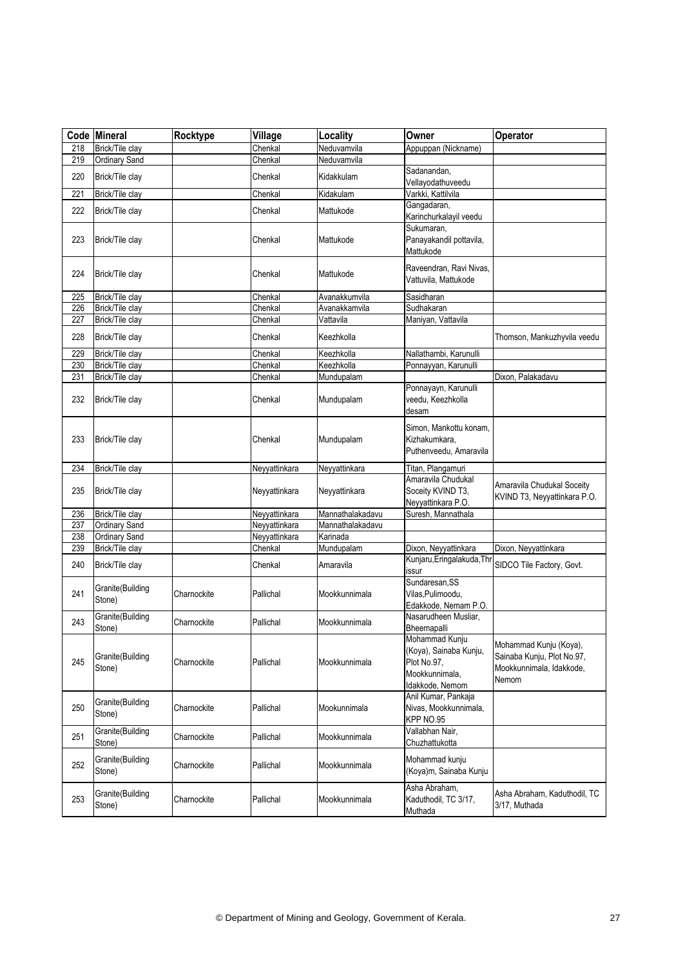| Code | Mineral                    | Rocktype    | Village       | Locality         | Owner                                                                                        | Operator                                                                                  |
|------|----------------------------|-------------|---------------|------------------|----------------------------------------------------------------------------------------------|-------------------------------------------------------------------------------------------|
| 218  | Brick/Tile clay            |             | Chenkal       | Neduvamvila      | Appuppan (Nickname)                                                                          |                                                                                           |
| 219  | <b>Ordinary Sand</b>       |             | Chenkal       | Neduvamvila      |                                                                                              |                                                                                           |
| 220  | Brick/Tile clay            |             | Chenkal       | Kidakkulam       | Sadanandan.<br>Vellayodathuveedu                                                             |                                                                                           |
| 221  | Brick/Tile clay            |             | Chenkal       | Kidakulam        | Varkki, Kattilvila                                                                           |                                                                                           |
| 222  | Brick/Tile clay            |             | Chenkal       | Mattukode        | Gangadaran,<br>Karinchurkalayil veedu                                                        |                                                                                           |
| 223  | Brick/Tile clay            |             | Chenkal       | Mattukode        | Sukumaran,<br>Panayakandil pottavila,<br>Mattukode                                           |                                                                                           |
| 224  | Brick/Tile clay            |             | Chenkal       | Mattukode        | Raveendran, Ravi Nivas,<br>Vattuvila, Mattukode                                              |                                                                                           |
| 225  | Brick/Tile clay            |             | Chenkal       | Avanakkumvila    | Sasidharan                                                                                   |                                                                                           |
| 226  | <b>Brick/Tile clay</b>     |             | Chenkal       | Avanakkamvila    | Sudhakaran                                                                                   |                                                                                           |
| 227  | Brick/Tile clay            |             | Chenkal       | Vattavila        | Maniyan, Vattavila                                                                           |                                                                                           |
| 228  | Brick/Tile clay            |             | Chenkal       | Keezhkolla       |                                                                                              | Thomson, Mankuzhyvila veedu                                                               |
| 229  | Brick/Tile clay            |             | Chenkal       | Keezhkolla       | Nallathambi, Karunulli                                                                       |                                                                                           |
| 230  | Brick/Tile clay            |             | Chenkal       | Keezhkolla       | Ponnayyan, Karunulli                                                                         |                                                                                           |
| 231  | Brick/Tile clay            |             | Chenkal       | Mundupalam       |                                                                                              | Dixon, Palakadavu                                                                         |
| 232  | Brick/Tile clay            |             | Chenkal       | Mundupalam       | Ponnayayn, Karunulli<br>veedu, Keezhkolla<br>desam                                           |                                                                                           |
| 233  | Brick/Tile clay            |             | Chenkal       | Mundupalam       | Simon, Mankottu konam,<br>Kizhakumkara,<br>Puthenveedu, Amaravila                            |                                                                                           |
| 234  | Brick/Tile clay            |             | Neyyattinkara | Neyyattinkara    | Titan, Plangamuri                                                                            |                                                                                           |
| 235  | Brick/Tile clay            |             | Neyyattinkara | Neyyattinkara    | Amaravila Chudukal<br>Soceity KVIND T3,<br>Neyyattinkara P.O.                                | Amaravila Chudukal Soceity<br>KVIND T3, Neyyattinkara P.O.                                |
| 236  | Brick/Tile clay            |             | Neyyattinkara | Mannathalakadavu | Suresh, Mannathala                                                                           |                                                                                           |
| 237  | Ordinary Sand              |             | Neyyattinkara | Mannathalakadavu |                                                                                              |                                                                                           |
| 238  | <b>Ordinary Sand</b>       |             | Neyyattinkara | Karinada         |                                                                                              |                                                                                           |
| 239  | Brick/Tile clay            |             | Chenkal       | Mundupalam       | Dixon, Neyyattinkara                                                                         | Dixon, Neyyattinkara                                                                      |
| 240  | Brick/Tile clay            |             | Chenkal       | Amaravila        | Kunjaru, Eringalakuda, Thr<br>issur                                                          | SIDCO Tile Factory, Govt.                                                                 |
| 241  | Granite(Building<br>Stone) | Charnockite | Pallichal     | Mookkunnimala    | Sundaresan, SS<br>Vilas, Pulimoodu,<br>Edakkode, Nemam P.O.                                  |                                                                                           |
| 243  | Granite(Building<br>Stone) | Charnockite | Pallichal     | Mookkunnimala    | Nasarudheen Musliar,<br>Bheemapalli                                                          |                                                                                           |
| 245  | Granite(Building<br>Stone) | Charnockite | Pallichal     | Mookkunnimala    | Mohammad Kunju<br>(Koya), Sainaba Kunju,<br>Plot No.97.<br>Mookkunnimala,<br>Idakkode, Nemom | Mohammad Kunju (Koya),<br>Sainaba Kunju, Plot No.97,<br>Mookkunnimala, Idakkode,<br>Nemom |
| 250  | Granite(Building<br>Stone) | Charnockite | Pallichal     | Mookunnimala     | Anil Kumar, Pankaja<br>Nivas, Mookkunnimala,<br>KPP NO.95                                    |                                                                                           |
| 251  | Granite(Building<br>Stone) | Charnockite | Pallichal     | Mookkunnimala    | Vallabhan Nair,<br>Chuzhattukotta                                                            |                                                                                           |
| 252  | Granite(Building<br>Stone) | Charnockite | Pallichal     | Mookkunnimala    | Mohammad kunju<br>(Koya)m, Sainaba Kunju                                                     |                                                                                           |
| 253  | Granite(Building<br>Stone) | Charnockite | Pallichal     | Mookkunnimala    | Asha Abraham,<br>Kaduthodil, TC 3/17,<br>Muthada                                             | Asha Abraham, Kaduthodil, TC<br>3/17, Muthada                                             |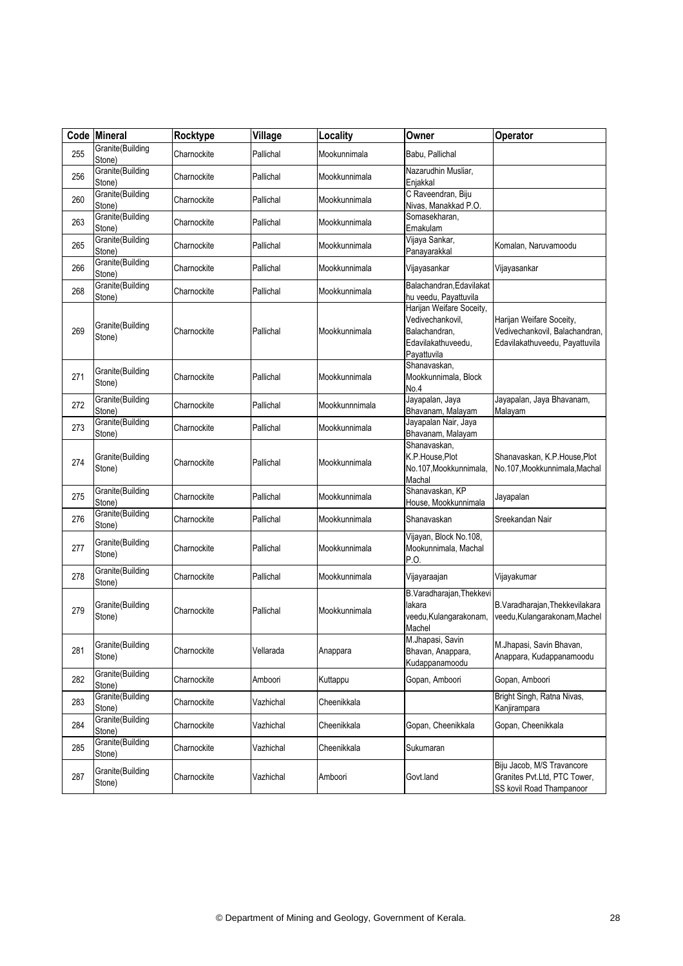|     | Code Mineral               | Rocktype    | Village   | Locality       | Owner                                                                                              | Operator                                                                                     |
|-----|----------------------------|-------------|-----------|----------------|----------------------------------------------------------------------------------------------------|----------------------------------------------------------------------------------------------|
| 255 | Granite(Building<br>Stone) | Charnockite | Pallichal | Mookunnimala   | Babu, Pallichal                                                                                    |                                                                                              |
| 256 | Granite(Building<br>Stone) | Charnockite | Pallichal | Mookkunnimala  | Nazarudhin Musliar,<br>Enjakkal                                                                    |                                                                                              |
| 260 | Granite(Building<br>Stone) | Charnockite | Pallichal | Mookkunnimala  | C Raveendran, Biju<br>Nivas, Manakkad P.O.                                                         |                                                                                              |
| 263 | Granite(Building<br>Stone) | Charnockite | Pallichal | Mookkunnimala  | Somasekharan.<br>Ernakulam                                                                         |                                                                                              |
| 265 | Granite(Building<br>Stone) | Charnockite | Pallichal | Mookkunnimala  | Vijaya Sankar,<br>Panayarakkal                                                                     | Komalan, Naruvamoodu                                                                         |
| 266 | Granite(Building<br>Stone) | Charnockite | Pallichal | Mookkunnimala  | Vijayasankar                                                                                       | Vijayasankar                                                                                 |
| 268 | Granite(Building<br>Stone) | Charnockite | Pallichal | Mookkunnimala  | Balachandran, Edavilakat<br>hu veedu, Payattuvila                                                  |                                                                                              |
| 269 | Granite(Building<br>Stone) | Charnockite | Pallichal | Mookkunnimala  | Harijan Weifare Soceity,<br>Vedivechankovil,<br>Balachandran,<br>Edavilakathuveedu,<br>Payattuvila | Harijan Weifare Soceity,<br>Vedivechankovil, Balachandran,<br>Edavilakathuveedu, Payattuvila |
| 271 | Granite(Building<br>Stone) | Charnockite | Pallichal | Mookkunnimala  | Shanavaskan.<br>Mookkunnimala, Block<br>No.4                                                       |                                                                                              |
| 272 | Granite(Building<br>Stone) | Charnockite | Pallichal | Mookkunnnimala | Jayapalan, Jaya<br>Bhavanam, Malayam                                                               | Jayapalan, Jaya Bhavanam,<br>Malayam                                                         |
| 273 | Granite(Building<br>Stone) | Charnockite | Pallichal | Mookkunnimala  | Jayapalan Nair, Jaya<br>Bhavanam, Malayam                                                          |                                                                                              |
| 274 | Granite(Building<br>Stone) | Charnockite | Pallichal | Mookkunnimala  | Shanavaskan,<br>K.P.House,Plot<br>No.107, Mookkunnimala,<br>Machal                                 | Shanavaskan, K.P.House, Plot<br>No.107, Mookkunnimala, Machal                                |
| 275 | Granite(Building<br>Stone) | Charnockite | Pallichal | Mookkunnimala  | Shanavaskan, KP<br>House, Mookkunnimala                                                            | Jayapalan                                                                                    |
| 276 | Granite(Building<br>Stone) | Charnockite | Pallichal | Mookkunnimala  | Shanavaskan                                                                                        | Sreekandan Nair                                                                              |
| 277 | Granite(Building<br>Stone) | Charnockite | Pallichal | Mookkunnimala  | Vijayan, Block No.108,<br>Mookunnimala, Machal<br>P.O.                                             |                                                                                              |
| 278 | Granite(Building<br>Stone) | Charnockite | Pallichal | Mookkunnimala  | Vijayaraajan                                                                                       | Vijayakumar                                                                                  |
| 279 | Granite(Building<br>Stone) | Charnockite | Pallichal | Mookkunnimala  | B.Varadharajan, Thekkevi<br>lakara<br>veedu, Kulangarakonam,<br>Machel                             | B.Varadharajan, Thekkevilakara<br>veedu, Kulangarakonam, Machel                              |
| 281 | Granite(Building<br>Stone) | Charnockite | Vellarada | Anappara       | M.Jhapasi, Savin<br>Bhavan, Anappara,<br>Kudappanamoodu                                            | M.Jhapasi, Savin Bhavan,<br>Anappara, Kudappanamoodu                                         |
| 282 | Granite(Building<br>Stone) | Charnockite | Amboori   | Kuttappu       | Gopan, Amboori                                                                                     | Gopan, Amboori                                                                               |
| 283 | Granite(Building<br>Stone) | Charnockite | Vazhichal | Cheenikkala    |                                                                                                    | Bright Singh, Ratna Nivas,<br>Kanjirampara                                                   |
| 284 | Granite(Building<br>Stone) | Charnockite | Vazhichal | Cheenikkala    | Gopan, Cheenikkala                                                                                 | Gopan, Cheenikkala                                                                           |
| 285 | Granite(Building<br>Stone) | Charnockite | Vazhichal | Cheenikkala    | Sukumaran                                                                                          |                                                                                              |
| 287 | Granite(Building<br>Stone) | Charnockite | Vazhichal | Amboori        | Govt.land                                                                                          | Biju Jacob, M/S Travancore<br>Granites Pvt.Ltd, PTC Tower,<br>SS kovil Road Thampanoor       |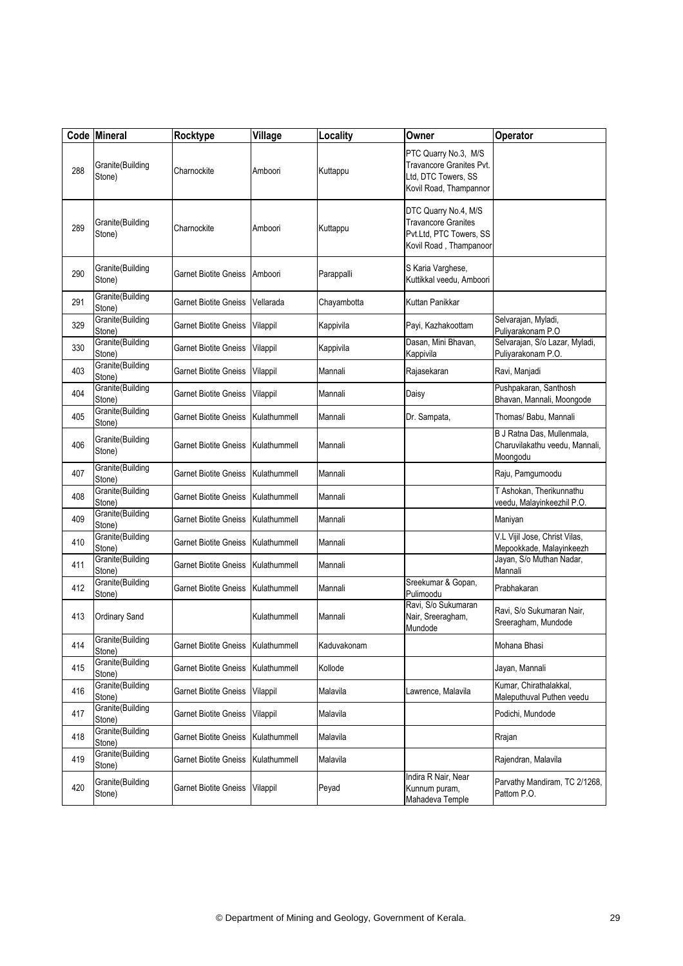|     | Code Mineral               | Rocktype                           | Village      | Locality    | Owner                                                                                                    | Operator                                                                 |
|-----|----------------------------|------------------------------------|--------------|-------------|----------------------------------------------------------------------------------------------------------|--------------------------------------------------------------------------|
| 288 | Granite(Building<br>Stone) | Charnockite                        | Amboori      | Kuttappu    | PTC Quarry No.3, M/S<br><b>Travancore Granites Pvt.</b><br>Ltd, DTC Towers, SS<br>Kovil Road, Thampannor |                                                                          |
| 289 | Granite(Building<br>Stone) | Charnockite                        | Amboori      | Kuttappu    | DTC Quarry No.4, M/S<br><b>Travancore Granites</b><br>Pvt.Ltd, PTC Towers, SS<br>Kovil Road, Thampanoor  |                                                                          |
| 290 | Granite(Building<br>Stone) | Garnet Biotite Gneiss              | Amboori      | Parappalli  | S Karia Varghese,<br>Kuttikkal veedu. Amboori                                                            |                                                                          |
| 291 | Granite(Building<br>Stone) | <b>Garnet Biotite Gneiss</b>       | Vellarada    | Chayambotta | Kuttan Panikkar                                                                                          |                                                                          |
| 329 | Granite(Building<br>Stone) | Garnet Biotite Gneiss              | Vilappil     | Kappivila   | Payi, Kazhakoottam                                                                                       | Selvarajan, Myladi,<br>Puliyarakonam P.O                                 |
| 330 | Granite(Building<br>Stone) | Garnet Biotite Gneiss              | Vilappil     | Kappivila   | Dasan, Mini Bhavan,<br>Kappivila                                                                         | Selvarajan, S/o Lazar, Myladi,<br>Puliyarakonam P.O.                     |
| 403 | Granite(Building<br>Stone) | <b>Garnet Biotite Gneiss</b>       | Vilappil     | Mannali     | Rajasekaran                                                                                              | Ravi, Manjadi                                                            |
| 404 | Granite(Building<br>Stone) | Garnet Biotite Gneiss              | Vilappil     | Mannali     | Daisy                                                                                                    | Pushpakaran, Santhosh<br>Bhavan, Mannali, Moongode                       |
| 405 | Granite(Building<br>Stone) | Garnet Biotite Gneiss              | Kulathummell | Mannali     | Dr. Sampata,                                                                                             | Thomas/ Babu, Mannali                                                    |
| 406 | Granite(Building<br>Stone) | Garnet Biotite Gneiss              | Kulathummell | Mannali     |                                                                                                          | B J Ratna Das, Mullenmala,<br>Charuvilakathu veedu, Mannali,<br>Moongodu |
| 407 | Granite(Building<br>Stone) | <b>Garnet Biotite Gneiss</b>       | Kulathummell | Mannali     |                                                                                                          | Raju, Pamgumoodu                                                         |
| 408 | Granite(Building<br>Stone) | Garnet Biotite Gneiss              | Kulathummell | Mannali     |                                                                                                          | T Ashokan, Therikunnathu<br>veedu, Malayinkeezhil P.O.                   |
| 409 | Granite(Building<br>Stone) | Garnet Biotite Gneiss              | Kulathummell | Mannali     |                                                                                                          | Maniyan                                                                  |
| 410 | Granite(Building<br>Stone) | Garnet Biotite Gneiss              | Kulathummell | Mannali     |                                                                                                          | V.L Vijil Jose, Christ Vilas,<br>Mepookkade, Malayinkeezh                |
| 411 | Granite(Building<br>Stone) | Garnet Biotite Gneiss              | Kulathummell | Mannali     |                                                                                                          | Jayan, S/o Muthan Nadar,<br>Mannali                                      |
| 412 | Granite(Building<br>Stone) | Garnet Biotite Gneiss              | Kulathummell | Mannali     | Sreekumar & Gopan,<br>Pulimoodu                                                                          | Prabhakaran                                                              |
| 413 | Ordinary Sand              |                                    | Kulathummell | Mannali     | Ravi, S/o Sukumaran<br>Nair, Sreeragham,<br>Mundode                                                      | Ravi, S/o Sukumaran Nair,<br>Sreeragham, Mundode                         |
| 414 | Granite(Building<br>Stone) | Garnet Biotite Gneiss Kulathummell |              | Kaduvakonam |                                                                                                          | Mohana Bhasi                                                             |
| 415 | Granite(Building<br>Stone) | Garnet Biotite Gneiss              | Kulathummell | Kollode     |                                                                                                          | Jayan, Mannali                                                           |
| 416 | Granite(Building<br>Stone) | <b>Garnet Biotite Gneiss</b>       | Vilappil     | Malavila    | Lawrence, Malavila                                                                                       | Kumar, Chirathalakkal,<br>Maleputhuval Puthen veedu                      |
| 417 | Granite(Building<br>Stone) | Garnet Biotite Gneiss              | Vilappil     | Malavila    |                                                                                                          | Podichi, Mundode                                                         |
| 418 | Granite(Building<br>Stone) | <b>Garnet Biotite Gneiss</b>       | Kulathummell | Malavila    |                                                                                                          | Rrajan                                                                   |
| 419 | Granite(Building<br>Stone) | Garnet Biotite Gneiss              | Kulathummell | Malavila    |                                                                                                          | Rajendran, Malavila                                                      |
| 420 | Granite(Building<br>Stone) | Garnet Biotite Gneiss              | Vilappil     | Peyad       | Indira R Nair, Near<br>Kunnum puram,<br>Mahadeva Temple                                                  | Parvathy Mandiram, TC 2/1268,<br>Pattom P.O.                             |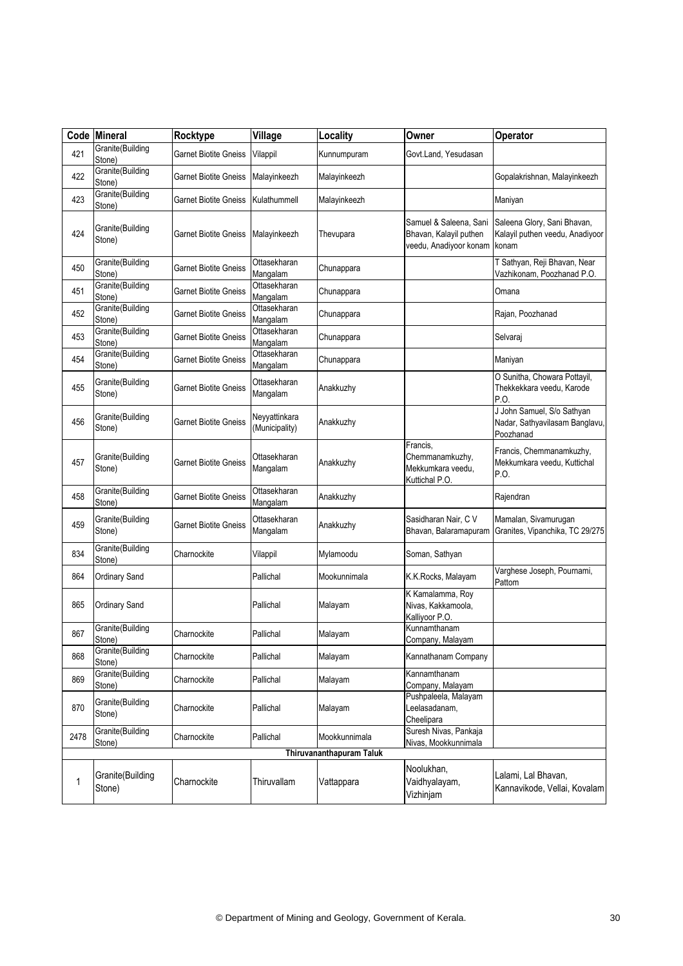|      | Code Mineral               | Rocktype                     | Village                         | Locality                 | Owner                                                                      | Operator                                                                  |
|------|----------------------------|------------------------------|---------------------------------|--------------------------|----------------------------------------------------------------------------|---------------------------------------------------------------------------|
| 421  | Granite(Building<br>Stone) | Garnet Biotite Gneiss        | Vilappil                        | Kunnumpuram              | Govt.Land, Yesudasan                                                       |                                                                           |
| 422  | Granite(Building<br>Stone) | Garnet Biotite Gneiss        | Malayinkeezh                    | Malayinkeezh             |                                                                            | Gopalakrishnan, Malayinkeezh                                              |
| 423  | Granite(Building<br>Stone) | Garnet Biotite Gneiss        | Kulathummell                    | Malayinkeezh             |                                                                            | Maniyan                                                                   |
| 424  | Granite(Building<br>Stone) | Garnet Biotite Gneiss        | Malayinkeezh                    | Thevupara                | Samuel & Saleena, Sani<br>Bhavan, Kalayil puthen<br>veedu, Anadiyoor konam | Saleena Glory, Sani Bhavan,<br>Kalayil puthen veedu, Anadiyoor<br>konam   |
| 450  | Granite(Building<br>Stone) | <b>Garnet Biotite Gneiss</b> | Ottasekharan<br>Mangalam        | Chunappara               |                                                                            | T Sathyan, Reji Bhavan, Near<br>Vazhikonam, Poozhanad P.O.                |
| 451  | Granite(Building<br>Stone) | Garnet Biotite Gneiss        | Ottasekharan<br>Mangalam        | Chunappara               |                                                                            | Omana                                                                     |
| 452  | Granite(Building<br>Stone) | Garnet Biotite Gneiss        | Ottasekharan<br>Mangalam        | Chunappara               |                                                                            | Rajan, Poozhanad                                                          |
| 453  | Granite(Building<br>Stone) | <b>Garnet Biotite Gneiss</b> | Ottasekharan<br>Mangalam        | Chunappara               |                                                                            | Selvaraj                                                                  |
| 454  | Granite(Building<br>Stone) | Garnet Biotite Gneiss        | Ottasekharan<br>Mangalam        | Chunappara               |                                                                            | Maniyan                                                                   |
| 455  | Granite(Building<br>Stone) | Garnet Biotite Gneiss        | Ottasekharan<br>Mangalam        | Anakkuzhy                |                                                                            | O Sunitha, Chowara Pottayil,<br>Thekkekkara veedu, Karode<br>P.O.         |
| 456  | Granite(Building<br>Stone) | Garnet Biotite Gneiss        | Neyyattinkara<br>(Municipality) | Anakkuzhy                |                                                                            | J John Samuel, S/o Sathyan<br>Nadar, Sathyavilasam Banglavu,<br>Poozhanad |
| 457  | Granite(Building<br>Stone) | Garnet Biotite Gneiss        | Ottasekharan<br>Mangalam        | Anakkuzhy                | Francis,<br>Chemmanamkuzhy,<br>Mekkumkara veedu,<br>Kuttichal P.O.         | Francis, Chemmanamkuzhy,<br>Mekkumkara veedu, Kuttichal<br>P.O.           |
| 458  | Granite(Building<br>Stone) | Garnet Biotite Gneiss        | Ottasekharan<br>Mangalam        | Anakkuzhy                |                                                                            | Rajendran                                                                 |
| 459  | Granite(Building<br>Stone) | Garnet Biotite Gneiss        | Ottasekharan<br>Mangalam        | Anakkuzhy                | Sasidharan Nair, C V<br>Bhavan, Balaramapuram                              | Mamalan, Sivamurugan<br>Granites, Vipanchika, TC 29/275                   |
| 834  | Granite(Building<br>Stone) | Charnockite                  | Vilappil                        | Mylamoodu                | Soman, Sathyan                                                             |                                                                           |
| 864  | Ordinary Sand              |                              | Pallichal                       | Mookunnimala             | K.K.Rocks, Malayam                                                         | Varghese Joseph, Pournami,<br>Pattom                                      |
| 865  | Ordinary Sand              |                              | Pallichal                       | Malayam                  | K Kamalamma, Roy<br>Nivas, Kakkamoola,<br>Kalliyoor P.O.                   |                                                                           |
| 867  | Granite(Building<br>Stone) | Charnockite                  | Pallichal                       | Malayam                  | Kunnamthanam<br>Company, Malayam                                           |                                                                           |
| 868  | Granite(Building<br>Stone) | Charnockite                  | Pallichal                       | Malayam                  | Kannathanam Company                                                        |                                                                           |
| 869  | Granite(Building<br>Stone) | Charnockite                  | Pallichal                       | Malayam                  | Kannamthanam<br>Company, Malayam                                           |                                                                           |
| 870  | Granite(Building<br>Stone) | Charnockite                  | Pallichal                       | Malayam                  | Pushpaleela, Malayam<br>Leelasadanam,<br>Cheelipara                        |                                                                           |
| 2478 | Granite(Building<br>Stone) | Charnockite                  | Pallichal                       | Mookkunnimala            | Suresh Nivas, Pankaja<br>Nivas, Mookkunnimala                              |                                                                           |
|      |                            |                              |                                 | Thiruvananthapuram Taluk |                                                                            |                                                                           |
| 1    | Granite(Building<br>Stone) | Charnockite                  | Thiruvallam                     | Vattappara               | Noolukhan,<br>Vaidhyalayam,<br>Vizhinjam                                   | Lalami, Lal Bhavan,<br>Kannavikode, Vellai, Kovalam                       |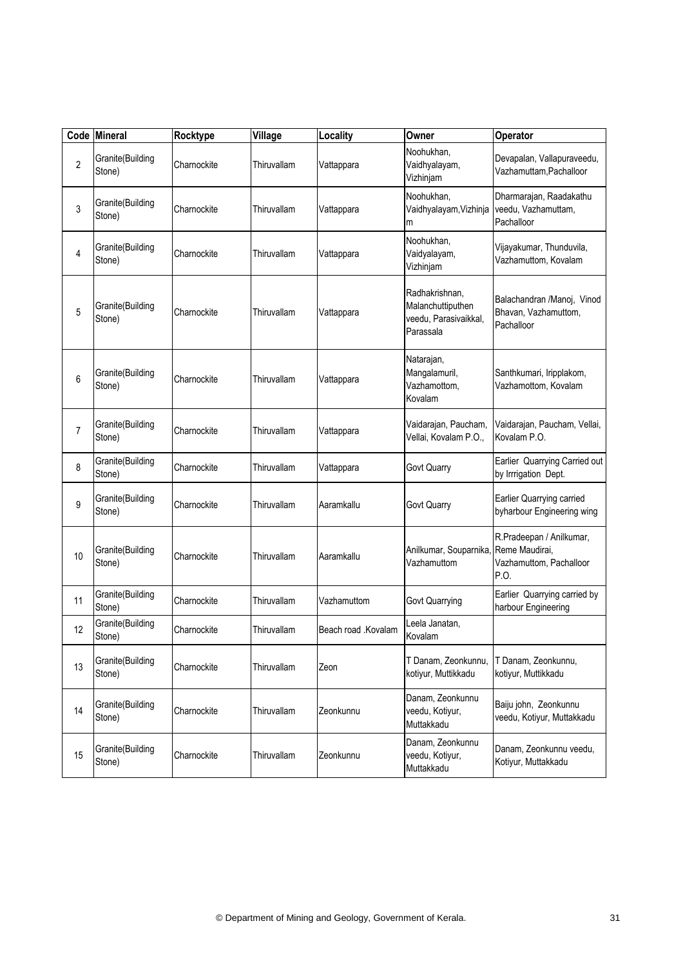|                | Code Mineral               | Rocktype    | Village     | Locality            | Owner                                                                     | Operator                                                                      |
|----------------|----------------------------|-------------|-------------|---------------------|---------------------------------------------------------------------------|-------------------------------------------------------------------------------|
| $\overline{c}$ | Granite(Building<br>Stone) | Charnockite | Thiruvallam | Vattappara          | Noohukhan,<br>Vaidhyalayam,<br>Vizhinjam                                  | Devapalan, Vallapuraveedu,<br>Vazhamuttam, Pachalloor                         |
| 3              | Granite(Building<br>Stone) | Charnockite | Thiruvallam | Vattappara          | Noohukhan,<br>Vaidhyalayam, Vizhinja<br>m                                 | Dharmarajan, Raadakathu<br>veedu, Vazhamuttam,<br>Pachalloor                  |
| 4              | Granite(Building<br>Stone) | Charnockite | Thiruvallam | Vattappara          | Noohukhan,<br>Vaidyalayam,<br>Vizhinjam                                   | Vijayakumar, Thunduvila,<br>Vazhamuttom, Kovalam                              |
| 5              | Granite(Building<br>Stone) | Charnockite | Thiruvallam | Vattappara          | Radhakrishnan,<br>Malanchuttiputhen<br>veedu, Parasivaikkal,<br>Parassala | Balachandran /Manoj, Vinod<br>Bhavan, Vazhamuttom,<br>Pachalloor              |
| 6              | Granite(Building<br>Stone) | Charnockite | Thiruvallam | Vattappara          | Natarajan,<br>Mangalamuril,<br>Vazhamottom,<br>Kovalam                    | Santhkumari, Iripplakom,<br>Vazhamottom, Kovalam                              |
| 7              | Granite(Building<br>Stone) | Charnockite | Thiruvallam | Vattappara          | Vaidarajan, Paucham,<br>Vellai, Kovalam P.O.,                             | Vaidarajan, Paucham, Vellai,<br>Kovalam P.O.                                  |
| 8              | Granite(Building<br>Stone) | Charnockite | Thiruvallam | Vattappara          | Govt Quarry                                                               | Earlier Quarrying Carried out<br>by Irrrigation Dept.                         |
| 9              | Granite(Building<br>Stone) | Charnockite | Thiruvallam | Aaramkallu          | Govt Quarry                                                               | Earlier Quarrying carried<br>byharbour Engineering wing                       |
| 10             | Granite(Building<br>Stone) | Charnockite | Thiruvallam | Aaramkallu          | Anilkumar, Souparnika,<br>Vazhamuttom                                     | R.Pradeepan / Anilkumar,<br>Reme Maudirai,<br>Vazhamuttom, Pachalloor<br>P.O. |
| 11             | Granite(Building<br>Stone) | Charnockite | Thiruvallam | Vazhamuttom         | Govt Quarrying                                                            | Earlier Quarrying carried by<br>harbour Engineering                           |
| 12             | Granite(Building<br>Stone) | Charnockite | Thiruvallam | Beach road .Kovalam | Leela Janatan,<br>Kovalam                                                 |                                                                               |
| 13             | Granite(Building<br>Stone) | Charnockite | Thiruvallam | Zeon                | T Danam, Zeonkunnu,<br>kotiyur, Muttikkadu                                | T Danam, Zeonkunnu,<br>kotiyur, Muttikkadu                                    |
| 14             | Granite(Building<br>Stone) | Charnockite | Thiruvallam | Zeonkunnu           | Danam, Zeonkunnu<br>veedu, Kotiyur,<br>Muttakkadu                         | Baiju john, Zeonkunnu<br>veedu, Kotiyur, Muttakkadu                           |
| 15             | Granite(Building<br>Stone) | Charnockite | Thiruvallam | Zeonkunnu           | Danam, Zeonkunnu<br>veedu, Kotiyur,<br>Muttakkadu                         | Danam, Zeonkunnu veedu,<br>Kotiyur, Muttakkadu                                |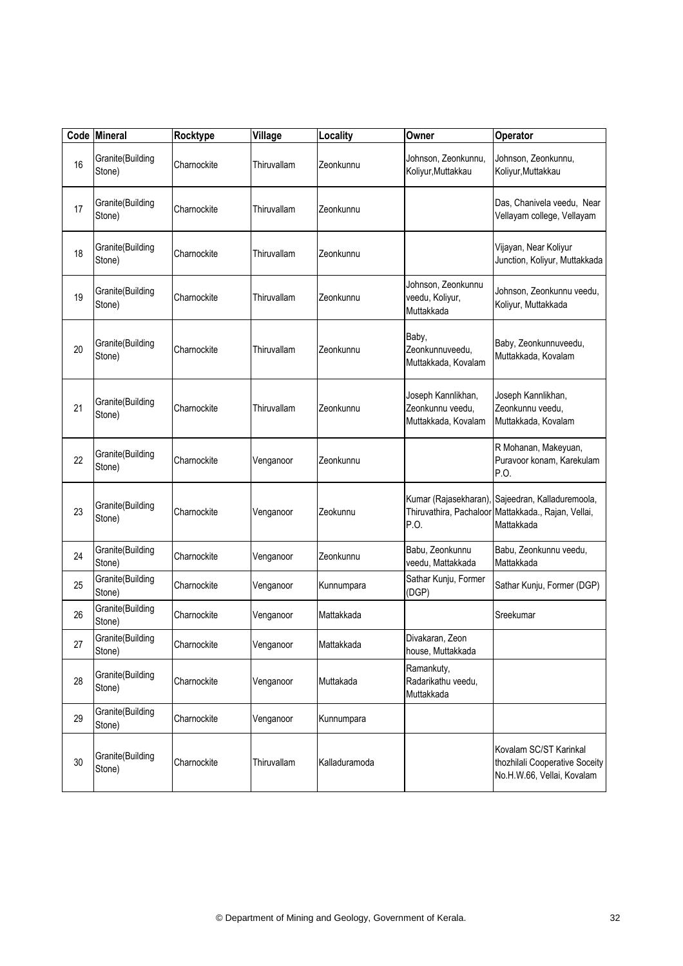|    | Code Mineral               | Rocktype    | Village     | Locality      | Owner                                                         | Operator                                                                               |
|----|----------------------------|-------------|-------------|---------------|---------------------------------------------------------------|----------------------------------------------------------------------------------------|
| 16 | Granite(Building<br>Stone) | Charnockite | Thiruvallam | Zeonkunnu     | Johnson, Zeonkunnu,<br>Koliyur, Muttakkau                     | Johnson, Zeonkunnu,<br>Koliyur, Muttakkau                                              |
| 17 | Granite(Building<br>Stone) | Charnockite | Thiruvallam | Zeonkunnu     |                                                               | Das, Chanivela veedu, Near<br>Vellayam college, Vellayam                               |
| 18 | Granite(Building<br>Stone) | Charnockite | Thiruvallam | Zeonkunnu     |                                                               | Vijayan, Near Koliyur<br>Junction, Koliyur, Muttakkada                                 |
| 19 | Granite(Building<br>Stone) | Charnockite | Thiruvallam | Zeonkunnu     | Johnson, Zeonkunnu<br>veedu, Koliyur,<br>Muttakkada           | Johnson, Zeonkunnu veedu,<br>Koliyur, Muttakkada                                       |
| 20 | Granite(Building<br>Stone) | Charnockite | Thiruvallam | Zeonkunnu     | Baby,<br>Zeonkunnuveedu,<br>Muttakkada, Kovalam               | Baby, Zeonkunnuveedu,<br>Muttakkada, Kovalam                                           |
| 21 | Granite(Building<br>Stone) | Charnockite | Thiruvallam | Zeonkunnu     | Joseph Kannlikhan,<br>Zeonkunnu veedu,<br>Muttakkada, Kovalam | Joseph Kannlikhan,<br>Zeonkunnu veedu,<br>Muttakkada, Kovalam                          |
| 22 | Granite(Building<br>Stone) | Charnockite | Venganoor   | Zeonkunnu     |                                                               | R Mohanan, Makeyuan,<br>Puravoor konam, Karekulam<br>P.O.                              |
| 23 | Granite(Building<br>Stone) | Charnockite | Venganoor   | Zeokunnu      | Kumar (Rajasekharan)<br>Thiruvathira, Pachaloor<br>P.O.       | Sajeedran, Kalladuremoola,<br>Mattakkada., Rajan, Vellai,<br>Mattakkada                |
| 24 | Granite(Building<br>Stone) | Charnockite | Venganoor   | Zeonkunnu     | Babu, Zeonkunnu<br>veedu, Mattakkada                          | Babu, Zeonkunnu veedu,<br>Mattakkada                                                   |
| 25 | Granite(Building<br>Stone) | Charnockite | Venganoor   | Kunnumpara    | Sathar Kunju, Former<br>(DGP)                                 | Sathar Kunju, Former (DGP)                                                             |
| 26 | Granite(Building<br>Stone) | Charnockite | Venganoor   | Mattakkada    |                                                               | Sreekumar                                                                              |
| 27 | Granite(Building<br>Stone) | Charnockite | Venganoor   | Mattakkada    | Divakaran, Zeon<br>house, Muttakkada                          |                                                                                        |
| 28 | Granite(Building<br>Stone) | Charnockite | Venganoor   | Muttakada     | Ramankuty,<br>Radarikathu veedu,<br>Muttakkada                |                                                                                        |
| 29 | Granite(Building<br>Stone) | Charnockite | Venganoor   | Kunnumpara    |                                                               |                                                                                        |
| 30 | Granite(Building<br>Stone) | Charnockite | Thiruvallam | Kalladuramoda |                                                               | Kovalam SC/ST Karinkal<br>thozhilali Cooperative Soceity<br>No.H.W.66, Vellai, Kovalam |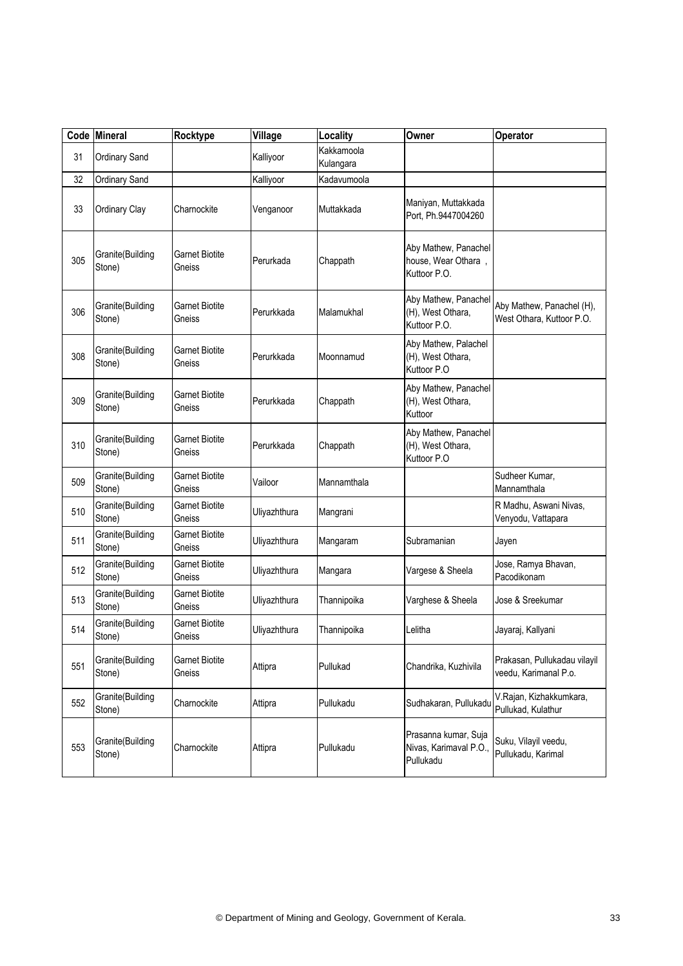|     | Code Mineral               | Rocktype                        | Village      | Locality                | Owner                                                       | Operator                                               |
|-----|----------------------------|---------------------------------|--------------|-------------------------|-------------------------------------------------------------|--------------------------------------------------------|
| 31  | Ordinary Sand              |                                 | Kalliyoor    | Kakkamoola<br>Kulangara |                                                             |                                                        |
| 32  | Ordinary Sand              |                                 | Kalliyoor    | Kadavumoola             |                                                             |                                                        |
| 33  | Ordinary Clay              | Charnockite                     | Venganoor    | Muttakkada              | Maniyan, Muttakkada<br>Port, Ph.9447004260                  |                                                        |
| 305 | Granite(Building<br>Stone) | <b>Garnet Biotite</b><br>Gneiss | Perurkada    | Chappath                | Aby Mathew, Panachel<br>house, Wear Othara,<br>Kuttoor P.O. |                                                        |
| 306 | Granite(Building<br>Stone) | <b>Garnet Biotite</b><br>Gneiss | Perurkkada   | Malamukhal              | Aby Mathew, Panachel<br>(H), West Othara,<br>Kuttoor P.O.   | Aby Mathew, Panachel (H),<br>West Othara, Kuttoor P.O. |
| 308 | Granite(Building<br>Stone) | Garnet Biotite<br>Gneiss        | Perurkkada   | Moonnamud               | Aby Mathew, Palachel<br>(H), West Othara,<br>Kuttoor P.O    |                                                        |
| 309 | Granite(Building<br>Stone) | Garnet Biotite<br>Gneiss        | Perurkkada   | Chappath                | Aby Mathew, Panachel<br>(H), West Othara,<br>Kuttoor        |                                                        |
| 310 | Granite(Building<br>Stone) | <b>Garnet Biotite</b><br>Gneiss | Perurkkada   | Chappath                | Aby Mathew, Panachel<br>(H), West Othara,<br>Kuttoor P.O    |                                                        |
| 509 | Granite(Building<br>Stone) | <b>Garnet Biotite</b><br>Gneiss | Vailoor      | Mannamthala             |                                                             | Sudheer Kumar,<br>Mannamthala                          |
| 510 | Granite(Building<br>Stone) | <b>Garnet Biotite</b><br>Gneiss | Uliyazhthura | Mangrani                |                                                             | R Madhu, Aswani Nivas,<br>Venyodu, Vattapara           |
| 511 | Granite(Building<br>Stone) | <b>Garnet Biotite</b><br>Gneiss | Uliyazhthura | Mangaram                | Subramanian                                                 | Jayen                                                  |
| 512 | Granite(Building<br>Stone) | <b>Garnet Biotite</b><br>Gneiss | Uliyazhthura | Mangara                 | Vargese & Sheela                                            | Jose, Ramya Bhavan,<br>Pacodikonam                     |
| 513 | Granite(Building<br>Stone) | <b>Garnet Biotite</b><br>Gneiss | Uliyazhthura | Thannipoika             | Varghese & Sheela                                           | Jose & Sreekumar                                       |
| 514 | Granite(Building<br>Stone) | <b>Garnet Biotite</b><br>Gneiss | Uliyazhthura | Thannipoika             | Lelitha                                                     | Jayaraj, Kallyani                                      |
| 551 | Granite(Building<br>Stone) | Garnet Biotite<br>Gneiss        | Attipra      | Pullukad                | Chandrika, Kuzhivila                                        | Prakasan, Pullukadau vilayil<br>veedu, Karimanal P.o.  |
| 552 | Granite(Building<br>Stone) | Charnockite                     | Attipra      | Pullukadu               | Sudhakaran, Pullukadu                                       | V.Rajan, Kizhakkumkara,<br>Pullukad, Kulathur          |
| 553 | Granite(Building<br>Stone) | Charnockite                     | Attipra      | Pullukadu               | Prasanna kumar, Suja<br>Nivas, Karimaval P.O.,<br>Pullukadu | Suku, Vilayil veedu,<br>Pullukadu, Karimal             |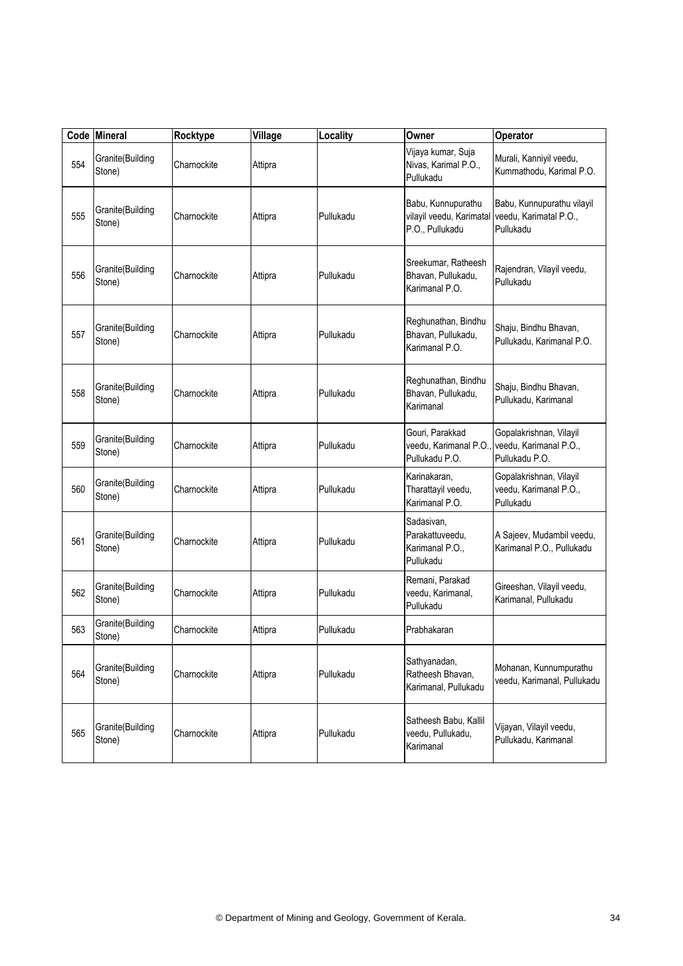|     | Code Mineral               | Rocktype    | Village | Locality  | Owner                                                             | Operator                                                            |
|-----|----------------------------|-------------|---------|-----------|-------------------------------------------------------------------|---------------------------------------------------------------------|
| 554 | Granite(Building<br>Stone) | Charnockite | Attipra |           | Vijaya kumar, Suja<br>Nivas, Karimal P.O.,<br>Pullukadu           | Murali, Kanniyil veedu,<br>Kummathodu, Karimal P.O.                 |
| 555 | Granite(Building<br>Stone) | Charnockite | Attipra | Pullukadu | Babu, Kunnupurathu<br>vilayil veedu, Karimatal<br>P.O., Pullukadu | Babu, Kunnupurathu vilayil<br>veedu, Karimatal P.O.,<br>Pullukadu   |
| 556 | Granite(Building<br>Stone) | Charnockite | Attipra | Pullukadu | Sreekumar, Ratheesh<br>Bhavan, Pullukadu,<br>Karimanal P.O.       | Rajendran, Vilayil veedu,<br>Pullukadu                              |
| 557 | Granite(Building<br>Stone) | Charnockite | Attipra | Pullukadu | Reghunathan, Bindhu<br>Bhavan, Pullukadu,<br>Karimanal P.O.       | Shaju, Bindhu Bhavan,<br>Pullukadu, Karimanal P.O.                  |
| 558 | Granite(Building<br>Stone) | Charnockite | Attipra | Pullukadu | Reghunathan, Bindhu<br>Bhavan, Pullukadu,<br>Karimanal            | Shaju, Bindhu Bhavan,<br>Pullukadu, Karimanal                       |
| 559 | Granite(Building<br>Stone) | Charnockite | Attipra | Pullukadu | Gouri, Parakkad<br>veedu, Karimanal P.O.,<br>Pullukadu P.O.       | Gopalakrishnan, Vilayil<br>veedu, Karimanal P.O.,<br>Pullukadu P.O. |
| 560 | Granite(Building<br>Stone) | Charnockite | Attipra | Pullukadu | Karinakaran,<br>Tharattayil veedu,<br>Karimanal P.O.              | Gopalakrishnan, Vilayil<br>veedu, Karimanal P.O.,<br>Pullukadu      |
| 561 | Granite(Building<br>Stone) | Charnockite | Attipra | Pullukadu | Sadasivan,<br>Parakattuveedu,<br>Karimanal P.O.,<br>Pullukadu     | A Sajeev, Mudambil veedu,<br>Karimanal P.O., Pullukadu              |
| 562 | Granite(Building<br>Stone) | Charnockite | Attipra | Pullukadu | Remani, Parakad<br>veedu, Karimanal,<br>Pullukadu                 | Gireeshan, Vilayil veedu,<br>Karimanal, Pullukadu                   |
| 563 | Granite(Building<br>Stone) | Charnockite | Attipra | Pullukadu | Prabhakaran                                                       |                                                                     |
| 564 | Granite(Building<br>Stone) | Charnockite | Attipra | Pullukadu | Sathyanadan,<br>Ratheesh Bhavan,<br>Karimanal, Pullukadu          | Mohanan, Kunnumpurathu<br>veedu, Karimanal, Pullukadu               |
| 565 | Granite(Building<br>Stone) | Charnockite | Attipra | Pullukadu | Satheesh Babu, Kallil<br>veedu, Pullukadu,<br>Karimanal           | Vijayan, Vilayil veedu,<br>Pullukadu, Karimanal                     |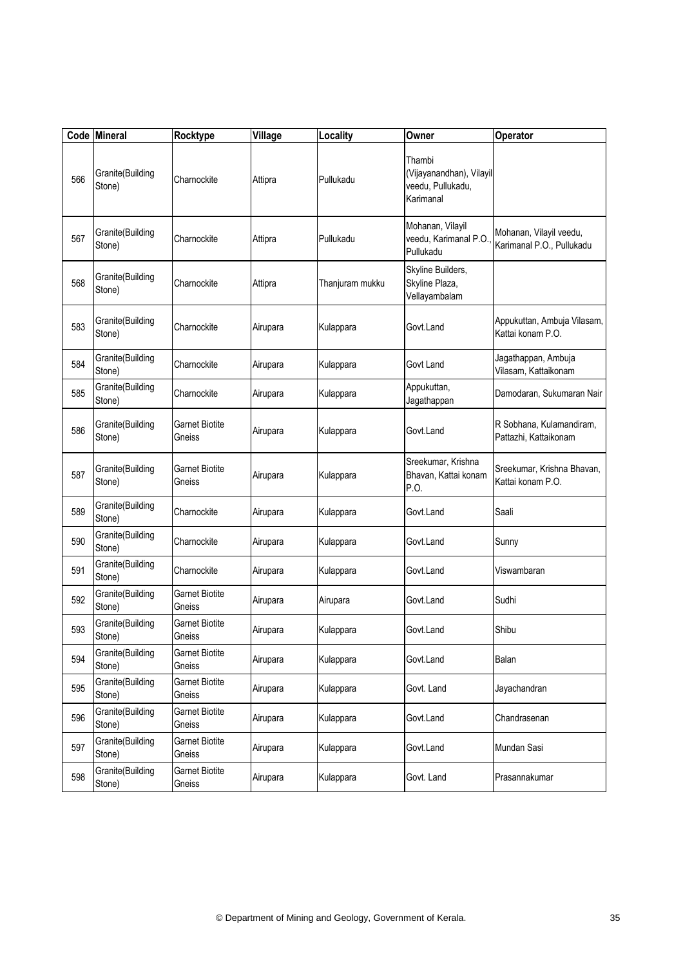|     | Code Mineral               | Rocktype                        | Village  | Locality        | Owner                                                                | Operator                                             |
|-----|----------------------------|---------------------------------|----------|-----------------|----------------------------------------------------------------------|------------------------------------------------------|
| 566 | Granite(Building<br>Stone) | Charnockite                     | Attipra  | Pullukadu       | Thambi<br>(Vijayanandhan), Vilayil<br>veedu, Pullukadu,<br>Karimanal |                                                      |
| 567 | Granite(Building<br>Stone) | Charnockite                     | Attipra  | Pullukadu       | Mohanan, Vilayil<br>veedu, Karimanal P.O.<br>Pullukadu               | Mohanan, Vilayil veedu,<br>Karimanal P.O., Pullukadu |
| 568 | Granite(Building<br>Stone) | Charnockite                     | Attipra  | Thanjuram mukku | Skyline Builders,<br>Skyline Plaza,<br>Vellayambalam                 |                                                      |
| 583 | Granite(Building<br>Stone) | Charnockite                     | Airupara | Kulappara       | Govt.Land                                                            | Appukuttan, Ambuja Vilasam,<br>Kattai konam P.O.     |
| 584 | Granite(Building<br>Stone) | Charnockite                     | Airupara | Kulappara       | Govt Land                                                            | Jagathappan, Ambuja<br>Vilasam, Kattaikonam          |
| 585 | Granite(Building<br>Stone) | Charnockite                     | Airupara | Kulappara       | Appukuttan,<br>Jagathappan                                           | Damodaran, Sukumaran Nair                            |
| 586 | Granite(Building<br>Stone) | Garnet Biotite<br>Gneiss        | Airupara | Kulappara       | Govt.Land                                                            | R Sobhana, Kulamandiram,<br>Pattazhi, Kattaikonam    |
| 587 | Granite(Building<br>Stone) | <b>Garnet Biotite</b><br>Gneiss | Airupara | Kulappara       | Sreekumar, Krishna<br>Bhavan, Kattai konam<br>P.O.                   | Sreekumar, Krishna Bhavan,<br>Kattai konam P.O.      |
| 589 | Granite(Building<br>Stone) | Charnockite                     | Airupara | Kulappara       | Govt.Land                                                            | Saali                                                |
| 590 | Granite(Building<br>Stone) | Charnockite                     | Airupara | Kulappara       | Govt.Land                                                            | Sunny                                                |
| 591 | Granite(Building<br>Stone) | Charnockite                     | Airupara | Kulappara       | Govt.Land                                                            | Viswambaran                                          |
| 592 | Granite(Building<br>Stone) | <b>Garnet Biotite</b><br>Gneiss | Airupara | Airupara        | Govt.Land                                                            | Sudhi                                                |
| 593 | Granite(Building<br>Stone) | Garnet Biotite<br>Gneiss        | Airupara | Kulappara       | Govt.Land                                                            | Shibu                                                |
| 594 | Granite(Building<br>Stone) | <b>Garnet Biotite</b><br>Gneiss | Airupara | Kulappara       | Govt.Land                                                            | Balan                                                |
| 595 | Granite(Building<br>Stone) | <b>Garnet Biotite</b><br>Gneiss | Airupara | Kulappara       | Govt. Land                                                           | Jayachandran                                         |
| 596 | Granite(Building<br>Stone) | <b>Garnet Biotite</b><br>Gneiss | Airupara | Kulappara       | Govt.Land                                                            | Chandrasenan                                         |
| 597 | Granite(Building<br>Stone) | <b>Garnet Biotite</b><br>Gneiss | Airupara | Kulappara       | Govt.Land                                                            | Mundan Sasi                                          |
| 598 | Granite(Building<br>Stone) | <b>Garnet Biotite</b><br>Gneiss | Airupara | Kulappara       | Govt. Land                                                           | Prasannakumar                                        |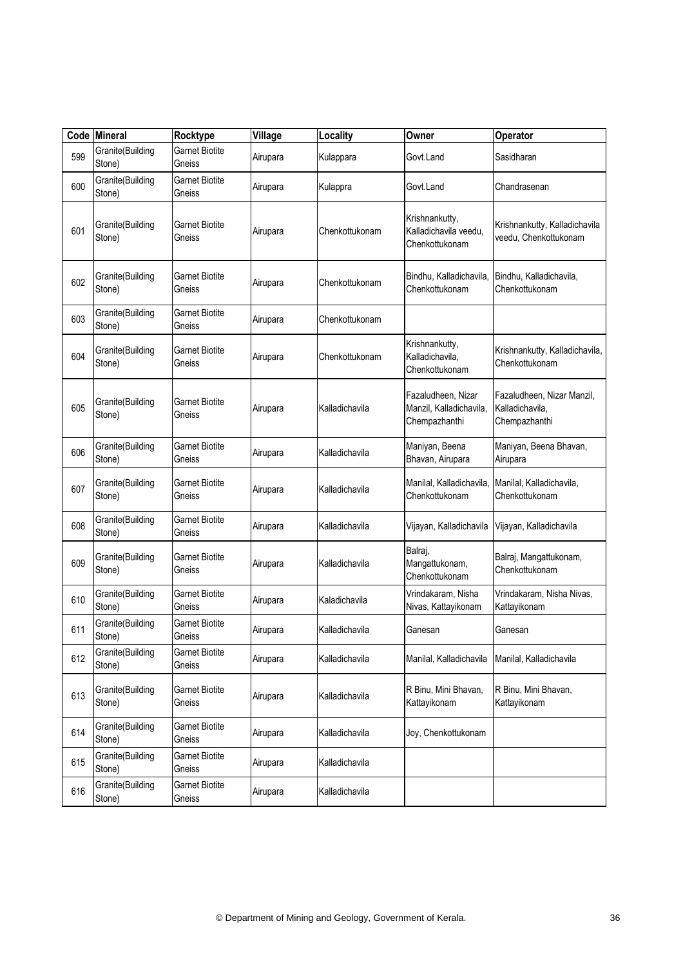|     | Code Mineral               | Rocktype                        | Village  | Locality       | Owner                                                          | Operator                                                       |
|-----|----------------------------|---------------------------------|----------|----------------|----------------------------------------------------------------|----------------------------------------------------------------|
| 599 | Granite(Building<br>Stone) | <b>Garnet Biotite</b><br>Gneiss | Airupara | Kulappara      | Govt.Land                                                      | Sasidharan                                                     |
| 600 | Granite(Building<br>Stone) | <b>Garnet Biotite</b><br>Gneiss | Airupara | Kulappra       | Govt.Land                                                      | Chandrasenan                                                   |
| 601 | Granite(Building<br>Stone) | <b>Garnet Biotite</b><br>Gneiss | Airupara | Chenkottukonam | Krishnankutty,<br>Kalladichavila veedu,<br>Chenkottukonam      | Krishnankutty, Kalladichavila<br>veedu, Chenkottukonam         |
| 602 | Granite(Building<br>Stone) | <b>Garnet Biotite</b><br>Gneiss | Airupara | Chenkottukonam | Bindhu, Kalladichavila,<br>Chenkottukonam                      | Bindhu, Kalladichavila,<br>Chenkottukonam                      |
| 603 | Granite(Building<br>Stone) | <b>Garnet Biotite</b><br>Gneiss | Airupara | Chenkottukonam |                                                                |                                                                |
| 604 | Granite(Building<br>Stone) | <b>Garnet Biotite</b><br>Gneiss | Airupara | Chenkottukonam | Krishnankutty,<br>Kalladichavila,<br>Chenkottukonam            | Krishnankutty, Kalladichavila,<br>Chenkottukonam               |
| 605 | Granite(Building<br>Stone) | <b>Garnet Biotite</b><br>Gneiss | Airupara | Kalladichavila | Fazaludheen, Nizar<br>Manzil, Kalladichavila,<br>Chempazhanthi | Fazaludheen, Nizar Manzil,<br>Kalladichavila,<br>Chempazhanthi |
| 606 | Granite(Building<br>Stone) | <b>Garnet Biotite</b><br>Gneiss | Airupara | Kalladichavila | Maniyan, Beena<br>Bhavan, Airupara                             | Maniyan, Beena Bhavan,<br>Airupara                             |
| 607 | Granite(Building<br>Stone) | <b>Garnet Biotite</b><br>Gneiss | Airupara | Kalladichavila | Manilal, Kalladichavila,<br>Chenkottukonam                     | Manilal, Kalladichavila,<br>Chenkottukonam                     |
| 608 | Granite(Building<br>Stone) | <b>Garnet Biotite</b><br>Gneiss | Airupara | Kalladichavila | Vijayan, Kalladichavila                                        | Vijayan, Kalladichavila                                        |
| 609 | Granite(Building<br>Stone) | Garnet Biotite<br>Gneiss        | Airupara | Kalladichavila | Balraj,<br>Mangattukonam,<br>Chenkottukonam                    | Balraj, Mangattukonam,<br>Chenkottukonam                       |
| 610 | Granite(Building<br>Stone) | <b>Garnet Biotite</b><br>Gneiss | Airupara | Kaladichavila  | Vrindakaram, Nisha<br>Nivas, Kattayikonam                      | Vrindakaram, Nisha Nivas,<br>Kattayikonam                      |
| 611 | Granite(Building<br>Stone) | <b>Garnet Biotite</b><br>Gneiss | Airupara | Kalladichavila | Ganesan                                                        | Ganesan                                                        |
| 612 | Granite(Building<br>Stone) | <b>Garnet Biotite</b><br>Gneiss | Airupara | Kalladichavila | Manilal, Kalladichavila                                        | Manilal, Kalladichavila                                        |
| 613 | Granite(Building<br>Stone) | <b>Garnet Biotite</b><br>Gneiss | Airupara | Kalladichavila | R Binu, Mini Bhavan,<br>Kattayikonam                           | R Binu, Mini Bhavan,<br>Kattayikonam                           |
| 614 | Granite(Building<br>Stone) | <b>Garnet Biotite</b><br>Gneiss | Airupara | Kalladichavila | Joy, Chenkottukonam                                            |                                                                |
| 615 | Granite(Building<br>Stone) | <b>Garnet Biotite</b><br>Gneiss | Airupara | Kalladichavila |                                                                |                                                                |
| 616 | Granite(Building<br>Stone) | <b>Garnet Biotite</b><br>Gneiss | Airupara | Kalladichavila |                                                                |                                                                |